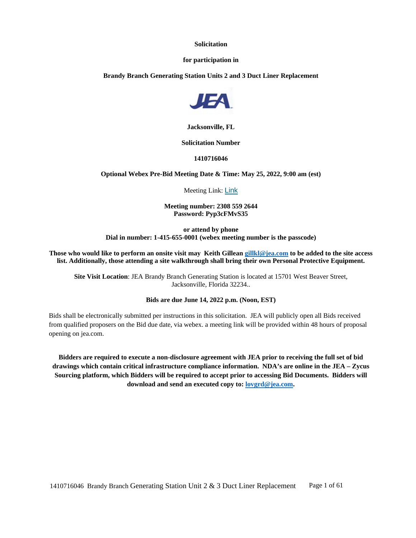#### **Solicitation**

#### **for participation in**

**Brandy Branch Generating Station Units 2 and 3 Duct Liner Replacement**



**Jacksonville, FL**

#### **Solicitation Number**

**1410716046**

**Optional Webex Pre-Bid Meeting Date & Time: May 25, 2022, 9:00 am (est)**

Meeting Link: [Link](https://jeameeting.webex.com/jeameeting/j.php?MTID=m0cf171b03c4c519a2442d97da5edfe54)

**Meeting number: 2308 559 2644 Password: Pyp3cFMvS35**

**or attend by phone Dial in number: 1-415-655-0001 (webex meeting number is the passcode)**

**Those who would like to perform an onsite visit may Keith Gillean [gillkl@jea.com](mailto:gillkl@jea.com) to be added to the site access list. Additionally, those attending a site walkthrough shall bring their own Personal Protective Equipment.**

**Site Visit Location**: JEA Brandy Branch Generating Station is located at 15701 West Beaver Street, Jacksonville, Florida 32234..

#### **Bids are due June 14, 2022 p.m. (Noon, EST)**

Bids shall be electronically submitted per instructions in this solicitation. JEA will publicly open all Bids received from qualified proposers on the Bid due date, via webex. a meeting link will be provided within 48 hours of proposal opening on jea.com.

**Bidders are required to execute a non-disclosure agreement with JEA prior to receiving the full set of bid drawings which contain critical infrastructure compliance information. NDA's are online in the JEA – Zycus Sourcing platform, which Bidders will be required to accept prior to accessing Bid Documents. Bidders will download and send an executed copy to: [lovgrd@jea.com.](mailto:lovgrd@jea.com)**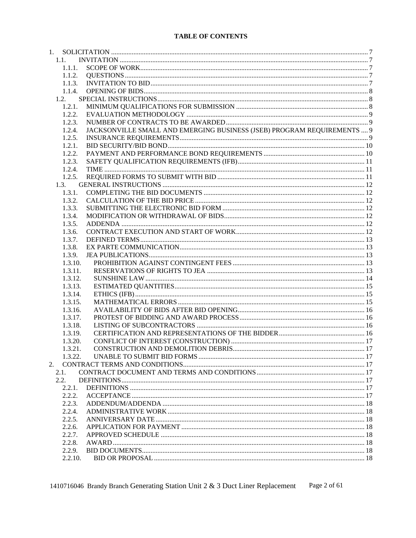# **TABLE OF CONTENTS**

|    | 1.1.      |                                                                         |  |
|----|-----------|-------------------------------------------------------------------------|--|
|    | 1.1.1.    |                                                                         |  |
|    | 1.1.2.    |                                                                         |  |
|    | 1.1.3.    |                                                                         |  |
|    | 1.1.4.    |                                                                         |  |
|    | 1.2.      |                                                                         |  |
|    | 1.2.1.    |                                                                         |  |
|    | 1.2.2.    |                                                                         |  |
|    | 1.2.3.    |                                                                         |  |
|    | 1.2.4.    | JACKSONVILLE SMALL AND EMERGING BUSINESS (JSEB) PROGRAM REQUIREMENTS  9 |  |
|    | 1.2.5.    |                                                                         |  |
|    | 1.2.1.    |                                                                         |  |
|    | 1.2.2.    |                                                                         |  |
|    | 1.2.3.    |                                                                         |  |
|    | 1.2.4.    |                                                                         |  |
|    | 1.2.5.    |                                                                         |  |
|    | 1.3.      |                                                                         |  |
|    | 1.3.1.    |                                                                         |  |
|    | 1.3.2.    |                                                                         |  |
|    | 1.3.3.    |                                                                         |  |
|    | 1.3.4.    |                                                                         |  |
|    | 1.3.5.    |                                                                         |  |
|    | 1.3.6.    |                                                                         |  |
|    | 1.3.7.    |                                                                         |  |
|    | 1.3.8.    |                                                                         |  |
|    | 1.3.9.    |                                                                         |  |
|    | 1.3.10.   |                                                                         |  |
|    | 1.3.11.   |                                                                         |  |
|    | 1.3.12.   |                                                                         |  |
|    | 1.3.13.   |                                                                         |  |
|    | 1.3.14.   |                                                                         |  |
|    | 1.3.15.   |                                                                         |  |
|    | 1.3.16.   |                                                                         |  |
|    | 1.3.17.   |                                                                         |  |
|    | 1.3.18.   |                                                                         |  |
|    | 1.3.19.   |                                                                         |  |
|    | 1.3.20.   |                                                                         |  |
|    | 1.3.21.   |                                                                         |  |
|    | 1.3.22.   |                                                                         |  |
| 2. |           |                                                                         |  |
|    | 2.1.      |                                                                         |  |
|    | 2.2.      |                                                                         |  |
|    | $2.2.1$ . |                                                                         |  |
|    |           |                                                                         |  |
|    | 2.2.2.    |                                                                         |  |
|    | 2.2.3.    |                                                                         |  |
|    | 2.2.4.    |                                                                         |  |
|    | 2.2.5.    |                                                                         |  |
|    | 2.2.6.    |                                                                         |  |
|    | 2.2.7.    |                                                                         |  |
|    | 2.2.8.    |                                                                         |  |
|    | 2.2.9.    |                                                                         |  |
|    | 2.2.10.   |                                                                         |  |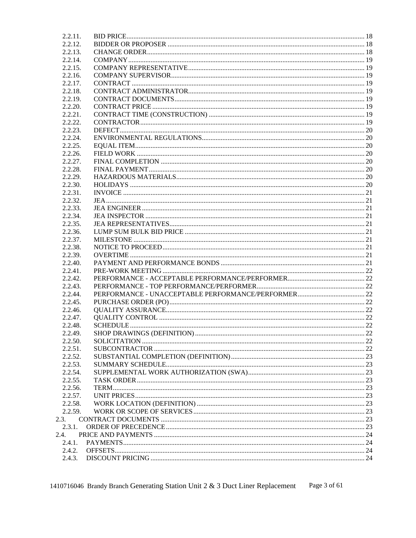| 2.2.11. |  |
|---------|--|
| 2.2.12. |  |
| 2.2.13. |  |
| 2.2.14. |  |
| 2.2.15. |  |
| 2.2.16. |  |
| 2.2.17. |  |
| 2.2.18. |  |
| 2.2.19. |  |
| 2.2.20. |  |
| 2.2.21. |  |
| 2.2.22. |  |
| 2.2.23. |  |
| 2.2.24. |  |
| 2.2.25. |  |
| 2.2.26. |  |
| 2.2.27. |  |
| 2.2.28. |  |
| 2.2.29. |  |
| 2.2.30. |  |
| 2.2.31. |  |
| 2.2.32. |  |
| 2.2.33. |  |
| 2.2.34. |  |
| 2.2.35. |  |
| 2.2.36. |  |
|         |  |
| 2.2.37. |  |
| 2.2.38. |  |
| 2.2.39. |  |
| 2.2.40. |  |
| 2.2.41. |  |
| 2.2.42. |  |
| 2.2.43. |  |
| 2.2.44. |  |
| 2.2.45. |  |
| 2.2.46. |  |
| 2.2.47. |  |
| 2.2.48. |  |
| 2.2.49. |  |
| 2.2.50. |  |
| 2.2.51. |  |
| 2.2.52. |  |
| 2.2.53. |  |
| 2.2.54. |  |
| 2.2.55. |  |
| 2.2.56. |  |
| 2.2.57. |  |
| 2.2.58. |  |
| 2.2.59. |  |
| 2.3.    |  |
| 2.3.1.  |  |
| 2.4.    |  |
| 2.4.1.  |  |
| 2.4.2.  |  |
| 2.4.3.  |  |

1410716046 Brandy Branch Generating Station Unit 2 & 3 Duct Liner Replacement Page 3 of 61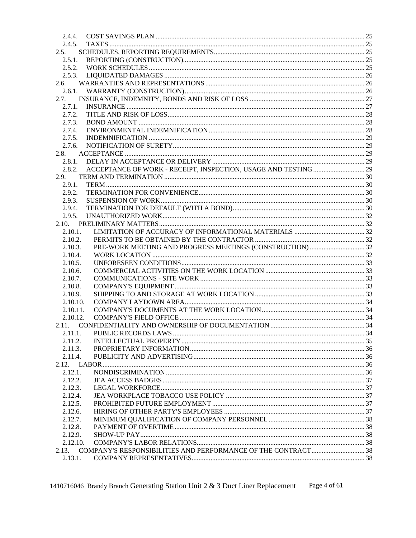| 2.4.4.   |                                                                        |  |
|----------|------------------------------------------------------------------------|--|
| 2.4.5.   |                                                                        |  |
| 2.5.     |                                                                        |  |
| 2.5.1.   |                                                                        |  |
|          |                                                                        |  |
|          |                                                                        |  |
| 2.6.     |                                                                        |  |
|          |                                                                        |  |
| 2.7.     |                                                                        |  |
| 2.7.1.   |                                                                        |  |
| 2.7.2.   |                                                                        |  |
| 2.7.3.   |                                                                        |  |
| 2.7.4.   |                                                                        |  |
| 2.7.5.   |                                                                        |  |
|          |                                                                        |  |
| 2.7.6.   |                                                                        |  |
| 2.8.     |                                                                        |  |
|          |                                                                        |  |
|          | 2.8.2. ACCEPTANCE OF WORK - RECEIPT, INSPECTION, USAGE AND TESTING  29 |  |
| 2.9.     |                                                                        |  |
| 2.9.1.   |                                                                        |  |
| 2.9.2.   |                                                                        |  |
| 2.9.3.   |                                                                        |  |
| 2.9.4.   |                                                                        |  |
| 2.9.5.   |                                                                        |  |
|          |                                                                        |  |
| 2.10.1.  |                                                                        |  |
| 2.10.2.  |                                                                        |  |
| 2.10.3.  |                                                                        |  |
| 2.10.4.  |                                                                        |  |
| 2.10.5.  |                                                                        |  |
|          |                                                                        |  |
| 2.10.6.  |                                                                        |  |
| 2.10.7.  |                                                                        |  |
| 2.10.8.  |                                                                        |  |
| 2.10.9.  |                                                                        |  |
| 2.10.10. |                                                                        |  |
| 2.10.11. |                                                                        |  |
| 2.10.12. |                                                                        |  |
| 2.11.    |                                                                        |  |
| 2.11.1.  |                                                                        |  |
| 2.11.2.  |                                                                        |  |
| 2.11.3.  |                                                                        |  |
| 2.11.4.  |                                                                        |  |
|          |                                                                        |  |
| 2.12.1.  |                                                                        |  |
| 2.12.2.  |                                                                        |  |
| 2.12.3.  |                                                                        |  |
| 2.12.4.  |                                                                        |  |
|          |                                                                        |  |
| 2.12.5.  |                                                                        |  |
| 2.12.6.  |                                                                        |  |
| 2.12.7.  |                                                                        |  |
| 2.12.8.  |                                                                        |  |
| 2.12.9.  |                                                                        |  |
| 2.12.10. |                                                                        |  |
|          | 2.13. COMPANY'S RESPONSIBILITIES AND PERFORMANCE OF THE CONTRACT  38   |  |
| 2.13.1.  |                                                                        |  |

1410716046 Brandy Branch Generating Station Unit 2 & 3 Duct Liner Replacement Page 4 of 61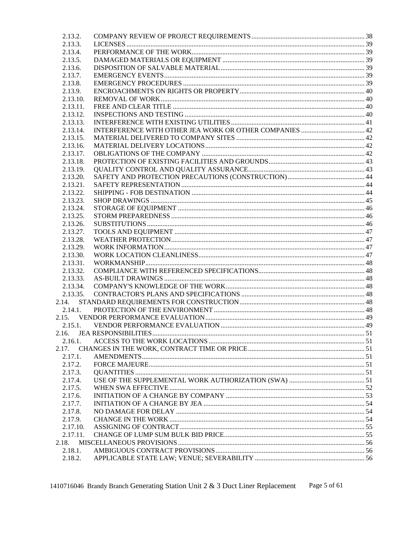| 2.13.2.              |  |
|----------------------|--|
| 2.13.3.              |  |
| 2.13.4.              |  |
| 2.13.5.              |  |
| 2.13.6.              |  |
| 2.13.7.              |  |
| 2.13.8.              |  |
| 2.13.9.              |  |
| 2.13.10.             |  |
| 2.13.11.             |  |
| 2.13.12.             |  |
| 2.13.13.             |  |
| 2.13.14.             |  |
| 2.13.15.             |  |
| 2.13.16.             |  |
| 2.13.17.             |  |
| 2.13.18.             |  |
| 2.13.19.             |  |
| 2.13.20.             |  |
| 2.13.21.             |  |
| 2.13.22.             |  |
| 2.13.23.             |  |
| 2.13.24.             |  |
| 2.13.25.             |  |
|                      |  |
| 2.13.26.             |  |
| 2.13.27.<br>2.13.28. |  |
|                      |  |
| 2.13.29.             |  |
| 2.13.30.             |  |
| 2.13.31.             |  |
| 2.13.32.<br>2.13.33. |  |
|                      |  |
| 2.13.34.             |  |
| 2.13.35.             |  |
| 2.14.                |  |
| 2.14.1.              |  |
|                      |  |
| 2.15.1.              |  |
| 2.16.                |  |
| 2.16.1.              |  |
| 2.17.                |  |
| 2.17.1.              |  |
| 2.17.2.              |  |
| 2.17.3.              |  |
| 2.17.4.              |  |
| 2.17.5.              |  |
| 2.17.6.              |  |
| 2.17.7.              |  |
| 2.17.8.              |  |
| 2.17.9.              |  |
| 2.17.10.             |  |
| 2.17.11.             |  |
| 2.18.                |  |
| 2.18.1.              |  |
| 2.18.2.              |  |

1410716046 Brandy Branch Generating Station Unit 2 & 3 Duct Liner Replacement Page 5 of 61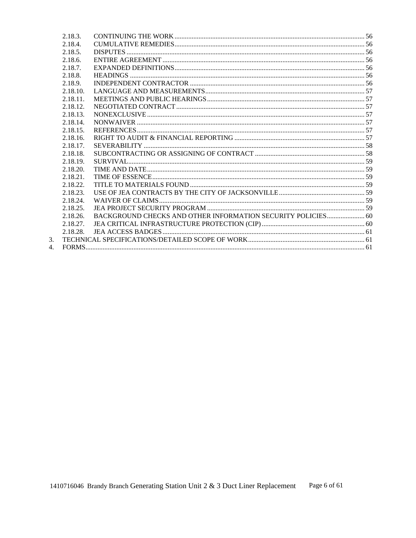| 2.18.3.  |                                                              |  |
|----------|--------------------------------------------------------------|--|
| 2.18.4.  |                                                              |  |
| 2.18.5.  |                                                              |  |
| 2.18.6.  |                                                              |  |
| 2.18.7.  |                                                              |  |
| 2.18.8.  |                                                              |  |
| 2.18.9.  |                                                              |  |
| 2.18.10. |                                                              |  |
| 2.18.11. |                                                              |  |
| 2.18.12. |                                                              |  |
| 2.18.13. |                                                              |  |
| 2.18.14. |                                                              |  |
| 2.18.15. |                                                              |  |
| 2.18.16. |                                                              |  |
| 2.18.17. |                                                              |  |
| 2.18.18. |                                                              |  |
| 2.18.19. |                                                              |  |
| 2.18.20. |                                                              |  |
| 2.18.21. |                                                              |  |
| 2.18.22  |                                                              |  |
| 2.18.23. |                                                              |  |
| 2.18.24. |                                                              |  |
| 2.18.25. |                                                              |  |
| 2.18.26. | BACKGROUND CHECKS AND OTHER INFORMATION SECURITY POLICIES 60 |  |
| 2.18.27. |                                                              |  |
| 2.18.28. |                                                              |  |
|          |                                                              |  |
|          |                                                              |  |

 $\frac{3}{4}$ .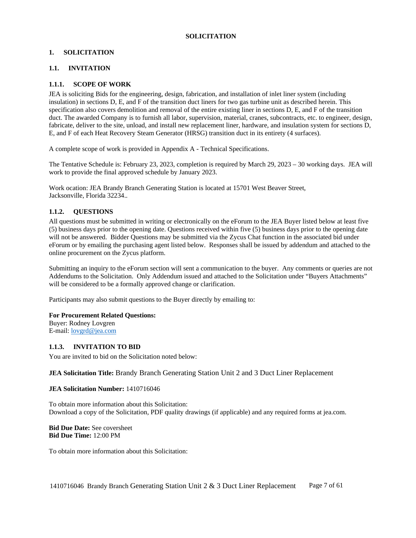#### <span id="page-6-0"></span>**1. SOLICITATION**

#### <span id="page-6-1"></span>**1.1. INVITATION**

#### <span id="page-6-2"></span>**1.1.1. SCOPE OF WORK**

JEA is soliciting Bids for the engineering, design, fabrication, and installation of inlet liner system (including insulation) in sections D, E, and F of the transition duct liners for two gas turbine unit as described herein. This specification also covers demolition and removal of the entire existing liner in sections D, E, and F of the transition duct. The awarded Company is to furnish all labor, supervision, material, cranes, subcontracts, etc. to engineer, design, fabricate, deliver to the site, unload, and install new replacement liner, hardware, and insulation system for sections D, E, and F of each Heat Recovery Steam Generator (HRSG) transition duct in its entirety (4 surfaces).

A complete scope of work is provided in Appendix A - Technical Specifications.

The Tentative Schedule is: February 23, 2023, completion is required by March 29, 2023 – 30 working days. JEA will work to provide the final approved schedule by January 2023.

Work ocation: JEA Brandy Branch Generating Station is located at 15701 West Beaver Street, Jacksonville, Florida 32234..

#### <span id="page-6-3"></span>**1.1.2. QUESTIONS**

All questions must be submitted in writing or electronically on the eForum to the JEA Buyer listed below at least five (5) business days prior to the opening date. Questions received within five (5) business days prior to the opening date will not be answered. Bidder Questions may be submitted via the Zycus Chat function in the associated bid under eForum or by emailing the purchasing agent listed below. Responses shall be issued by addendum and attached to the online procurement on the Zycus platform.

Submitting an inquiry to the eForum section will sent a communication to the buyer. Any comments or queries are not Addendums to the Solicitation. Only Addendum issued and attached to the Solicitation under "Buyers Attachments" will be considered to be a formally approved change or clarification.

Participants may also submit questions to the Buyer directly by emailing to:

#### **For Procurement Related Questions:**

Buyer: Rodney Lovgren E-mail: [lovgrd@jea.com](mailto:lovgrd@jea.com)

#### <span id="page-6-4"></span>**1.1.3. INVITATION TO BID**

You are invited to bid on the Solicitation noted below:

#### **JEA Solicitation Title:** Brandy Branch Generating Station Unit 2 and 3 Duct Liner Replacement

#### **JEA Solicitation Number:** 1410716046

To obtain more information about this Solicitation: Download a copy of the Solicitation, PDF quality drawings (if applicable) and any required forms at jea.com.

**Bid Due Date:** See coversheet **Bid Due Time:** 12:00 PM

To obtain more information about this Solicitation: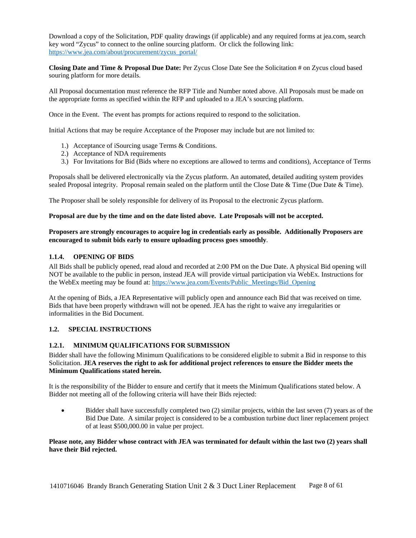Download a copy of the Solicitation, PDF quality drawings (if applicable) and any required forms at jea.com, search key word "Zycus" to connect to the online sourcing platform. Or click the following link: [https://www.jea.com/about/procurement/zycus\\_portal/](https://www.jea.com/about/procurement/zycus_portal/)

**Closing Date and Time & Proposal Due Date:** Per Zycus Close Date See the Solicitation # on Zycus cloud based souring platform for more details.

All Proposal documentation must reference the RFP Title and Number noted above. All Proposals must be made on the appropriate forms as specified within the RFP and uploaded to a JEA's sourcing platform.

Once in the Event. The event has prompts for actions required to respond to the solicitation.

Initial Actions that may be require Acceptance of the Proposer may include but are not limited to:

- 1.) Acceptance of iSourcing usage Terms & Conditions.
- 2.) Acceptance of NDA requirements
- 3.) For Invitations for Bid (Bids where no exceptions are allowed to terms and conditions), Acceptance of Terms

Proposals shall be delivered electronically via the Zycus platform. An automated, detailed auditing system provides sealed Proposal integrity. Proposal remain sealed on the platform until the Close Date & Time (Due Date & Time).

The Proposer shall be solely responsible for delivery of its Proposal to the electronic Zycus platform.

#### **Proposal are due by the time and on the date listed above. Late Proposals will not be accepted.**

## **Proposers are strongly encourages to acquire log in credentials early as possible. Additionally Proposers are encouraged to submit bids early to ensure uploading process goes smoothly**.

#### <span id="page-7-0"></span>**1.1.4. OPENING OF BIDS**

All Bids shall be publicly opened, read aloud and recorded at 2:00 PM on the Due Date. A physical Bid opening will NOT be available to the public in person, instead JEA will provide virtual participation via WebEx. Instructions for the WebEx meeting may be found at: [https://www.jea.com/Events/Public\\_Meetings/Bid\\_Opening](https://www.jea.com/Events/Public_Meetings/Bid_Opening)

At the opening of Bids, a JEA Representative will publicly open and announce each Bid that was received on time. Bids that have been properly withdrawn will not be opened. JEA has the right to waive any irregularities or informalities in the Bid Document.

#### <span id="page-7-1"></span>**1.2. SPECIAL INSTRUCTIONS**

### <span id="page-7-2"></span>**1.2.1. MINIMUM QUALIFICATIONS FOR SUBMISSION**

Bidder shall have the following Minimum Qualifications to be considered eligible to submit a Bid in response to this Solicitation. **JEA reserves the right to ask for additional project references to ensure the Bidder meets the Minimum Qualifications stated herein.**

It is the responsibility of the Bidder to ensure and certify that it meets the Minimum Qualifications stated below. A Bidder not meeting all of the following criteria will have their Bids rejected:

• Bidder shall have successfully completed two (2) similar projects, within the last seven (7) years as of the Bid Due Date. A similar project is considered to be a combustion turbine duct liner replacement project of at least \$500,000.00 in value per project.

### Please note, any Bidder whose contract with JEA was terminated for default within the last two (2) years shall **have their Bid rejected.**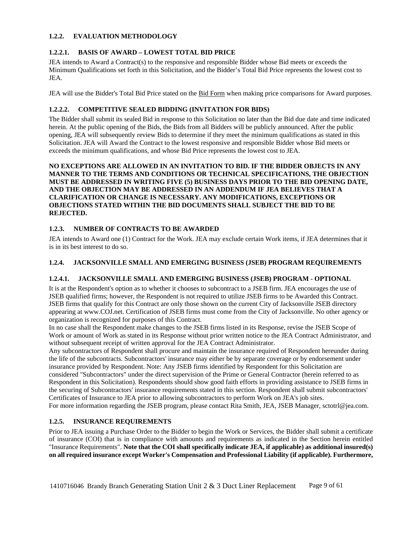## <span id="page-8-0"></span>**1.2.2. EVALUATION METHODOLOGY**

# **1.2.2.1. BASIS OF AWARD – LOWEST TOTAL BID PRICE**

JEA intends to Award a Contract(s) to the responsive and responsible Bidder whose Bid meets or exceeds the Minimum Qualifications set forth in this Solicitation, and the Bidder's Total Bid Price represents the lowest cost to JEA.

JEA will use the Bidder's Total Bid Price stated on the **Bid Form** when making price comparisons for Award purposes.

### **1.2.2.2. COMPETITIVE SEALED BIDDING (INVITATION FOR BIDS)**

The Bidder shall submit its sealed Bid in response to this Solicitation no later than the Bid due date and time indicated herein. At the public opening of the Bids, the Bids from all Bidders will be publicly announced. After the public opening, JEA will subsequently review Bids to determine if they meet the minimum qualifications as stated in this Solicitation. JEA will Award the Contract to the lowest responsive and responsible Bidder whose Bid meets or exceeds the minimum qualifications, and whose Bid Price represents the lowest cost to JEA.

**NO EXCEPTIONS ARE ALLOWED IN AN INVITATION TO BID. IF THE BIDDER OBJECTS IN ANY MANNER TO THE TERMS AND CONDITIONS OR TECHNICAL SPECIFICATIONS, THE OBJECTION MUST BE ADDRESSED IN WRITING FIVE (5) BUSINESS DAYS PRIOR TO THE BID OPENING DATE, AND THE OBJECTION MAY BE ADDRESSED IN AN ADDENDUM IF JEA BELIEVES THAT A CLARIFICATION OR CHANGE IS NECESSARY. ANY MODIFICATIONS, EXCEPTIONS OR OBJECTIONS STATED WITHIN THE BID DOCUMENTS SHALL SUBJECT THE BID TO BE REJECTED.**

### <span id="page-8-1"></span>**1.2.3. NUMBER OF CONTRACTS TO BE AWARDED**

JEA intends to Award one (1) Contract for the Work. JEA may exclude certain Work items, if JEA determines that it is in its best interest to do so.

### <span id="page-8-2"></span>**1.2.4. JACKSONVILLE SMALL AND EMERGING BUSINESS (JSEB) PROGRAM REQUIREMENTS**

### **1.2.4.1. JACKSONVILLE SMALL AND EMERGING BUSINESS (JSEB) PROGRAM - OPTIONAL**

It is at the Respondent's option as to whether it chooses to subcontract to a JSEB firm. JEA encourages the use of JSEB qualified firms; however, the Respondent is not required to utilize JSEB firms to be Awarded this Contract. JSEB firms that qualify for this Contract are only those shown on the current City of Jacksonville JSEB directory appearing at www.COJ.net. Certification of JSEB firms must come from the City of Jacksonville. No other agency or organization is recognized for purposes of this Contract.

In no case shall the Respondent make changes to the JSEB firms listed in its Response, revise the JSEB Scope of Work or amount of Work as stated in its Response without prior written notice to the JEA Contract Administrator, and without subsequent receipt of written approval for the JEA Contract Administrator.

Any subcontractors of Respondent shall procure and maintain the insurance required of Respondent hereunder during the life of the subcontracts. Subcontractors' insurance may either be by separate coverage or by endorsement under insurance provided by Respondent. Note: Any JSEB firms identified by Respondent for this Solicitation are considered "Subcontractors" under the direct supervision of the Prime or General Contractor (herein referred to as Respondent in this Solicitation). Respondents should show good faith efforts in providing assistance to JSEB firms in the securing of Subcontractors' insurance requirements stated in this section. Respondent shall submit subcontractors' Certificates of Insurance to JEA prior to allowing subcontractors to perform Work on JEA's job sites.

<span id="page-8-3"></span>For more information regarding the JSEB program, please contact Rita Smith, JEA, JSEB Manager, sctotrl@jea.com.

# **1.2.5. INSURANCE REQUIREMENTS**

Prior to JEA issuing a Purchase Order to the Bidder to begin the Work or Services, the Bidder shall submit a certificate of insurance (COI) that is in compliance with amounts and requirements as indicated in the Section herein entitled "Insurance Requirements". **Note that the COI shall specifically indicate JEA, if applicable) as additional insured(s) on all required insurance except Worker's Compensation and Professional Liability (if applicable). Furthermore,**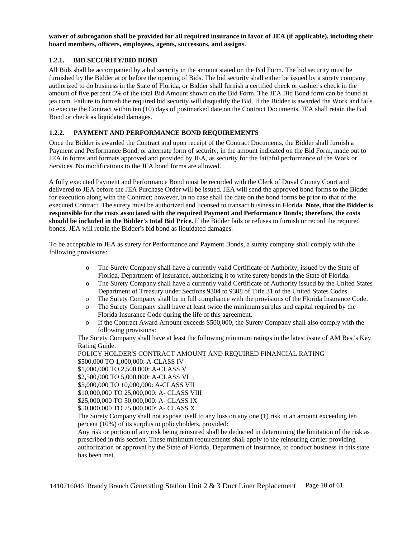waiver of subrogation shall be provided for all required insurance in favor of JEA (if applicable), including their **board members, officers, employees, agents, successors, and assigns.**

### <span id="page-9-0"></span>**1.2.1. BID SECURITY/BID BOND**

All Bids shall be accompanied by a bid security in the amount stated on the Bid Form. The bid security must be furnished by the Bidder at or before the opening of Bids. The bid security shall either be issued by a surety company authorized to do business in the State of Florida, or Bidder shall furnish a certified check or cashier's check in the amount of five percent 5% of the total Bid Amount shown on the Bid Form. The JEA Bid Bond form can be found at jea.com. Failure to furnish the required bid security will disqualify the Bid. If the Bidder is awarded the Work and fails to execute the Contract within ten (10) days of postmarked date on the Contract Documents, JEA shall retain the Bid Bond or check as liquidated damages.

# <span id="page-9-1"></span>**1.2.2. PAYMENT AND PERFORMANCE BOND REQUIREMENTS**

Once the Bidder is awarded the Contract and upon receipt of the Contract Documents, the Bidder shall furnish a Payment and Performance Bond, or alternate form of security, in the amount indicated on the Bid Form, made out to JEA in forms and formats approved and provided by JEA, as security for the faithful performance of the Work or Services. No modifications to the JEA bond forms are allowed.

A fully executed Payment and Performance Bond must be recorded with the Clerk of Duval County Court and delivered to JEA before the JEA Purchase Order will be issued. JEA will send the approved bond forms to the Bidder for execution along with the Contract; however, in no case shall the date on the bond forms be prior to that of the executed Contract. The surety must be authorized and licensed to transact business in Florida. **Note, that the Bidder is responsible for the costs associated with the required Payment and Performance Bonds; therefore, the costs should be included in the Bidder's total Bid Price.** If the Bidder fails or refuses to furnish or record the required bonds, JEA will retain the Bidder's bid bond as liquidated damages.

To be acceptable to JEA as surety for Performance and Payment Bonds, a surety company shall comply with the following provisions:

- o The Surety Company shall have a currently valid Certificate of Authority, issued by the State of Florida, Department of Insurance, authorizing it to write surety bonds in the State of Florida.
- o The Surety Company shall have a currently valid Certificate of Authority issued by the United States Department of Treasury under Sections 9304 to 9308 of Title 31 of the United States Codes.
- o The Surety Company shall be in full compliance with the provisions of the Florida Insurance Code.
- o The Surety Company shall have at least twice the minimum surplus and capital required by the Florida Insurance Code during the life of this agreement.
- o If the Contract Award Amount exceeds \$500,000, the Surety Company shall also comply with the following provisions:

The Surety Company shall have at least the following minimum ratings in the latest issue of AM Best's Key Rating Guide.

POLICY HOLDER'S CONTRACT AMOUNT AND REQUIRED FINANCIAL RATING \$500,000 TO 1,000,000: A-CLASS IV \$1,000,000 TO 2,500,000: A-CLASS V \$2,500,000 TO 5,000,000: A-CLASS VI \$5,000,000 TO 10,000,000: A-CLASS VII \$10,000,000 TO 25,000,000: A- CLASS VIII \$25,000,000 TO 50,000,000: A- CLASS IX \$50,000,000 TO 75,000,000: A- CLASS X The Surety Company shall not expose itself to any loss on any one (1) risk in an amount exceeding ten percent (10%) of its surplus to policyholders, provided: Any risk or portion of any risk being reinsured shall be deducted in determining the limitation of the risk as prescribed in this section. These minimum requirements shall apply to the reinsuring carrier providing

authorization or approval by the State of Florida, Department of Insurance, to conduct business in this state has been met.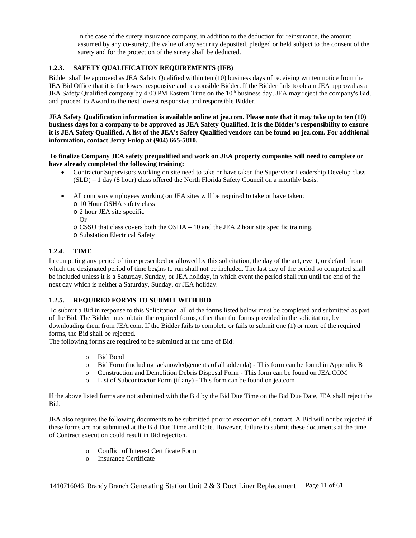In the case of the surety insurance company, in addition to the deduction for reinsurance, the amount assumed by any co-surety, the value of any security deposited, pledged or held subject to the consent of the surety and for the protection of the surety shall be deducted.

# <span id="page-10-0"></span>**1.2.3. SAFETY QUALIFICATION REQUIREMENTS (IFB)**

Bidder shall be approved as JEA Safety Qualified within ten (10) business days of receiving written notice from the JEA Bid Office that it is the lowest responsive and responsible Bidder. If the Bidder fails to obtain JEA approval as a JEA Safety Qualified company by 4:00 PM Eastern Time on the 10<sup>th</sup> business day, JEA may reject the company's Bid, and proceed to Award to the next lowest responsive and responsible Bidder.

**JEA Safety Qualification information is available online at jea.com. Please note that it may take up to ten (10) business days for a company to be approved as JEA Safety Qualified. It is the Bidder's responsibility to ensure it is JEA Safety Qualified. A list of the JEA's Safety Qualified vendors can be found on jea.com. For additional information, contact Jerry Fulop at (904) 665-5810.**

**To finalize Company JEA safety prequalified and work on JEA property companies will need to complete or have already completed the following training:**

- Contractor Supervisors working on site need to take or have taken the Supervisor Leadership Develop class (SLD) – 1 day (8 hour) class offered the North Florida Safety Council on a monthly basis.
- All company employees working on JEA sites will be required to take or have taken:
	- o 10 Hour OSHA safety class
	- o 2 hour JEA site specific
	- Or
	- o CSSO that class covers both the OSHA 10 and the JEA 2 hour site specific training.
	- o Substation Electrical Safety

# <span id="page-10-1"></span>**1.2.4. TIME**

In computing any period of time prescribed or allowed by this solicitation, the day of the act, event, or default from which the designated period of time begins to run shall not be included. The last day of the period so computed shall be included unless it is a Saturday, Sunday, or JEA holiday, in which event the period shall run until the end of the next day which is neither a Saturday, Sunday, or JEA holiday.

### <span id="page-10-2"></span>**1.2.5. REQUIRED FORMS TO SUBMIT WITH BID**

To submit a Bid in response to this Solicitation, all of the forms listed below must be completed and submitted as part of the Bid. The Bidder must obtain the required forms, other than the forms provided in the solicitation, by downloading them from JEA.com. If the Bidder fails to complete or fails to submit one (1) or more of the required forms, the Bid shall be rejected.

The following forms are required to be submitted at the time of Bid:

- o Bid Bond
- o Bid Form (including acknowledgements of all addenda) This form can be found in Appendix B
- o Construction and Demolition Debris Disposal Form This form can be found on JEA.COM
- o List of Subcontractor Form (if any) This form can be found on jea.com

If the above listed forms are not submitted with the Bid by the Bid Due Time on the Bid Due Date, JEA shall reject the Bid.

JEA also requires the following documents to be submitted prior to execution of Contract. A Bid will not be rejected if these forms are not submitted at the Bid Due Time and Date. However, failure to submit these documents at the time of Contract execution could result in Bid rejection.

- o Conflict of Interest Certificate Form
- o Insurance Certificate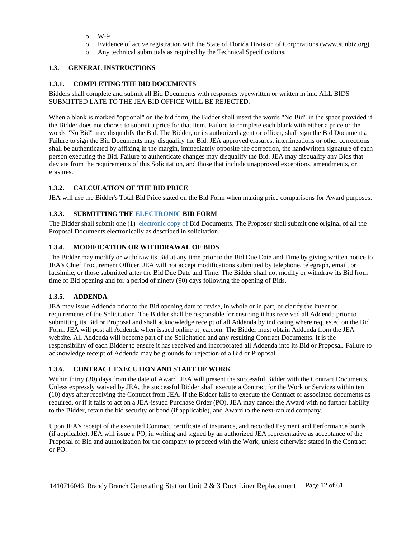- o W-9
- o Evidence of active registration with the State of Florida Division of Corporations (www.sunbiz.org)
- o Any technical submittals as required by the Technical Specifications.

# <span id="page-11-0"></span>**1.3. GENERAL INSTRUCTIONS**

# <span id="page-11-1"></span>**1.3.1. COMPLETING THE BID DOCUMENTS**

Bidders shall complete and submit all Bid Documents with responses typewritten or written in ink. ALL BIDS SUBMITTED LATE TO THE JEA BID OFFICE WILL BE REJECTED.

When a blank is marked "optional" on the bid form, the Bidder shall insert the words "No Bid" in the space provided if the Bidder does not choose to submit a price for that item. Failure to complete each blank with either a price or the words "No Bid" may disqualify the Bid. The Bidder, or its authorized agent or officer, shall sign the Bid Documents. Failure to sign the Bid Documents may disqualify the Bid. JEA approved erasures, interlineations or other corrections shall be authenticated by affixing in the margin, immediately opposite the correction, the handwritten signature of each person executing the Bid. Failure to authenticate changes may disqualify the Bid. JEA may disqualify any Bids that deviate from the requirements of this Solicitation, and those that include unapproved exceptions, amendments, or erasures.

# <span id="page-11-2"></span>**1.3.2. CALCULATION OF THE BID PRICE**

<span id="page-11-3"></span>JEA will use the Bidder's Total Bid Price stated on the Bid Form when making price comparisons for Award purposes.

# **1.3.3. SUBMITTING THE ELECTRONIC BID FORM**

The Bidder shall submit one (1) electronic copy of Bid Documents. The Proposer shall submit one original of all the Proposal Documents electronically as described in solicitation.

# <span id="page-11-4"></span>**1.3.4. MODIFICATION OR WITHDRAWAL OF BIDS**

The Bidder may modify or withdraw its Bid at any time prior to the Bid Due Date and Time by giving written notice to JEA's Chief Procurement Officer. JEA will not accept modifications submitted by telephone, telegraph, email, or facsimile, or those submitted after the Bid Due Date and Time. The Bidder shall not modify or withdraw its Bid from time of Bid opening and for a period of ninety (90) days following the opening of Bids.

### <span id="page-11-5"></span>**1.3.5. ADDENDA**

JEA may issue Addenda prior to the Bid opening date to revise, in whole or in part, or clarify the intent or requirements of the Solicitation. The Bidder shall be responsible for ensuring it has received all Addenda prior to submitting its Bid or Proposal and shall acknowledge receipt of all Addenda by indicating where requested on the Bid Form. JEA will post all Addenda when issued online at jea.com. The Bidder must obtain Addenda from the JEA website. All Addenda will become part of the Solicitation and any resulting Contract Documents. It is the responsibility of each Bidder to ensure it has received and incorporated all Addenda into its Bid or Proposal. Failure to acknowledge receipt of Addenda may be grounds for rejection of a Bid or Proposal.

### <span id="page-11-6"></span>**1.3.6. CONTRACT EXECUTION AND START OF WORK**

Within thirty (30) days from the date of Award, JEA will present the successful Bidder with the Contract Documents. Unless expressly waived by JEA, the successful Bidder shall execute a Contract for the Work or Services within ten (10) days after receiving the Contract from JEA. If the Bidder fails to execute the Contract or associated documents as required, or if it fails to act on a JEA-issued Purchase Order (PO), JEA may cancel the Award with no further liability to the Bidder, retain the bid security or bond (if applicable), and Award to the next-ranked company.

Upon JEA's receipt of the executed Contract, certificate of insurance, and recorded Payment and Performance bonds (if applicable), JEA will issue a PO, in writing and signed by an authorized JEA representative as acceptance of the Proposal or Bid and authorization for the company to proceed with the Work, unless otherwise stated in the Contract or PO.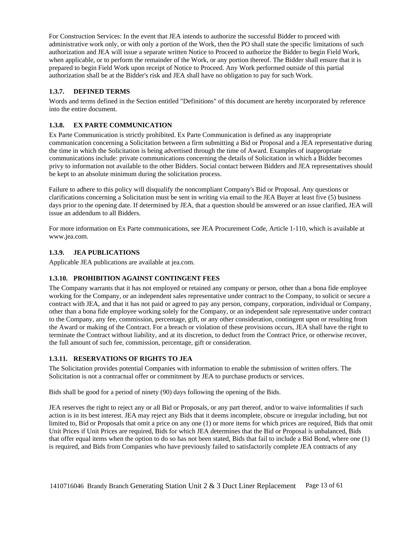For Construction Services: In the event that JEA intends to authorize the successful Bidder to proceed with administrative work only, or with only a portion of the Work, then the PO shall state the specific limitations of such authorization and JEA will issue a separate written Notice to Proceed to authorize the Bidder to begin Field Work, when applicable, or to perform the remainder of the Work, or any portion thereof. The Bidder shall ensure that it is prepared to begin Field Work upon receipt of Notice to Proceed. Any Work performed outside of this partial authorization shall be at the Bidder's risk and JEA shall have no obligation to pay for such Work.

# <span id="page-12-0"></span>**1.3.7. DEFINED TERMS**

Words and terms defined in the Section entitled "Definitions" of this document are hereby incorporated by reference into the entire document.

# <span id="page-12-1"></span>**1.3.8. EX PARTE COMMUNICATION**

Ex Parte Communication is strictly prohibited. Ex Parte Communication is defined as any inappropriate communication concerning a Solicitation between a firm submitting a Bid or Proposal and a JEA representative during the time in which the Solicitation is being advertised through the time of Award. Examples of inappropriate communications include: private communications concerning the details of Solicitation in which a Bidder becomes privy to information not available to the other Bidders. Social contact between Bidders and JEA representatives should be kept to an absolute minimum during the solicitation process.

Failure to adhere to this policy will disqualify the noncompliant Company's Bid or Proposal. Any questions or clarifications concerning a Solicitation must be sent in writing via email to the JEA Buyer at least five (5) business days prior to the opening date. If determined by JEA, that a question should be answered or an issue clarified, JEA will issue an addendum to all Bidders.

For more information on Ex Parte communications, see JEA Procurement Code, Article 1-110, which is available at www.jea.com.

### <span id="page-12-2"></span>**1.3.9. JEA PUBLICATIONS**

<span id="page-12-3"></span>Applicable JEA publications are available at jea.com.

### **1.3.10. PROHIBITION AGAINST CONTINGENT FEES**

The Company warrants that it has not employed or retained any company or person, other than a bona fide employee working for the Company, or an independent sales representative under contract to the Company, to solicit or secure a contract with JEA, and that it has not paid or agreed to pay any person, company, corporation, individual or Company, other than a bona fide employee working solely for the Company, or an independent sale representative under contract to the Company, any fee, commission, percentage, gift, or any other consideration, contingent upon or resulting from the Award or making of the Contract. For a breach or violation of these provisions occurs, JEA shall have the right to terminate the Contract without liability, and at its discretion, to deduct from the Contract Price, or otherwise recover, the full amount of such fee, commission, percentage, gift or consideration.

### <span id="page-12-4"></span>**1.3.11. RESERVATIONS OF RIGHTS TO JEA**

The Solicitation provides potential Companies with information to enable the submission of written offers. The Solicitation is not a contractual offer or commitment by JEA to purchase products or services.

Bids shall be good for a period of ninety (90) days following the opening of the Bids.

JEA reserves the right to reject any or all Bid or Proposals, or any part thereof, and/or to waive informalities if such action is in its best interest. JEA may reject any Bids that it deems incomplete, obscure or irregular including, but not limited to, Bid or Proposals that omit a price on any one (1) or more items for which prices are required, Bids that omit Unit Prices if Unit Prices are required, Bids for which JEA determines that the Bid or Proposal is unbalanced, Bids that offer equal items when the option to do so has not been stated, Bids that fail to include a Bid Bond, where one (1) is required, and Bids from Companies who have previously failed to satisfactorily complete JEA contracts of any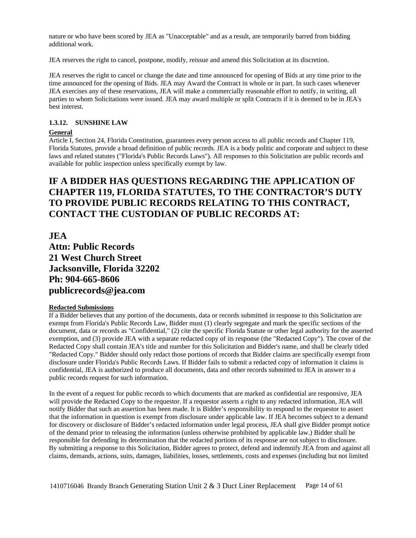nature or who have been scored by JEA as "Unacceptable" and as a result, are temporarily barred from bidding additional work.

JEA reserves the right to cancel, postpone, modify, reissue and amend this Solicitation at its discretion.

JEA reserves the right to cancel or change the date and time announced for opening of Bids at any time prior to the time announced for the opening of Bids. JEA may Award the Contract in whole or in part. In such cases whenever JEA exercises any of these reservations, JEA will make a commercially reasonable effort to notify, in writing, all parties to whom Solicitations were issued. JEA may award multiple or split Contracts if it is deemed to be in JEA's best interest.

#### <span id="page-13-0"></span>**1.3.12. SUNSHINE LAW**

#### **General**

Article I, Section 24, Florida Constitution, guarantees every person access to all public records and Chapter 119, Florida Statutes, provide a broad definition of public records. JEA is a body politic and corporate and subject to these laws and related statutes ("Florida's Public Records Laws"). All responses to this Solicitation are public records and available for public inspection unless specifically exempt by law.

# **IF A BIDDER HAS QUESTIONS REGARDING THE APPLICATION OF CHAPTER 119, FLORIDA STATUTES, TO THE CONTRACTOR'S DUTY TO PROVIDE PUBLIC RECORDS RELATING TO THIS CONTRACT, CONTACT THE CUSTODIAN OF PUBLIC RECORDS AT:**

**JEA Attn: Public Records 21 West Church Street Jacksonville, Florida 32202 Ph: 904-665-8606 publicrecords@jea.com**

#### **Redacted Submissions**

If a Bidder believes that any portion of the documents, data or records submitted in response to this Solicitation are exempt from Florida's Public Records Law, Bidder must (1) clearly segregate and mark the specific sections of the document, data or records as "Confidential," (2) cite the specific Florida Statute or other legal authority for the asserted exemption, and (3) provide JEA with a separate redacted copy of its response (the "Redacted Copy"). The cover of the Redacted Copy shall contain JEA's title and number for this Solicitation and Bidder's name, and shall be clearly titled "Redacted Copy." Bidder should only redact those portions of records that Bidder claims are specifically exempt from disclosure under Florida's Public Records Laws. If Bidder fails to submit a redacted copy of information it claims is confidential, JEA is authorized to produce all documents, data and other records submitted to JEA in answer to a public records request for such information.

In the event of a request for public records to which documents that are marked as confidential are responsive, JEA will provide the Redacted Copy to the requestor. If a requestor asserts a right to any redacted information, JEA will notify Bidder that such an assertion has been made. It is Bidder's responsibility to respond to the requestor to assert that the information in question is exempt from disclosure under applicable law. If JEA becomes subject to a demand for discovery or disclosure of Bidder's redacted information under legal process, JEA shall give Bidder prompt notice of the demand prior to releasing the information (unless otherwise prohibited by applicable law.) Bidder shall be responsible for defending its determination that the redacted portions of its response are not subject to disclosure. By submitting a response to this Solicitation, Bidder agrees to protect, defend and indemnify JEA from and against all claims, demands, actions, suits, damages, liabilities, losses, settlements, costs and expenses (including but not limited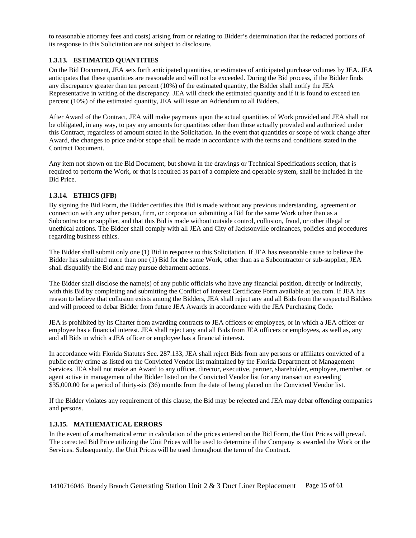to reasonable attorney fees and costs) arising from or relating to Bidder's determination that the redacted portions of its response to this Solicitation are not subject to disclosure.

## <span id="page-14-0"></span>**1.3.13. ESTIMATED QUANTITIES**

On the Bid Document, JEA sets forth anticipated quantities, or estimates of anticipated purchase volumes by JEA. JEA anticipates that these quantities are reasonable and will not be exceeded. During the Bid process, if the Bidder finds any discrepancy greater than ten percent (10%) of the estimated quantity, the Bidder shall notify the JEA Representative in writing of the discrepancy. JEA will check the estimated quantity and if it is found to exceed ten percent (10%) of the estimated quantity, JEA will issue an Addendum to all Bidders.

After Award of the Contract, JEA will make payments upon the actual quantities of Work provided and JEA shall not be obligated, in any way, to pay any amounts for quantities other than those actually provided and authorized under this Contract, regardless of amount stated in the Solicitation. In the event that quantities or scope of work change after Award, the changes to price and/or scope shall be made in accordance with the terms and conditions stated in the Contract Document.

Any item not shown on the Bid Document, but shown in the drawings or Technical Specifications section, that is required to perform the Work, or that is required as part of a complete and operable system, shall be included in the Bid Price.

### <span id="page-14-1"></span>**1.3.14. ETHICS (IFB)**

By signing the Bid Form, the Bidder certifies this Bid is made without any previous understanding, agreement or connection with any other person, firm, or corporation submitting a Bid for the same Work other than as a Subcontractor or supplier, and that this Bid is made without outside control, collusion, fraud, or other illegal or unethical actions. The Bidder shall comply with all JEA and City of Jacksonville ordinances, policies and procedures regarding business ethics.

The Bidder shall submit only one (1) Bid in response to this Solicitation. If JEA has reasonable cause to believe the Bidder has submitted more than one (1) Bid for the same Work, other than as a Subcontractor or sub-supplier, JEA shall disqualify the Bid and may pursue debarment actions.

The Bidder shall disclose the name(s) of any public officials who have any financial position, directly or indirectly, with this Bid by completing and submitting the Conflict of Interest Certificate Form available at jea.com. If JEA has reason to believe that collusion exists among the Bidders, JEA shall reject any and all Bids from the suspected Bidders and will proceed to debar Bidder from future JEA Awards in accordance with the JEA Purchasing Code.

JEA is prohibited by its Charter from awarding contracts to JEA officers or employees, or in which a JEA officer or employee has a financial interest. JEA shall reject any and all Bids from JEA officers or employees, as well as, any and all Bids in which a JEA officer or employee has a financial interest.

In accordance with Florida Statutes Sec. 287.133, JEA shall reject Bids from any persons or affiliates convicted of a public entity crime as listed on the Convicted Vendor list maintained by the Florida Department of Management Services. JEA shall not make an Award to any officer, director, executive, partner, shareholder, employee, member, or agent active in management of the Bidder listed on the Convicted Vendor list for any transaction exceeding \$35,000.00 for a period of thirty-six (36) months from the date of being placed on the Convicted Vendor list.

If the Bidder violates any requirement of this clause, the Bid may be rejected and JEA may debar offending companies and persons.

### <span id="page-14-2"></span>**1.3.15. MATHEMATICAL ERRORS**

In the event of a mathematical error in calculation of the prices entered on the Bid Form, the Unit Prices will prevail. The corrected Bid Price utilizing the Unit Prices will be used to determine if the Company is awarded the Work or the Services. Subsequently, the Unit Prices will be used throughout the term of the Contract.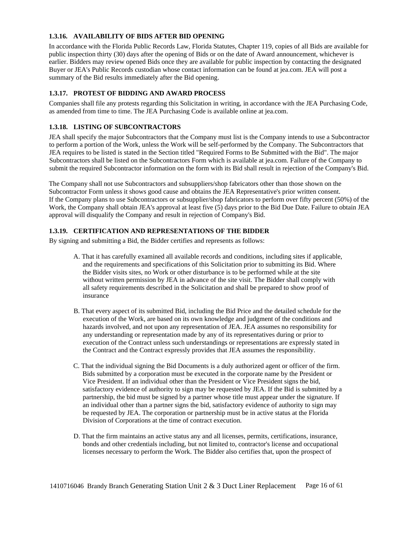# <span id="page-15-0"></span>**1.3.16. AVAILABILITY OF BIDS AFTER BID OPENING**

In accordance with the Florida Public Records Law, Florida Statutes, Chapter 119, copies of all Bids are available for public inspection thirty (30) days after the opening of Bids or on the date of Award announcement, whichever is earlier. Bidders may review opened Bids once they are available for public inspection by contacting the designated Buyer or JEA's Public Records custodian whose contact information can be found at jea.com. JEA will post a summary of the Bid results immediately after the Bid opening.

# <span id="page-15-1"></span>**1.3.17. PROTEST OF BIDDING AND AWARD PROCESS**

Companies shall file any protests regarding this Solicitation in writing, in accordance with the JEA Purchasing Code, as amended from time to time. The JEA Purchasing Code is available online at jea.com.

# <span id="page-15-2"></span>**1.3.18. LISTING OF SUBCONTRACTORS**

JEA shall specify the major Subcontractors that the Company must list is the Company intends to use a Subcontractor to perform a portion of the Work, unless the Work will be self-performed by the Company. The Subcontractors that JEA requires to be listed is stated in the Section titled "Required Forms to Be Submitted with the Bid". The major Subcontractors shall be listed on the Subcontractors Form which is available at jea.com. Failure of the Company to submit the required Subcontractor information on the form with its Bid shall result in rejection of the Company's Bid.

The Company shall not use Subcontractors and subsuppliers/shop fabricators other than those shown on the Subcontractor Form unless it shows good cause and obtains the JEA Representative's prior written consent. If the Company plans to use Subcontractors or subsupplier/shop fabricators to perform over fifty percent (50%) of the Work, the Company shall obtain JEA's approval at least five (5) days prior to the Bid Due Date. Failure to obtain JEA approval will disqualify the Company and result in rejection of Company's Bid.

# <span id="page-15-3"></span>**1.3.19. CERTIFICATION AND REPRESENTATIONS OF THE BIDDER**

By signing and submitting a Bid, the Bidder certifies and represents as follows:

- A. That it has carefully examined all available records and conditions, including sites if applicable, and the requirements and specifications of this Solicitation prior to submitting its Bid. Where the Bidder visits sites, no Work or other disturbance is to be performed while at the site without written permission by JEA in advance of the site visit. The Bidder shall comply with all safety requirements described in the Solicitation and shall be prepared to show proof of insurance
- B. That every aspect of its submitted Bid, including the Bid Price and the detailed schedule for the execution of the Work, are based on its own knowledge and judgment of the conditions and hazards involved, and not upon any representation of JEA. JEA assumes no responsibility for any understanding or representation made by any of its representatives during or prior to execution of the Contract unless such understandings or representations are expressly stated in the Contract and the Contract expressly provides that JEA assumes the responsibility.
- C. That the individual signing the Bid Documents is a duly authorized agent or officer of the firm. Bids submitted by a corporation must be executed in the corporate name by the President or Vice President. If an individual other than the President or Vice President signs the bid, satisfactory evidence of authority to sign may be requested by JEA. If the Bid is submitted by a partnership, the bid must be signed by a partner whose title must appear under the signature. If an individual other than a partner signs the bid, satisfactory evidence of authority to sign may be requested by JEA. The corporation or partnership must be in active status at the Florida Division of Corporations at the time of contract execution.
- D. That the firm maintains an active status any and all licenses, permits, certifications, insurance, bonds and other credentials including, but not limited to, contractor's license and occupational licenses necessary to perform the Work. The Bidder also certifies that, upon the prospect of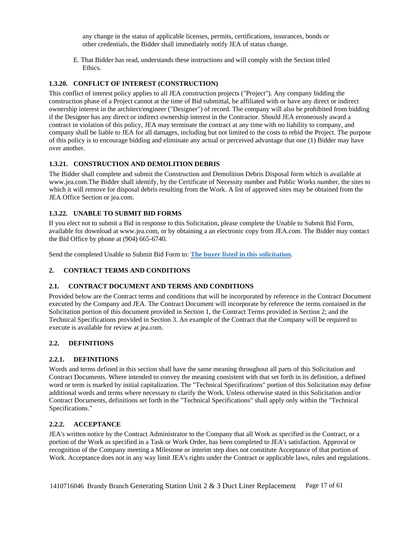any change in the status of applicable licenses, permits, certifications, insurances, bonds or other credentials, the Bidder shall immediately notify JEA of status change.

E. That Bidder has read, understands these instructions and will comply with the Section titled Ethics.

# <span id="page-16-0"></span>**1.3.20. CONFLICT OF INTEREST (CONSTRUCTION)**

This conflict of interest policy applies to all JEA construction projects ("Project"). Any company bidding the construction phase of a Project cannot at the time of Bid submittal, be affiliated with or have any direct or indirect ownership interest in the architect/engineer ("Designer") of record. The company will also be prohibited from bidding if the Designer has any direct or indirect ownership interest in the Contractor. Should JEA erroneously award a contract in violation of this policy, JEA may terminate the contract at any time with no liability to company, and company shall be liable to JEA for all damages, including but not limited to the costs to rebid the Project. The purpose of this policy is to encourage bidding and eliminate any actual or perceived advantage that one (1) Bidder may have over another.

# <span id="page-16-1"></span>**1.3.21. CONSTRUCTION AND DEMOLITION DEBRIS**

The Bidder shall complete and submit the Construction and Demolition Debris Disposal form which is available at www.jea.com.The Bidder shall identify, by the Certificate of Necessity number and Public Works number, the sites to which it will remove for disposal debris resulting from the Work. A list of approved sites may be obtained from the JEA Office Section or jea.com.

# <span id="page-16-2"></span>**1.3.22. UNABLE TO SUBMIT BID FORMS**

If you elect not to submit a Bid in response to this Solicitation, please complete the Unable to Submit Bid Form, available for download at www.jea.com, or by obtaining a an electronic copy from JEA.com. The Bidder may contact the Bid Office by phone at (904) 665-6740.

<span id="page-16-3"></span>Send the completed Unable to Submit Bid Form to: **The buyer listed in this solicitation**.

### **2. CONTRACT TERMS AND CONDITIONS**

### <span id="page-16-4"></span>**2.1. CONTRACT DOCUMENT AND TERMS AND CONDITIONS**

Provided below are the Contract terms and conditions that will be incorporated by reference in the Contract Document executed by the Company and JEA. The Contract Document will incorporate by reference the terms contained in the Solicitation portion of this document provided in Section 1, the Contract Terms provided in Section 2; and the Technical Specifications provided in Section 3. An example of the Contract that the Company will be required to execute is available for review at jea.com.

### <span id="page-16-5"></span>**2.2. DEFINITIONS**

### <span id="page-16-6"></span>**2.2.1. DEFINITIONS**

Words and terms defined in this section shall have the same meaning throughout all parts of this Solicitation and Contract Documents. Where intended to convey the meaning consistent with that set forth in its definition, a defined word or term is marked by initial capitalization. The "Technical Specifications" portion of this Solicitation may define additional words and terms where necessary to clarify the Work. Unless otherwise stated in this Solicitation and/or Contract Documents, definitions set forth in the "Technical Specifications" shall apply only within the "Technical Specifications."

### <span id="page-16-7"></span>**2.2.2. ACCEPTANCE**

JEA's written notice by the Contract Administrator to the Company that all Work as specified in the Contract, or a portion of the Work as specified in a Task or Work Order, has been completed to JEA's satisfaction. Approval or recognition of the Company meeting a Milestone or interim step does not constitute Acceptance of that portion of Work. Acceptance does not in any way limit JEA's rights under the Contract or applicable laws, rules and regulations.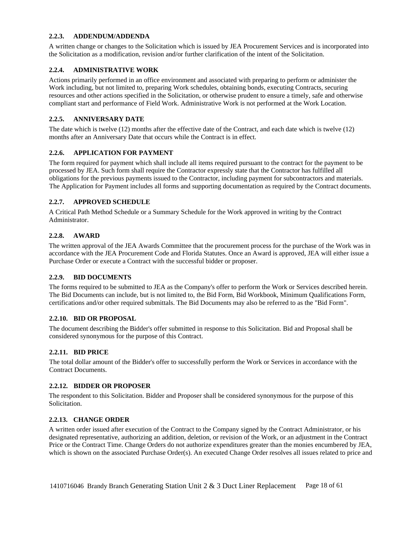#### <span id="page-17-0"></span>**2.2.3. ADDENDUM/ADDENDA**

A written change or changes to the Solicitation which is issued by JEA Procurement Services and is incorporated into the Solicitation as a modification, revision and/or further clarification of the intent of the Solicitation.

### <span id="page-17-1"></span>**2.2.4. ADMINISTRATIVE WORK**

Actions primarily performed in an office environment and associated with preparing to perform or administer the Work including, but not limited to, preparing Work schedules, obtaining bonds, executing Contracts, securing resources and other actions specified in the Solicitation, or otherwise prudent to ensure a timely, safe and otherwise compliant start and performance of Field Work. Administrative Work is not performed at the Work Location.

# <span id="page-17-2"></span>**2.2.5. ANNIVERSARY DATE**

The date which is twelve (12) months after the effective date of the Contract, and each date which is twelve (12) months after an Anniversary Date that occurs while the Contract is in effect.

# <span id="page-17-3"></span>**2.2.6. APPLICATION FOR PAYMENT**

The form required for payment which shall include all items required pursuant to the contract for the payment to be processed by JEA. Such form shall require the Contractor expressly state that the Contractor has fulfilled all obligations for the previous payments issued to the Contractor, including payment for subcontractors and materials. The Application for Payment includes all forms and supporting documentation as required by the Contract documents.

# <span id="page-17-4"></span>**2.2.7. APPROVED SCHEDULE**

A Critical Path Method Schedule or a Summary Schedule for the Work approved in writing by the Contract Administrator.

# <span id="page-17-5"></span>**2.2.8. AWARD**

The written approval of the JEA Awards Committee that the procurement process for the purchase of the Work was in accordance with the JEA Procurement Code and Florida Statutes. Once an Award is approved, JEA will either issue a Purchase Order or execute a Contract with the successful bidder or proposer.

### <span id="page-17-6"></span>**2.2.9. BID DOCUMENTS**

The forms required to be submitted to JEA as the Company's offer to perform the Work or Services described herein. The Bid Documents can include, but is not limited to, the Bid Form, Bid Workbook, Minimum Qualifications Form, certifications and/or other required submittals. The Bid Documents may also be referred to as the "Bid Form".

### <span id="page-17-7"></span>**2.2.10. BID OR PROPOSAL**

The document describing the Bidder's offer submitted in response to this Solicitation. Bid and Proposal shall be considered synonymous for the purpose of this Contract.

### <span id="page-17-8"></span>**2.2.11. BID PRICE**

The total dollar amount of the Bidder's offer to successfully perform the Work or Services in accordance with the Contract Documents.

### <span id="page-17-9"></span>**2.2.12. BIDDER OR PROPOSER**

The respondent to this Solicitation. Bidder and Proposer shall be considered synonymous for the purpose of this Solicitation.

### <span id="page-17-10"></span>**2.2.13. CHANGE ORDER**

A written order issued after execution of the Contract to the Company signed by the Contract Administrator, or his designated representative, authorizing an addition, deletion, or revision of the Work, or an adjustment in the Contract Price or the Contract Time. Change Orders do not authorize expenditures greater than the monies encumbered by JEA, which is shown on the associated Purchase Order(s). An executed Change Order resolves all issues related to price and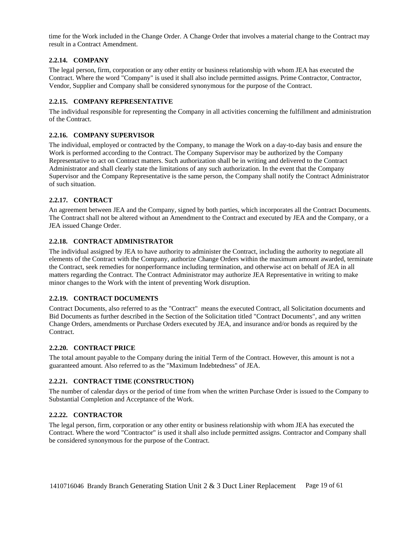time for the Work included in the Change Order. A Change Order that involves a material change to the Contract may result in a Contract Amendment.

# <span id="page-18-0"></span>**2.2.14. COMPANY**

The legal person, firm, corporation or any other entity or business relationship with whom JEA has executed the Contract. Where the word "Company" is used it shall also include permitted assigns. Prime Contractor, Contractor, Vendor, Supplier and Company shall be considered synonymous for the purpose of the Contract.

#### <span id="page-18-1"></span>**2.2.15. COMPANY REPRESENTATIVE**

The individual responsible for representing the Company in all activities concerning the fulfillment and administration of the Contract.

#### <span id="page-18-2"></span>**2.2.16. COMPANY SUPERVISOR**

The individual, employed or contracted by the Company, to manage the Work on a day-to-day basis and ensure the Work is performed according to the Contract. The Company Supervisor may be authorized by the Company Representative to act on Contract matters. Such authorization shall be in writing and delivered to the Contract Administrator and shall clearly state the limitations of any such authorization. In the event that the Company Supervisor and the Company Representative is the same person, the Company shall notify the Contract Administrator of such situation.

### <span id="page-18-3"></span>**2.2.17. CONTRACT**

An agreement between JEA and the Company, signed by both parties, which incorporates all the Contract Documents. The Contract shall not be altered without an Amendment to the Contract and executed by JEA and the Company, or a JEA issued Change Order.

#### <span id="page-18-4"></span>**2.2.18. CONTRACT ADMINISTRATOR**

The individual assigned by JEA to have authority to administer the Contract, including the authority to negotiate all elements of the Contract with the Company, authorize Change Orders within the maximum amount awarded, terminate the Contract, seek remedies for nonperformance including termination, and otherwise act on behalf of JEA in all matters regarding the Contract. The Contract Administrator may authorize JEA Representative in writing to make minor changes to the Work with the intent of preventing Work disruption.

### <span id="page-18-5"></span>**2.2.19. CONTRACT DOCUMENTS**

Contract Documents, also referred to as the "Contract" means the executed Contract, all Solicitation documents and Bid Documents as further described in the Section of the Solicitation titled "Contract Documents", and any written Change Orders, amendments or Purchase Orders executed by JEA, and insurance and/or bonds as required by the Contract.

#### <span id="page-18-6"></span>**2.2.20. CONTRACT PRICE**

The total amount payable to the Company during the initial Term of the Contract. However, this amount is not a guaranteed amount. Also referred to as the "Maximum Indebtedness" of JEA.

### <span id="page-18-7"></span>**2.2.21. CONTRACT TIME (CONSTRUCTION)**

The number of calendar days or the period of time from when the written Purchase Order is issued to the Company to Substantial Completion and Acceptance of the Work.

### <span id="page-18-8"></span>**2.2.22. CONTRACTOR**

The legal person, firm, corporation or any other entity or business relationship with whom JEA has executed the Contract. Where the word "Contractor" is used it shall also include permitted assigns. Contractor and Company shall be considered synonymous for the purpose of the Contract.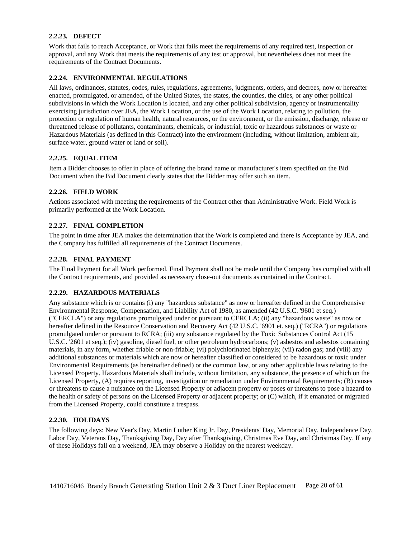### <span id="page-19-0"></span>**2.2.23. DEFECT**

Work that fails to reach Acceptance, or Work that fails meet the requirements of any required test, inspection or approval, and any Work that meets the requirements of any test or approval, but nevertheless does not meet the requirements of the Contract Documents.

# <span id="page-19-1"></span>**2.2.24. ENVIRONMENTAL REGULATIONS**

All laws, ordinances, statutes, codes, rules, regulations, agreements, judgments, orders, and decrees, now or hereafter enacted, promulgated, or amended, of the United States, the states, the counties, the cities, or any other political subdivisions in which the Work Location is located, and any other political subdivision, agency or instrumentality exercising jurisdiction over JEA, the Work Location, or the use of the Work Location, relating to pollution, the protection or regulation of human health, natural resources, or the environment, or the emission, discharge, release or threatened release of pollutants, contaminants, chemicals, or industrial, toxic or hazardous substances or waste or Hazardous Materials (as defined in this Contract) into the environment (including, without limitation, ambient air, surface water, ground water or land or soil).

# <span id="page-19-2"></span>**2.2.25. EQUAL ITEM**

Item a Bidder chooses to offer in place of offering the brand name or manufacturer's item specified on the Bid Document when the Bid Document clearly states that the Bidder may offer such an item.

# <span id="page-19-3"></span>**2.2.26. FIELD WORK**

Actions associated with meeting the requirements of the Contract other than Administrative Work. Field Work is primarily performed at the Work Location.

# <span id="page-19-4"></span>**2.2.27. FINAL COMPLETION**

The point in time after JEA makes the determination that the Work is completed and there is Acceptance by JEA, and the Company has fulfilled all requirements of the Contract Documents.

### <span id="page-19-5"></span>**2.2.28. FINAL PAYMENT**

The Final Payment for all Work performed. Final Payment shall not be made until the Company has complied with all the Contract requirements, and provided as necessary close-out documents as contained in the Contract.

### <span id="page-19-6"></span>**2.2.29. HAZARDOUS MATERIALS**

Any substance which is or contains (i) any "hazardous substance" as now or hereafter defined in the Comprehensive Environmental Response, Compensation, and Liability Act of 1980, as amended (42 U.S.C. '9601 et seq.) ("CERCLA") or any regulations promulgated under or pursuant to CERCLA; (ii) any "hazardous waste" as now or hereafter defined in the Resource Conservation and Recovery Act (42 U.S.C. '6901 et. seq.) ("RCRA") or regulations promulgated under or pursuant to RCRA; (iii) any substance regulated by the Toxic Substances Control Act (15 U.S.C. '2601 et seq.); (iv) gasoline, diesel fuel, or other petroleum hydrocarbons; (v) asbestos and asbestos containing materials, in any form, whether friable or non-friable; (vi) polychlorinated biphenyls; (vii) radon gas; and (viii) any additional substances or materials which are now or hereafter classified or considered to be hazardous or toxic under Environmental Requirements (as hereinafter defined) or the common law, or any other applicable laws relating to the Licensed Property. Hazardous Materials shall include, without limitation, any substance, the presence of which on the Licensed Property, (A) requires reporting, investigation or remediation under Environmental Requirements; (B) causes or threatens to cause a nuisance on the Licensed Property or adjacent property or poses or threatens to pose a hazard to the health or safety of persons on the Licensed Property or adjacent property; or (C) which, if it emanated or migrated from the Licensed Property, could constitute a trespass.

### <span id="page-19-7"></span>**2.2.30. HOLIDAYS**

The following days: New Year's Day, Martin Luther King Jr. Day, Presidents' Day, Memorial Day, Independence Day, Labor Day, Veterans Day, Thanksgiving Day, Day after Thanksgiving, Christmas Eve Day, and Christmas Day. If any of these Holidays fall on a weekend, JEA may observe a Holiday on the nearest weekday.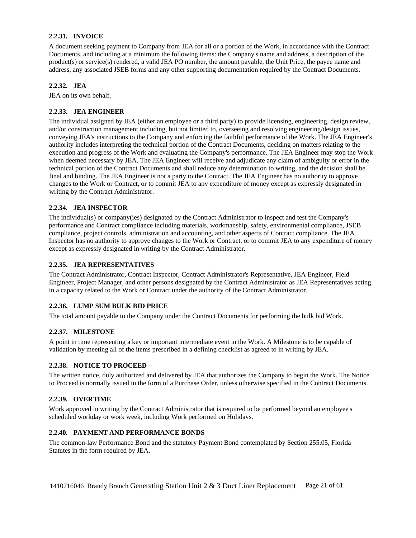## <span id="page-20-0"></span>**2.2.31. INVOICE**

A document seeking payment to Company from JEA for all or a portion of the Work, in accordance with the Contract Documents, and including at a minimum the following items: the Company's name and address, a description of the product(s) or service(s) rendered, a valid JEA PO number, the amount payable, the Unit Price, the payee name and address, any associated JSEB forms and any other supporting documentation required by the Contract Documents.

# <span id="page-20-1"></span>**2.2.32. JEA**

<span id="page-20-2"></span>JEA on its own behalf.

# **2.2.33. JEA ENGINEER**

The individual assigned by JEA (either an employee or a third party) to provide licensing, engineering, design review, and/or construction management including, but not limited to, overseeing and resolving engineering/design issues, conveying JEA's instructions to the Company and enforcing the faithful performance of the Work. The JEA Engineer's authority includes interpreting the technical portion of the Contract Documents, deciding on matters relating to the execution and progress of the Work and evaluating the Company's performance. The JEA Engineer may stop the Work when deemed necessary by JEA. The JEA Engineer will receive and adjudicate any claim of ambiguity or error in the technical portion of the Contract Documents and shall reduce any determination to writing, and the decision shall be final and binding. The JEA Engineer is not a party to the Contract. The JEA Engineer has no authority to approve changes to the Work or Contract, or to commit JEA to any expenditure of money except as expressly designated in writing by the Contract Administrator.

# <span id="page-20-3"></span>**2.2.34. JEA INSPECTOR**

The individual(s) or company(ies) designated by the Contract Administrator to inspect and test the Company's performance and Contract compliance including materials, workmanship, safety, environmental compliance, JSEB compliance, project controls, administration and accounting, and other aspects of Contract compliance. The JEA Inspector has no authority to approve changes to the Work or Contract, or to commit JEA to any expenditure of money except as expressly designated in writing by the Contract Administrator.

# <span id="page-20-4"></span>**2.2.35. JEA REPRESENTATIVES**

The Contract Administrator, Contract Inspector, Contract Administrator's Representative, JEA Engineer, Field Engineer, Project Manager, and other persons designated by the Contract Administrator as JEA Representatives acting in a capacity related to the Work or Contract under the authority of the Contract Administrator.

### <span id="page-20-5"></span>**2.2.36. LUMP SUM BULK BID PRICE**

<span id="page-20-6"></span>The total amount payable to the Company under the Contract Documents for performing the bulk bid Work.

### **2.2.37. MILESTONE**

A point in time representing a key or important intermediate event in the Work. A Milestone is to be capable of validation by meeting all of the items prescribed in a defining checklist as agreed to in writing by JEA.

### <span id="page-20-7"></span>**2.2.38. NOTICE TO PROCEED**

The written notice, duly authorized and delivered by JEA that authorizes the Company to begin the Work. The Notice to Proceed is normally issued in the form of a Purchase Order, unless otherwise specified in the Contract Documents.

### <span id="page-20-8"></span>**2.2.39. OVERTIME**

Work approved in writing by the Contract Administrator that is required to be performed beyond an employee's scheduled workday or work week, including Work performed on Holidays.

### <span id="page-20-9"></span>**2.2.40. PAYMENT AND PERFORMANCE BONDS**

The common-law Performance Bond and the statutory Payment Bond contemplated by Section 255.05, Florida Statutes in the form required by JEA.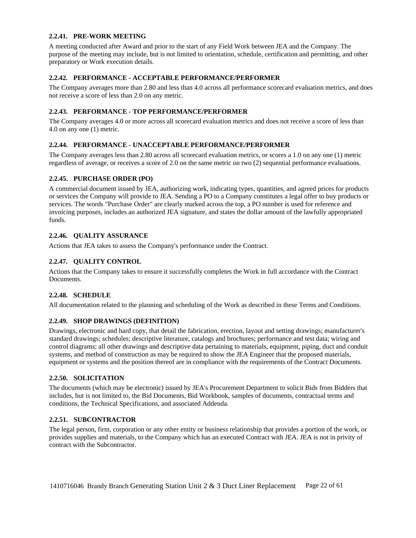#### <span id="page-21-0"></span>**2.2.41. PRE-WORK MEETING**

A meeting conducted after Award and prior to the start of any Field Work between JEA and the Company. The purpose of the meeting may include, but is not limited to orientation, schedule, certification and permitting, and other preparatory or Work execution details.

## <span id="page-21-1"></span>**2.2.42. PERFORMANCE - ACCEPTABLE PERFORMANCE/PERFORMER**

The Company averages more than 2.80 and less than 4.0 across all performance scorecard evaluation metrics, and does not receive a score of less than 2.0 on any metric.

## <span id="page-21-2"></span>**2.2.43. PERFORMANCE - TOP PERFORMANCE/PERFORMER**

The Company averages 4.0 or more across all scorecard evaluation metrics and does not receive a score of less than 4.0 on any one (1) metric.

# <span id="page-21-3"></span>**2.2.44. PERFORMANCE - UNACCEPTABLE PERFORMANCE/PERFORMER**

The Company averages less than 2.80 across all scorecard evaluation metrics, or scores a 1.0 on any one (1) metric regardless of average, or receives a score of 2.0 on the same metric on two (2) sequential performance evaluations.

### <span id="page-21-4"></span>**2.2.45. PURCHASE ORDER (PO)**

A commercial document issued by JEA, authorizing work, indicating types, quantities, and agreed prices for products or services the Company will provide to JEA. Sending a PO to a Company constitutes a legal offer to buy products or services. The words "Purchase Order" are clearly marked across the top, a PO number is used for reference and invoicing purposes, includes an authorized JEA signature, and states the dollar amount of the lawfully appropriated funds.

# <span id="page-21-5"></span>**2.2.46. QUALITY ASSURANCE**

<span id="page-21-6"></span>Actions that JEA takes to assess the Company's performance under the Contract.

# **2.2.47. QUALITY CONTROL**

Actions that the Company takes to ensure it successfully completes the Work in full accordance with the Contract Documents.

### <span id="page-21-7"></span>**2.2.48. SCHEDULE**

<span id="page-21-8"></span>All documentation related to the planning and scheduling of the Work as described in these Terms and Conditions.

### **2.2.49. SHOP DRAWINGS (DEFINITION)**

Drawings, electronic and hard copy, that detail the fabrication, erection, layout and setting drawings; manufacturer's standard drawings; schedules; descriptive literature, catalogs and brochures; performance and test data; wiring and control diagrams; all other drawings and descriptive data pertaining to materials, equipment, piping, duct and conduit systems, and method of construction as may be required to show the JEA Engineer that the proposed materials, equipment or systems and the position thereof are in compliance with the requirements of the Contract Documents.

### <span id="page-21-9"></span>**2.2.50. SOLICITATION**

The documents (which may be electronic) issued by JEA's Procurement Department to solicit Bids from Bidders that includes, but is not limited to, the Bid Documents, Bid Workbook, samples of documents, contractual terms and conditions, the Technical Specifications, and associated Addenda.

### <span id="page-21-10"></span>**2.2.51. SUBCONTRACTOR**

The legal person, firm, corporation or any other entity or business relationship that provides a portion of the work, or provides supplies and materials, to the Company which has an executed Contract with JEA. JEA is not in privity of contract with the Subcontractor.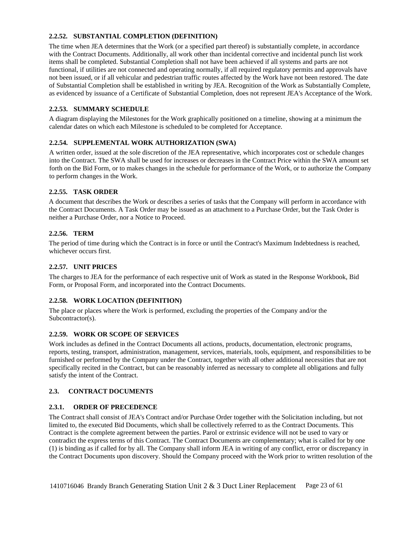# <span id="page-22-0"></span>**2.2.52. SUBSTANTIAL COMPLETION (DEFINITION)**

The time when JEA determines that the Work (or a specified part thereof) is substantially complete, in accordance with the Contract Documents. Additionally, all work other than incidental corrective and incidental punch list work items shall be completed. Substantial Completion shall not have been achieved if all systems and parts are not functional, if utilities are not connected and operating normally, if all required regulatory permits and approvals have not been issued, or if all vehicular and pedestrian traffic routes affected by the Work have not been restored. The date of Substantial Completion shall be established in writing by JEA. Recognition of the Work as Substantially Complete, as evidenced by issuance of a Certificate of Substantial Completion, does not represent JEA's Acceptance of the Work.

### <span id="page-22-1"></span>**2.2.53. SUMMARY SCHEDULE**

A diagram displaying the Milestones for the Work graphically positioned on a timeline, showing at a minimum the calendar dates on which each Milestone is scheduled to be completed for Acceptance.

### <span id="page-22-2"></span>**2.2.54. SUPPLEMENTAL WORK AUTHORIZATION (SWA)**

A written order, issued at the sole discretion of the JEA representative, which incorporates cost or schedule changes into the Contract. The SWA shall be used for increases or decreases in the Contract Price within the SWA amount set forth on the Bid Form, or to makes changes in the schedule for performance of the Work, or to authorize the Company to perform changes in the Work.

# <span id="page-22-3"></span>**2.2.55. TASK ORDER**

A document that describes the Work or describes a series of tasks that the Company will perform in accordance with the Contract Documents. A Task Order may be issued as an attachment to a Purchase Order, but the Task Order is neither a Purchase Order, nor a Notice to Proceed.

# <span id="page-22-4"></span>**2.2.56. TERM**

The period of time during which the Contract is in force or until the Contract's Maximum Indebtedness is reached, whichever occurs first.

# <span id="page-22-5"></span>**2.2.57. UNIT PRICES**

The charges to JEA for the performance of each respective unit of Work as stated in the Response Workbook, Bid Form, or Proposal Form, and incorporated into the Contract Documents.

# <span id="page-22-6"></span>**2.2.58. WORK LOCATION (DEFINITION)**

The place or places where the Work is performed, excluding the properties of the Company and/or the Subcontractor(s).

### <span id="page-22-7"></span>**2.2.59. WORK OR SCOPE OF SERVICES**

Work includes as defined in the Contract Documents all actions, products, documentation, electronic programs, reports, testing, transport, administration, management, services, materials, tools, equipment, and responsibilities to be furnished or performed by the Company under the Contract, together with all other additional necessities that are not specifically recited in the Contract, but can be reasonably inferred as necessary to complete all obligations and fully satisfy the intent of the Contract.

### <span id="page-22-8"></span>**2.3. CONTRACT DOCUMENTS**

### <span id="page-22-9"></span>**2.3.1. ORDER OF PRECEDENCE**

The Contract shall consist of JEA's Contract and/or Purchase Order together with the Solicitation including, but not limited to, the executed Bid Documents, which shall be collectively referred to as the Contract Documents. This Contract is the complete agreement between the parties. Parol or extrinsic evidence will not be used to vary or contradict the express terms of this Contract. The Contract Documents are complementary; what is called for by one (1) is binding as if called for by all. The Company shall inform JEA in writing of any conflict, error or discrepancy in the Contract Documents upon discovery. Should the Company proceed with the Work prior to written resolution of the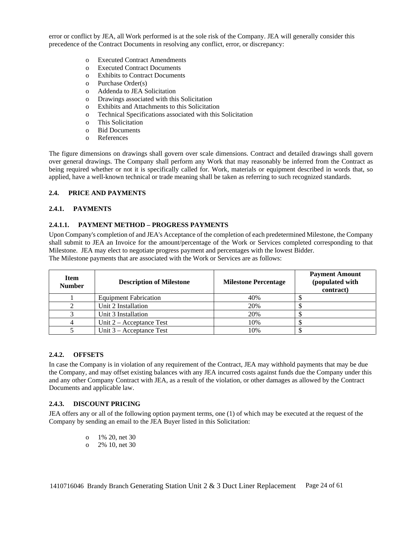error or conflict by JEA, all Work performed is at the sole risk of the Company. JEA will generally consider this precedence of the Contract Documents in resolving any conflict, error, or discrepancy:

- o Executed Contract Amendments
- o Executed Contract Documents
- o Exhibits to Contract Documents
- o Purchase Order(s)
- o Addenda to JEA Solicitation
- o Drawings associated with this Solicitation
- o Exhibits and Attachments to this Solicitation
- o Technical Specifications associated with this Solicitation
- o This Solicitation
- o Bid Documents
- o References

The figure dimensions on drawings shall govern over scale dimensions. Contract and detailed drawings shall govern over general drawings. The Company shall perform any Work that may reasonably be inferred from the Contract as being required whether or not it is specifically called for. Work, materials or equipment described in words that, so applied, have a well-known technical or trade meaning shall be taken as referring to such recognized standards.

## <span id="page-23-0"></span>**2.4. PRICE AND PAYMENTS**

### <span id="page-23-1"></span>**2.4.1. PAYMENTS**

### **2.4.1.1. PAYMENT METHOD – PROGRESS PAYMENTS**

Upon Company's completion of and JEA's Acceptance of the completion of each predetermined Milestone, the Company shall submit to JEA an Invoice for the amount/percentage of the Work or Services completed corresponding to that Milestone. JEA may elect to negotiate progress payment and percentages with the lowest Bidder. The Milestone payments that are associated with the Work or Services are as follows:

| <b>Item</b><br><b>Number</b> | <b>Description of Milestone</b> | <b>Milestone Percentage</b> | <b>Payment Amount</b><br>(populated with<br>contract) |
|------------------------------|---------------------------------|-----------------------------|-------------------------------------------------------|
|                              | <b>Equipment Fabrication</b>    | 40%                         |                                                       |
|                              | Unit 2 Installation             | 20%                         |                                                       |
|                              | Unit 3 Installation             | 20%                         |                                                       |
|                              | Unit $2 -$ Acceptance Test      | 10%                         |                                                       |
|                              | Unit $3 -$ Acceptance Test      | 10%                         |                                                       |

### <span id="page-23-2"></span>**2.4.2. OFFSETS**

In case the Company is in violation of any requirement of the Contract, JEA may withhold payments that may be due the Company, and may offset existing balances with any JEA incurred costs against funds due the Company under this and any other Company Contract with JEA, as a result of the violation, or other damages as allowed by the Contract Documents and applicable law.

### <span id="page-23-3"></span>**2.4.3. DISCOUNT PRICING**

JEA offers any or all of the following option payment terms, one (1) of which may be executed at the request of the Company by sending an email to the JEA Buyer listed in this Solicitation:

- o 1% 20, net 30
- o 2% 10, net 30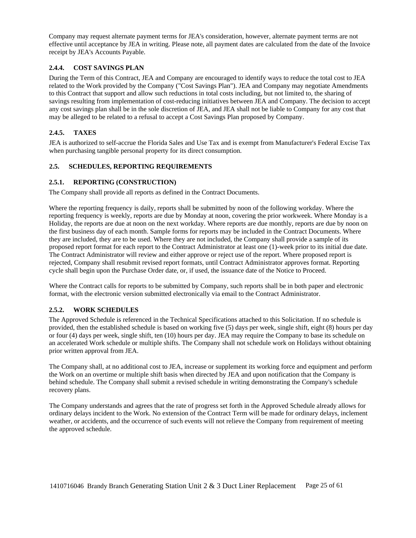Company may request alternate payment terms for JEA's consideration, however, alternate payment terms are not effective until acceptance by JEA in writing. Please note, all payment dates are calculated from the date of the Invoice receipt by JEA's Accounts Payable.

# <span id="page-24-0"></span>**2.4.4. COST SAVINGS PLAN**

During the Term of this Contract, JEA and Company are encouraged to identify ways to reduce the total cost to JEA related to the Work provided by the Company ("Cost Savings Plan"). JEA and Company may negotiate Amendments to this Contract that support and allow such reductions in total costs including, but not limited to, the sharing of savings resulting from implementation of cost-reducing initiatives between JEA and Company. The decision to accept any cost savings plan shall be in the sole discretion of JEA, and JEA shall not be liable to Company for any cost that may be alleged to be related to a refusal to accept a Cost Savings Plan proposed by Company.

# <span id="page-24-1"></span>**2.4.5. TAXES**

JEA is authorized to self-accrue the Florida Sales and Use Tax and is exempt from Manufacturer's Federal Excise Tax when purchasing tangible personal property for its direct consumption.

# <span id="page-24-2"></span>**2.5. SCHEDULES, REPORTING REQUIREMENTS**

# <span id="page-24-3"></span>**2.5.1. REPORTING (CONSTRUCTION)**

The Company shall provide all reports as defined in the Contract Documents.

Where the reporting frequency is daily, reports shall be submitted by noon of the following workday. Where the reporting frequency is weekly, reports are due by Monday at noon, covering the prior workweek. Where Monday is a Holiday, the reports are due at noon on the next workday. Where reports are due monthly, reports are due by noon on the first business day of each month. Sample forms for reports may be included in the Contract Documents. Where they are included, they are to be used. Where they are not included, the Company shall provide a sample of its proposed report format for each report to the Contract Administrator at least one (1)-week prior to its initial due date. The Contract Administrator will review and either approve or reject use of the report. Where proposed report is rejected, Company shall resubmit revised report formats, until Contract Administrator approves format. Reporting cycle shall begin upon the Purchase Order date, or, if used, the issuance date of the Notice to Proceed.

Where the Contract calls for reports to be submitted by Company, such reports shall be in both paper and electronic format, with the electronic version submitted electronically via email to the Contract Administrator.

### <span id="page-24-4"></span>**2.5.2. WORK SCHEDULES**

The Approved Schedule is referenced in the Technical Specifications attached to this Solicitation. If no schedule is provided, then the established schedule is based on working five (5) days per week, single shift, eight (8) hours per day or four (4) days per week, single shift, ten (10) hours per day. JEA may require the Company to base its schedule on an accelerated Work schedule or multiple shifts. The Company shall not schedule work on Holidays without obtaining prior written approval from JEA.

The Company shall, at no additional cost to JEA, increase or supplement its working force and equipment and perform the Work on an overtime or multiple shift basis when directed by JEA and upon notification that the Company is behind schedule. The Company shall submit a revised schedule in writing demonstrating the Company's schedule recovery plans.

The Company understands and agrees that the rate of progress set forth in the Approved Schedule already allows for ordinary delays incident to the Work. No extension of the Contract Term will be made for ordinary delays, inclement weather, or accidents, and the occurrence of such events will not relieve the Company from requirement of meeting the approved schedule.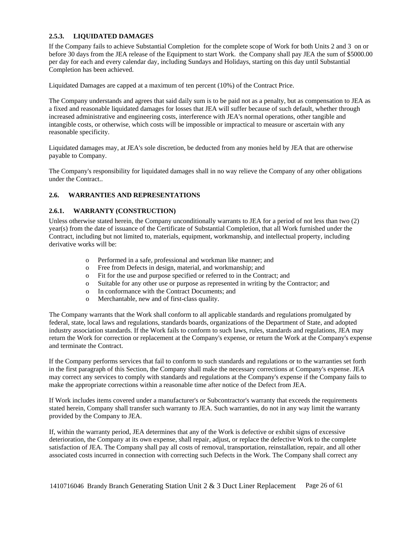### <span id="page-25-0"></span>**2.5.3. LIQUIDATED DAMAGES**

If the Company fails to achieve Substantial Completion for the complete scope of Work for both Units 2 and 3 on or before 30 days from the JEA release of the Equipment to start Work. the Company shall pay JEA the sum of \$5000.00 per day for each and every calendar day, including Sundays and Holidays, starting on this day until Substantial Completion has been achieved.

Liquidated Damages are capped at a maximum of ten percent (10%) of the Contract Price.

The Company understands and agrees that said daily sum is to be paid not as a penalty, but as compensation to JEA as a fixed and reasonable liquidated damages for losses that JEA will suffer because of such default, whether through increased administrative and engineering costs, interference with JEA's normal operations, other tangible and intangible costs, or otherwise, which costs will be impossible or impractical to measure or ascertain with any reasonable specificity.

Liquidated damages may, at JEA's sole discretion, be deducted from any monies held by JEA that are otherwise payable to Company.

The Company's responsibility for liquidated damages shall in no way relieve the Company of any other obligations under the Contract..

# <span id="page-25-1"></span>**2.6. WARRANTIES AND REPRESENTATIONS**

### <span id="page-25-2"></span>**2.6.1. WARRANTY (CONSTRUCTION)**

Unless otherwise stated herein, the Company unconditionally warrants to JEA for a period of not less than two (2) year(s) from the date of issuance of the Certificate of Substantial Completion, that all Work furnished under the Contract, including but not limited to, materials, equipment, workmanship, and intellectual property, including derivative works will be:

- o Performed in a safe, professional and workman like manner; and
- o Free from Defects in design, material, and workmanship; and
- o Fit for the use and purpose specified or referred to in the Contract; and
- o Suitable for any other use or purpose as represented in writing by the Contractor; and
- o In conformance with the Contract Documents; and
- o Merchantable, new and of first-class quality.

The Company warrants that the Work shall conform to all applicable standards and regulations promulgated by federal, state, local laws and regulations, standards boards, organizations of the Department of State, and adopted industry association standards. If the Work fails to conform to such laws, rules, standards and regulations, JEA may return the Work for correction or replacement at the Company's expense, or return the Work at the Company's expense and terminate the Contract.

If the Company performs services that fail to conform to such standards and regulations or to the warranties set forth in the first paragraph of this Section, the Company shall make the necessary corrections at Company's expense. JEA may correct any services to comply with standards and regulations at the Company's expense if the Company fails to make the appropriate corrections within a reasonable time after notice of the Defect from JEA.

If Work includes items covered under a manufacturer's or Subcontractor's warranty that exceeds the requirements stated herein, Company shall transfer such warranty to JEA. Such warranties, do not in any way limit the warranty provided by the Company to JEA.

If, within the warranty period, JEA determines that any of the Work is defective or exhibit signs of excessive deterioration, the Company at its own expense, shall repair, adjust, or replace the defective Work to the complete satisfaction of JEA. The Company shall pay all costs of removal, transportation, reinstallation, repair, and all other associated costs incurred in connection with correcting such Defects in the Work. The Company shall correct any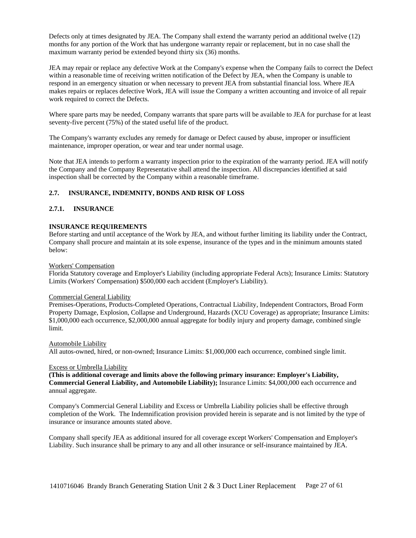Defects only at times designated by JEA. The Company shall extend the warranty period an additional twelve (12) months for any portion of the Work that has undergone warranty repair or replacement, but in no case shall the maximum warranty period be extended beyond thirty six (36) months.

JEA may repair or replace any defective Work at the Company's expense when the Company fails to correct the Defect within a reasonable time of receiving written notification of the Defect by JEA, when the Company is unable to respond in an emergency situation or when necessary to prevent JEA from substantial financial loss. Where JEA makes repairs or replaces defective Work, JEA will issue the Company a written accounting and invoice of all repair work required to correct the Defects.

Where spare parts may be needed, Company warrants that spare parts will be available to JEA for purchase for at least seventy-five percent (75%) of the stated useful life of the product.

The Company's warranty excludes any remedy for damage or Defect caused by abuse, improper or insufficient maintenance, improper operation, or wear and tear under normal usage.

Note that JEA intends to perform a warranty inspection prior to the expiration of the warranty period. JEA will notify the Company and the Company Representative shall attend the inspection. All discrepancies identified at said inspection shall be corrected by the Company within a reasonable timeframe.

# <span id="page-26-0"></span>**2.7. INSURANCE, INDEMNITY, BONDS AND RISK OF LOSS**

#### <span id="page-26-1"></span>**2.7.1. INSURANCE**

#### **INSURANCE REQUIREMENTS**

Before starting and until acceptance of the Work by JEA, and without further limiting its liability under the Contract, Company shall procure and maintain at its sole expense, insurance of the types and in the minimum amounts stated below:

#### Workers' Compensation

Florida Statutory coverage and Employer's Liability (including appropriate Federal Acts); Insurance Limits: Statutory Limits (Workers' Compensation) \$500,000 each accident (Employer's Liability).

#### Commercial General Liability

Premises-Operations, Products-Completed Operations, Contractual Liability, Independent Contractors, Broad Form Property Damage, Explosion, Collapse and Underground, Hazards (XCU Coverage) as appropriate; Insurance Limits: \$1,000,000 each occurrence, \$2,000,000 annual aggregate for bodily injury and property damage, combined single limit.

Automobile Liability

All autos-owned, hired, or non-owned; Insurance Limits: \$1,000,000 each occurrence, combined single limit.

#### Excess or Umbrella Liability

**(This is additional coverage and limits above the following primary insurance: Employer's Liability, Commercial General Liability, and Automobile Liability);** Insurance Limits: \$4,000,000 each occurrence and annual aggregate.

Company's Commercial General Liability and Excess or Umbrella Liability policies shall be effective through completion of the Work. The Indemnification provision provided herein is separate and is not limited by the type of insurance or insurance amounts stated above.

Company shall specify JEA as additional insured for all coverage except Workers' Compensation and Employer's Liability. Such insurance shall be primary to any and all other insurance or self-insurance maintained by JEA.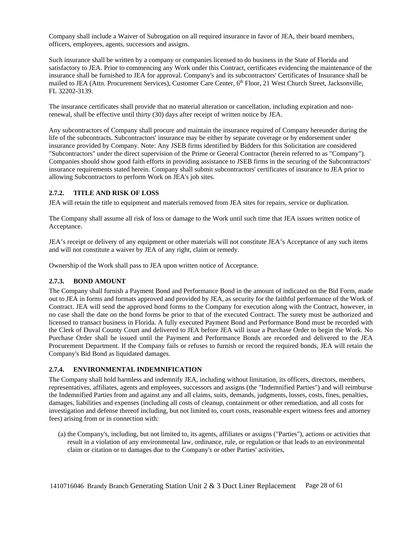Company shall include a Waiver of Subrogation on all required insurance in favor of JEA, their board members, officers, employees, agents, successors and assigns.

Such insurance shall be written by a company or companies licensed to do business in the State of Florida and satisfactory to JEA. Prior to commencing any Work under this Contract, certificates evidencing the maintenance of the insurance shall be furnished to JEA for approval. Company's and its subcontractors' Certificates of Insurance shall be mailed to JEA (Attn. Procurement Services), Customer Care Center, 6<sup>th</sup> Floor, 21 West Church Street, Jacksonville, FL 32202-3139.

The insurance certificates shall provide that no material alteration or cancellation, including expiration and nonrenewal, shall be effective until thirty (30) days after receipt of written notice by JEA.

Any subcontractors of Company shall procure and maintain the insurance required of Company hereunder during the life of the subcontracts. Subcontractors' insurance may be either by separate coverage or by endorsement under insurance provided by Company. Note: Any JSEB firms identified by Bidders for this Solicitation are considered "Subcontractors" under the direct supervision of the Prime or General Contractor (herein referred to as "Company"). Companies should show good faith efforts in providing assistance to JSEB firms in the securing of the Subcontractors' insurance requirements stated herein. Company shall submit subcontractors' certificates of insurance to JEA prior to allowing Subcontractors to perform Work on JEA's job sites.

#### <span id="page-27-0"></span>**2.7.2. TITLE AND RISK OF LOSS**

JEA will retain the title to equipment and materials removed from JEA sites for repairs, service or duplication.

The Company shall assume all risk of loss or damage to the Work until such time that JEA issues written notice of Acceptance.

JEA's receipt or delivery of any equipment or other materials will not constitute JEA's Acceptance of any such items and will not constitute a waiver by JEA of any right, claim or remedy.

<span id="page-27-1"></span>Ownership of the Work shall pass to JEA upon written notice of Acceptance.

### **2.7.3. BOND AMOUNT**

The Company shall furnish a Payment Bond and Performance Bond in the amount of indicated on the Bid Form, made out to JEA in forms and formats approved and provided by JEA, as security for the faithful performance of the Work of Contract. JEA will send the approved bond forms to the Company for execution along with the Contract, however, in no case shall the date on the bond forms be prior to that of the executed Contract. The surety must be authorized and licensed to transact business in Florida. A fully executed Payment Bond and Performance Bond must be recorded with the Clerk of Duval County Court and delivered to JEA before JEA will issue a Purchase Order to begin the Work. No Purchase Order shall be issued until the Payment and Performance Bonds are recorded and delivered to the JEA Procurement Department. If the Company fails or refuses to furnish or record the required bonds, JEA will retain the Company's Bid Bond as liquidated damages.

### <span id="page-27-2"></span>**2.7.4. ENVIRONMENTAL INDEMNIFICATION**

The Company shall hold harmless and indemnify JEA, including without limitation, its officers, directors, members, representatives, affiliates, agents and employees, successors and assigns (the "Indemnified Parties") and will reimburse the Indemnified Parties from and against any and all claims, suits, demands, judgments, losses, costs, fines, penalties, damages, liabilities and expenses (including all costs of cleanup, containment or other remediation, and all costs for investigation and defense thereof including, but not limited to, court costs, reasonable expert witness fees and attorney fees) arising from or in connection with:

(a) the Company's, including, but not limited to, its agents, affiliates or assigns ("Parties"), actions or activities that result in a violation of any environmental law, ordinance, rule, or regulation or that leads to an environmental claim or citation or to damages due to the Company's or other Parties' activities,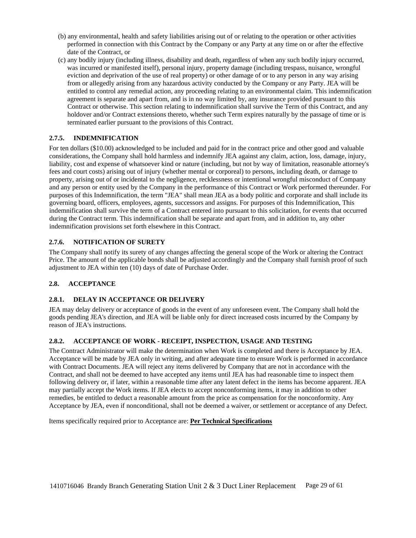- (b) any environmental, health and safety liabilities arising out of or relating to the operation or other activities performed in connection with this Contract by the Company or any Party at any time on or after the effective date of the Contract, or
- (c) any bodily injury (including illness, disability and death, regardless of when any such bodily injury occurred, was incurred or manifested itself), personal injury, property damage (including trespass, nuisance, wrongful eviction and deprivation of the use of real property) or other damage of or to any person in any way arising from or allegedly arising from any hazardous activity conducted by the Company or any Party. JEA will be entitled to control any remedial action, any proceeding relating to an environmental claim. This indemnification agreement is separate and apart from, and is in no way limited by, any insurance provided pursuant to this Contract or otherwise. This section relating to indemnification shall survive the Term of this Contract, and any holdover and/or Contract extensions thereto, whether such Term expires naturally by the passage of time or is terminated earlier pursuant to the provisions of this Contract.

# <span id="page-28-0"></span>**2.7.5. INDEMNIFICATION**

For ten dollars (\$10.00) acknowledged to be included and paid for in the contract price and other good and valuable considerations, the Company shall hold harmless and indemnify JEA against any claim, action, loss, damage, injury, liability, cost and expense of whatsoever kind or nature (including, but not by way of limitation, reasonable attorney's fees and court costs) arising out of injury (whether mental or corporeal) to persons, including death, or damage to property, arising out of or incidental to the negligence, recklessness or intentional wrongful misconduct of Company and any person or entity used by the Company in the performance of this Contract or Work performed thereunder. For purposes of this Indemnification, the term "JEA" shall mean JEA as a body politic and corporate and shall include its governing board, officers, employees, agents, successors and assigns. For purposes of this Indemnification, This indemnification shall survive the term of a Contract entered into pursuant to this solicitation, for events that occurred during the Contract term. This indemnification shall be separate and apart from, and in addition to, any other indemnification provisions set forth elsewhere in this Contract.

### <span id="page-28-1"></span>**2.7.6. NOTIFICATION OF SURETY**

The Company shall notify its surety of any changes affecting the general scope of the Work or altering the Contract Price. The amount of the applicable bonds shall be adjusted accordingly and the Company shall furnish proof of such adjustment to JEA within ten (10) days of date of Purchase Order.

# <span id="page-28-2"></span>**2.8. ACCEPTANCE**

### <span id="page-28-3"></span>**2.8.1. DELAY IN ACCEPTANCE OR DELIVERY**

JEA may delay delivery or acceptance of goods in the event of any unforeseen event. The Company shall hold the goods pending JEA's direction, and JEA will be liable only for direct increased costs incurred by the Company by reason of JEA's instructions.

### <span id="page-28-4"></span>**2.8.2. ACCEPTANCE OF WORK - RECEIPT, INSPECTION, USAGE AND TESTING**

The Contract Administrator will make the determination when Work is completed and there is Acceptance by JEA. Acceptance will be made by JEA only in writing, and after adequate time to ensure Work is performed in accordance with Contract Documents. JEA will reject any items delivered by Company that are not in accordance with the Contract, and shall not be deemed to have accepted any items until JEA has had reasonable time to inspect them following delivery or, if later, within a reasonable time after any latent defect in the items has become apparent. JEA may partially accept the Work items. If JEA elects to accept nonconforming items, it may in addition to other remedies, be entitled to deduct a reasonable amount from the price as compensation for the nonconformity. Any Acceptance by JEA, even if nonconditional, shall not be deemed a waiver, or settlement or acceptance of any Defect.

Items specifically required prior to Acceptance are: **Per Technical Specifications**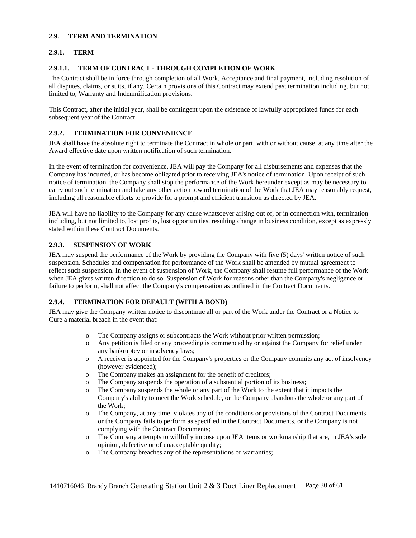#### <span id="page-29-0"></span>**2.9. TERM AND TERMINATION**

## <span id="page-29-1"></span>**2.9.1. TERM**

## **2.9.1.1. TERM OF CONTRACT - THROUGH COMPLETION OF WORK**

The Contract shall be in force through completion of all Work, Acceptance and final payment, including resolution of all disputes, claims, or suits, if any. Certain provisions of this Contract may extend past termination including, but not limited to, Warranty and Indemnification provisions.

This Contract, after the initial year, shall be contingent upon the existence of lawfully appropriated funds for each subsequent year of the Contract.

## <span id="page-29-2"></span>**2.9.2. TERMINATION FOR CONVENIENCE**

JEA shall have the absolute right to terminate the Contract in whole or part, with or without cause, at any time after the Award effective date upon written notification of such termination.

In the event of termination for convenience, JEA will pay the Company for all disbursements and expenses that the Company has incurred, or has become obligated prior to receiving JEA's notice of termination. Upon receipt of such notice of termination, the Company shall stop the performance of the Work hereunder except as may be necessary to carry out such termination and take any other action toward termination of the Work that JEA may reasonably request, including all reasonable efforts to provide for a prompt and efficient transition as directed by JEA.

JEA will have no liability to the Company for any cause whatsoever arising out of, or in connection with, termination including, but not limited to, lost profits, lost opportunities, resulting change in business condition, except as expressly stated within these Contract Documents.

### <span id="page-29-3"></span>**2.9.3. SUSPENSION OF WORK**

JEA may suspend the performance of the Work by providing the Company with five (5) days' written notice of such suspension. Schedules and compensation for performance of the Work shall be amended by mutual agreement to reflect such suspension. In the event of suspension of Work, the Company shall resume full performance of the Work when JEA gives written direction to do so. Suspension of Work for reasons other than the Company's negligence or failure to perform, shall not affect the Company's compensation as outlined in the Contract Documents.

### <span id="page-29-4"></span>**2.9.4. TERMINATION FOR DEFAULT (WITH A BOND)**

JEA may give the Company written notice to discontinue all or part of the Work under the Contract or a Notice to Cure a material breach in the event that:

- o The Company assigns or subcontracts the Work without prior written permission;
- o Any petition is filed or any proceeding is commenced by or against the Company for relief under any bankruptcy or insolvency laws;
- o A receiver is appointed for the Company's properties or the Company commits any act of insolvency (however evidenced);
- o The Company makes an assignment for the benefit of creditors;
- o The Company suspends the operation of a substantial portion of its business;
- o The Company suspends the whole or any part of the Work to the extent that it impacts the Company's ability to meet the Work schedule, or the Company abandons the whole or any part of the Work;
- o The Company, at any time, violates any of the conditions or provisions of the Contract Documents, or the Company fails to perform as specified in the Contract Documents, or the Company is not complying with the Contract Documents;
- o The Company attempts to willfully impose upon JEA items or workmanship that are, in JEA's sole opinion, defective or of unacceptable quality;
- o The Company breaches any of the representations or warranties;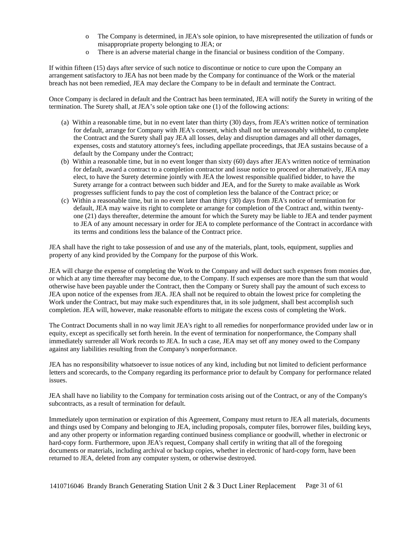- o The Company is determined, in JEA's sole opinion, to have misrepresented the utilization of funds or misappropriate property belonging to JEA; or
- o There is an adverse material change in the financial or business condition of the Company.

If within fifteen (15) days after service of such notice to discontinue or notice to cure upon the Company an arrangement satisfactory to JEA has not been made by the Company for continuance of the Work or the material breach has not been remedied, JEA may declare the Company to be in default and terminate the Contract.

Once Company is declared in default and the Contract has been terminated, JEA will notify the Surety in writing of the termination. The Surety shall, at JEA's sole option take one (1) of the following actions:

- (a) Within a reasonable time, but in no event later than thirty (30) days, from JEA's written notice of termination for default, arrange for Company with JEA's consent, which shall not be unreasonably withheld, to complete the Contract and the Surety shall pay JEA all losses, delay and disruption damages and all other damages, expenses, costs and statutory attorney's fees, including appellate proceedings, that JEA sustains because of a default by the Company under the Contract;
- (b) Within a reasonable time, but in no event longer than sixty (60) days after JEA's written notice of termination for default, award a contract to a completion contractor and issue notice to proceed or alternatively, JEA may elect, to have the Surety determine jointly with JEA the lowest responsible qualified bidder, to have the Surety arrange for a contract between such bidder and JEA, and for the Surety to make available as Work progresses sufficient funds to pay the cost of completion less the balance of the Contract price; or
- (c) Within a reasonable time, but in no event later than thirty (30) days from JEA's notice of termination for default, JEA may waive its right to complete or arrange for completion of the Contract and, within twentyone (21) days thereafter, determine the amount for which the Surety may be liable to JEA and tender payment to JEA of any amount necessary in order for JEA to complete performance of the Contract in accordance with its terms and conditions less the balance of the Contract price.

JEA shall have the right to take possession of and use any of the materials, plant, tools, equipment, supplies and property of any kind provided by the Company for the purpose of this Work.

JEA will charge the expense of completing the Work to the Company and will deduct such expenses from monies due, or which at any time thereafter may become due, to the Company. If such expenses are more than the sum that would otherwise have been payable under the Contract, then the Company or Surety shall pay the amount of such excess to JEA upon notice of the expenses from JEA. JEA shall not be required to obtain the lowest price for completing the Work under the Contract, but may make such expenditures that, in its sole judgment, shall best accomplish such completion. JEA will, however, make reasonable efforts to mitigate the excess costs of completing the Work.

The Contract Documents shall in no way limit JEA's right to all remedies for nonperformance provided under law or in equity, except as specifically set forth herein. In the event of termination for nonperformance, the Company shall immediately surrender all Work records to JEA. In such a case, JEA may set off any money owed to the Company against any liabilities resulting from the Company's nonperformance.

JEA has no responsibility whatsoever to issue notices of any kind, including but not limited to deficient performance letters and scorecards, to the Company regarding its performance prior to default by Company for performance related issues.

JEA shall have no liability to the Company for termination costs arising out of the Contract, or any of the Company's subcontracts, as a result of termination for default.

Immediately upon termination or expiration of this Agreement, Company must return to JEA all materials, documents and things used by Company and belonging to JEA, including proposals, computer files, borrower files, building keys, and any other property or information regarding continued business compliance or goodwill, whether in electronic or hard-copy form. Furthermore, upon JEA's request, Company shall certify in writing that all of the foregoing documents or materials, including archival or backup copies, whether in electronic of hard-copy form, have been returned to JEA, deleted from any computer system, or otherwise destroyed.

1410716046 Brandy Branch Generating Station Unit 2 & 3 Duct Liner Replacement Page 31 of 61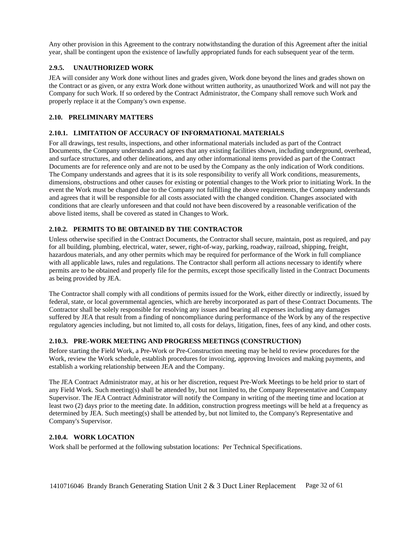Any other provision in this Agreement to the contrary notwithstanding the duration of this Agreement after the initial year, shall be contingent upon the existence of lawfully appropriated funds for each subsequent year of the term.

# <span id="page-31-0"></span>**2.9.5. UNAUTHORIZED WORK**

JEA will consider any Work done without lines and grades given, Work done beyond the lines and grades shown on the Contract or as given, or any extra Work done without written authority, as unauthorized Work and will not pay the Company for such Work. If so ordered by the Contract Administrator, the Company shall remove such Work and properly replace it at the Company's own expense.

# <span id="page-31-1"></span>**2.10. PRELIMINARY MATTERS**

# <span id="page-31-2"></span>**2.10.1. LIMITATION OF ACCURACY OF INFORMATIONAL MATERIALS**

For all drawings, test results, inspections, and other informational materials included as part of the Contract Documents, the Company understands and agrees that any existing facilities shown, including underground, overhead, and surface structures, and other delineations, and any other informational items provided as part of the Contract Documents are for reference only and are not to be used by the Company as the only indication of Work conditions. The Company understands and agrees that it is its sole responsibility to verify all Work conditions, measurements, dimensions, obstructions and other causes for existing or potential changes to the Work prior to initiating Work. In the event the Work must be changed due to the Company not fulfilling the above requirements, the Company understands and agrees that it will be responsible for all costs associated with the changed condition. Changes associated with conditions that are clearly unforeseen and that could not have been discovered by a reasonable verification of the above listed items, shall be covered as stated in Changes to Work.

# <span id="page-31-3"></span>**2.10.2. PERMITS TO BE OBTAINED BY THE CONTRACTOR**

Unless otherwise specified in the Contract Documents, the Contractor shall secure, maintain, post as required, and pay for all building, plumbing, electrical, water, sewer, right-of-way, parking, roadway, railroad, shipping, freight, hazardous materials, and any other permits which may be required for performance of the Work in full compliance with all applicable laws, rules and regulations. The Contractor shall perform all actions necessary to identify where permits are to be obtained and properly file for the permits, except those specifically listed in the Contract Documents as being provided by JEA.

The Contractor shall comply with all conditions of permits issued for the Work, either directly or indirectly, issued by federal, state, or local governmental agencies, which are hereby incorporated as part of these Contract Documents. The Contractor shall be solely responsible for resolving any issues and bearing all expenses including any damages suffered by JEA that result from a finding of noncompliance during performance of the Work by any of the respective regulatory agencies including, but not limited to, all costs for delays, litigation, fines, fees of any kind, and other costs.

### <span id="page-31-4"></span>**2.10.3. PRE-WORK MEETING AND PROGRESS MEETINGS (CONSTRUCTION)**

Before starting the Field Work, a Pre-Work or Pre-Construction meeting may be held to review procedures for the Work, review the Work schedule, establish procedures for invoicing, approving Invoices and making payments, and establish a working relationship between JEA and the Company.

The JEA Contract Administrator may, at his or her discretion, request Pre-Work Meetings to be held prior to start of any Field Work. Such meeting(s) shall be attended by, but not limited to, the Company Representative and Company Supervisor. The JEA Contract Administrator will notify the Company in writing of the meeting time and location at least two (2) days prior to the meeting date. In addition, construction progress meetings will be held at a frequency as determined by JEA. Such meeting(s) shall be attended by, but not limited to, the Company's Representative and Company's Supervisor.

# <span id="page-31-5"></span>**2.10.4. WORK LOCATION**

Work shall be performed at the following substation locations: Per Technical Specifications.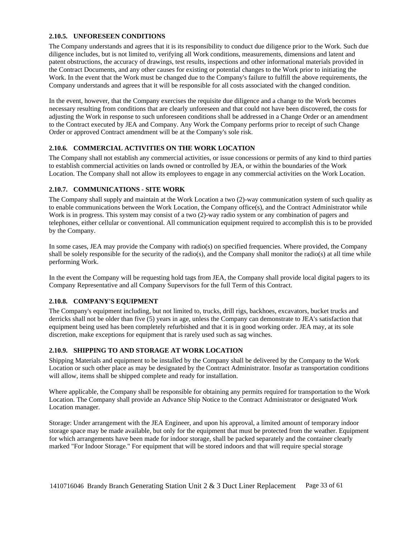#### <span id="page-32-0"></span>**2.10.5. UNFORESEEN CONDITIONS**

The Company understands and agrees that it is its responsibility to conduct due diligence prior to the Work. Such due diligence includes, but is not limited to, verifying all Work conditions, measurements, dimensions and latent and patent obstructions, the accuracy of drawings, test results, inspections and other informational materials provided in the Contract Documents, and any other causes for existing or potential changes to the Work prior to initiating the Work. In the event that the Work must be changed due to the Company's failure to fulfill the above requirements, the Company understands and agrees that it will be responsible for all costs associated with the changed condition.

In the event, however, that the Company exercises the requisite due diligence and a change to the Work becomes necessary resulting from conditions that are clearly unforeseen and that could not have been discovered, the costs for adjusting the Work in response to such unforeseen conditions shall be addressed in a Change Order or an amendment to the Contract executed by JEA and Company. Any Work the Company performs prior to receipt of such Change Order or approved Contract amendment will be at the Company's sole risk.

### <span id="page-32-1"></span>**2.10.6. COMMERCIAL ACTIVITIES ON THE WORK LOCATION**

The Company shall not establish any commercial activities, or issue concessions or permits of any kind to third parties to establish commercial activities on lands owned or controlled by JEA, or within the boundaries of the Work Location. The Company shall not allow its employees to engage in any commercial activities on the Work Location.

### <span id="page-32-2"></span>**2.10.7. COMMUNICATIONS - SITE WORK**

The Company shall supply and maintain at the Work Location a two (2)-way communication system of such quality as to enable communications between the Work Location, the Company office(s), and the Contract Administrator while Work is in progress. This system may consist of a two (2)-way radio system or any combination of pagers and telephones, either cellular or conventional. All communication equipment required to accomplish this is to be provided by the Company.

In some cases, JEA may provide the Company with radio(s) on specified frequencies. Where provided, the Company shall be solely responsible for the security of the radio(s), and the Company shall monitor the radio(s) at all time while performing Work.

In the event the Company will be requesting hold tags from JEA, the Company shall provide local digital pagers to its Company Representative and all Company Supervisors for the full Term of this Contract.

### <span id="page-32-3"></span>**2.10.8. COMPANY'S EQUIPMENT**

The Company's equipment including, but not limited to, trucks, drill rigs, backhoes, excavators, bucket trucks and derricks shall not be older than five (5) years in age, unless the Company can demonstrate to JEA's satisfaction that equipment being used has been completely refurbished and that it is in good working order. JEA may, at its sole discretion, make exceptions for equipment that is rarely used such as sag winches.

## <span id="page-32-4"></span>**2.10.9. SHIPPING TO AND STORAGE AT WORK LOCATION**

Shipping Materials and equipment to be installed by the Company shall be delivered by the Company to the Work Location or such other place as may be designated by the Contract Administrator. Insofar as transportation conditions will allow, items shall be shipped complete and ready for installation.

Where applicable, the Company shall be responsible for obtaining any permits required for transportation to the Work Location. The Company shall provide an Advance Ship Notice to the Contract Administrator or designated Work Location manager.

Storage: Under arrangement with the JEA Engineer, and upon his approval, a limited amount of temporary indoor storage space may be made available, but only for the equipment that must be protected from the weather. Equipment for which arrangements have been made for indoor storage, shall be packed separately and the container clearly marked "For Indoor Storage." For equipment that will be stored indoors and that will require special storage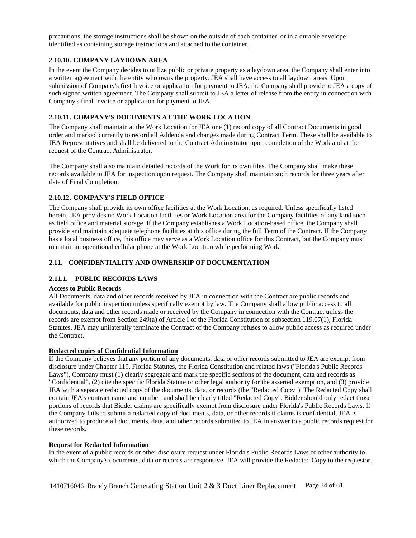precautions, the storage instructions shall be shown on the outside of each container, or in a durable envelope identified as containing storage instructions and attached to the container.

#### <span id="page-33-0"></span>**2.10.10. COMPANY LAYDOWN AREA**

In the event the Company decides to utilize public or private property as a laydown area, the Company shall enter into a written agreement with the entity who owns the property. JEA shall have access to all laydown areas. Upon submission of Company's first Invoice or application for payment to JEA, the Company shall provide to JEA a copy of such signed written agreement. The Company shall submit to JEA a letter of release from the entity in connection with Company's final Invoice or application for payment to JEA.

## <span id="page-33-1"></span>**2.10.11. COMPANY'S DOCUMENTS AT THE WORK LOCATION**

The Company shall maintain at the Work Location for JEA one (1) record copy of all Contract Documents in good order and marked currently to record all Addenda and changes made during Contract Term. These shall be available to JEA Representatives and shall be delivered to the Contract Administrator upon completion of the Work and at the request of the Contract Administrator.

The Company shall also maintain detailed records of the Work for its own files. The Company shall make these records available to JEA for inspection upon request. The Company shall maintain such records for three years after date of Final Completion.

# <span id="page-33-2"></span>**2.10.12. COMPANY'S FIELD OFFICE**

The Company shall provide its own office facilities at the Work Location, as required. Unless specifically listed herein, JEA provides no Work Location facilities or Work Location area for the Company facilities of any kind such as field office and material storage. If the Company establishes a Work Location-based office, the Company shall provide and maintain adequate telephone facilities at this office during the full Term of the Contract. If the Company has a local business office, this office may serve as a Work Location office for this Contract, but the Company must maintain an operational cellular phone at the Work Location while performing Work.

### <span id="page-33-3"></span>**2.11. CONFIDENTIALITY AND OWNERSHIP OF DOCUMENTATION**

## <span id="page-33-4"></span>**2.11.1. PUBLIC RECORDS LAWS**

### **Access to Public Records**

All Documents, data and other records received by JEA in connection with the Contract are public records and available for public inspection unless specifically exempt by law. The Company shall allow public access to all documents, data and other records made or received by the Company in connection with the Contract unless the records are exempt from Section 249(a) of Article I of the Florida Constitution or subsection 119.07(1), Florida Statutes. JEA may unilaterally terminate the Contract of the Company refuses to allow public access as required under the Contract.

### **Redacted copies of Confidential Information**

If the Company believes that any portion of any documents, data or other records submitted to JEA are exempt from disclosure under Chapter 119, Florida Statutes, the Florida Constitution and related laws ("Florida's Public Records Laws"), Company must (1) clearly segregate and mark the specific sections of the document, data and records as "Confidential", (2) cite the specific Florida Statute or other legal authority for the asserted exemption, and (3) provide JEA with a separate redacted copy of the documents, data, or records (the "Redacted Copy"). The Redacted Copy shall contain JEA's contract name and number, and shall be clearly titled "Redacted Copy". Bidder should only redact those portions of records that Bidder claims are specifically exempt from disclosure under Florida's Public Records Laws. If the Company fails to submit a redacted copy of documents, data, or other records it claims is confidential, JEA is authorized to produce all documents, data, and other records submitted to JEA in answer to a public records request for these records.

### **Request for Redacted Information**

In the event of a public records or other disclosure request under Florida's Public Records Laws or other authority to which the Company's documents, data or records are responsive, JEA will provide the Redacted Copy to the requestor.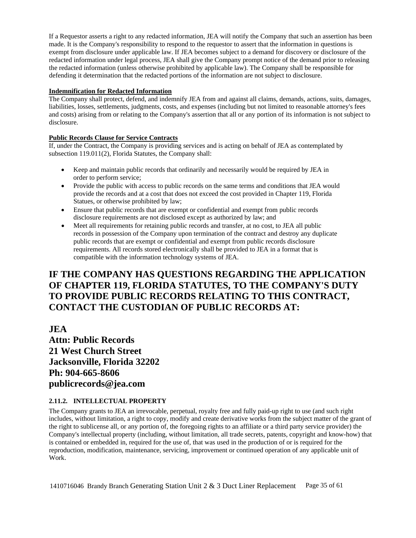If a Requestor asserts a right to any redacted information, JEA will notify the Company that such an assertion has been made. It is the Company's responsibility to respond to the requestor to assert that the information in questions is exempt from disclosure under applicable law. If JEA becomes subject to a demand for discovery or disclosure of the redacted information under legal process, JEA shall give the Company prompt notice of the demand prior to releasing the redacted information (unless otherwise prohibited by applicable law). The Company shall be responsible for defending it determination that the redacted portions of the information are not subject to disclosure.

### **Indemnification for Redacted Information**

The Company shall protect, defend, and indemnify JEA from and against all claims, demands, actions, suits, damages, liabilities, losses, settlements, judgments, costs, and expenses (including but not limited to reasonable attorney's fees and costs) arising from or relating to the Company's assertion that all or any portion of its information is not subject to disclosure.

# **Public Records Clause for Service Contracts**

If, under the Contract, the Company is providing services and is acting on behalf of JEA as contemplated by subsection 119.011(2), Florida Statutes, the Company shall:

- Keep and maintain public records that ordinarily and necessarily would be required by JEA in order to perform service;
- Provide the public with access to public records on the same terms and conditions that JEA would provide the records and at a cost that does not exceed the cost provided in Chapter 119, Florida Statues, or otherwise prohibited by law;
- Ensure that public records that are exempt or confidential and exempt from public records disclosure requirements are not disclosed except as authorized by law; and
- Meet all requirements for retaining public records and transfer, at no cost, to JEA all public records in possession of the Company upon termination of the contract and destroy any duplicate public records that are exempt or confidential and exempt from public records disclosure requirements. All records stored electronically shall be provided to JEA in a format that is compatible with the information technology systems of JEA.

# **IF THE COMPANY HAS QUESTIONS REGARDING THE APPLICATION OF CHAPTER 119, FLORIDA STATUTES, TO THE COMPANY'S DUTY TO PROVIDE PUBLIC RECORDS RELATING TO THIS CONTRACT, CONTACT THE CUSTODIAN OF PUBLIC RECORDS AT:**

**JEA Attn: Public Records 21 West Church Street Jacksonville, Florida 32202 Ph: 904-665-8606 publicrecords@jea.com**

# <span id="page-34-0"></span>**2.11.2. INTELLECTUAL PROPERTY**

The Company grants to JEA an irrevocable, perpetual, royalty free and fully paid-up right to use (and such right includes, without limitation, a right to copy, modify and create derivative works from the subject matter of the grant of the right to sublicense all, or any portion of, the foregoing rights to an affiliate or a third party service provider) the Company's intellectual property (including, without limitation, all trade secrets, patents, copyright and know-how) that is contained or embedded in, required for the use of, that was used in the production of or is required for the reproduction, modification, maintenance, servicing, improvement or continued operation of any applicable unit of Work.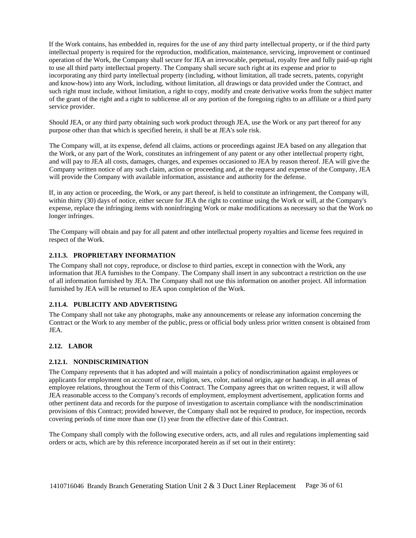If the Work contains, has embedded in, requires for the use of any third party intellectual property, or if the third party intellectual property is required for the reproduction, modification, maintenance, servicing, improvement or continued operation of the Work, the Company shall secure for JEA an irrevocable, perpetual, royalty free and fully paid-up right to use all third party intellectual property. The Company shall secure such right at its expense and prior to incorporating any third party intellectual property (including, without limitation, all trade secrets, patents, copyright and know-how) into any Work, including, without limitation, all drawings or data provided under the Contract, and such right must include, without limitation, a right to copy, modify and create derivative works from the subject matter of the grant of the right and a right to sublicense all or any portion of the foregoing rights to an affiliate or a third party service provider.

Should JEA, or any third party obtaining such work product through JEA, use the Work or any part thereof for any purpose other than that which is specified herein, it shall be at JEA's sole risk.

The Company will, at its expense, defend all claims, actions or proceedings against JEA based on any allegation that the Work, or any part of the Work, constitutes an infringement of any patent or any other intellectual property right, and will pay to JEA all costs, damages, charges, and expenses occasioned to JEA by reason thereof. JEA will give the Company written notice of any such claim, action or proceeding and, at the request and expense of the Company, JEA will provide the Company with available information, assistance and authority for the defense.

If, in any action or proceeding, the Work, or any part thereof, is held to constitute an infringement, the Company will, within thirty (30) days of notice, either secure for JEA the right to continue using the Work or will, at the Company's expense, replace the infringing items with noninfringing Work or make modifications as necessary so that the Work no longer infringes.

The Company will obtain and pay for all patent and other intellectual property royalties and license fees required in respect of the Work.

### <span id="page-35-0"></span>**2.11.3. PROPRIETARY INFORMATION**

The Company shall not copy, reproduce, or disclose to third parties, except in connection with the Work, any information that JEA furnishes to the Company. The Company shall insert in any subcontract a restriction on the use of all information furnished by JEA. The Company shall not use this information on another project. All information furnished by JEA will be returned to JEA upon completion of the Work.

#### <span id="page-35-1"></span>**2.11.4. PUBLICITY AND ADVERTISING**

The Company shall not take any photographs, make any announcements or release any information concerning the Contract or the Work to any member of the public, press or official body unless prior written consent is obtained from JEA.

#### <span id="page-35-2"></span>**2.12. LABOR**

## <span id="page-35-3"></span>**2.12.1. NONDISCRIMINATION**

The Company represents that it has adopted and will maintain a policy of nondiscrimination against employees or applicants for employment on account of race, religion, sex, color, national origin, age or handicap, in all areas of employee relations, throughout the Term of this Contract. The Company agrees that on written request, it will allow JEA reasonable access to the Company's records of employment, employment advertisement, application forms and other pertinent data and records for the purpose of investigation to ascertain compliance with the nondiscrimination provisions of this Contract; provided however, the Company shall not be required to produce, for inspection, records covering periods of time more than one (1) year from the effective date of this Contract.

The Company shall comply with the following executive orders, acts, and all rules and regulations implementing said orders or acts, which are by this reference incorporated herein as if set out in their entirety: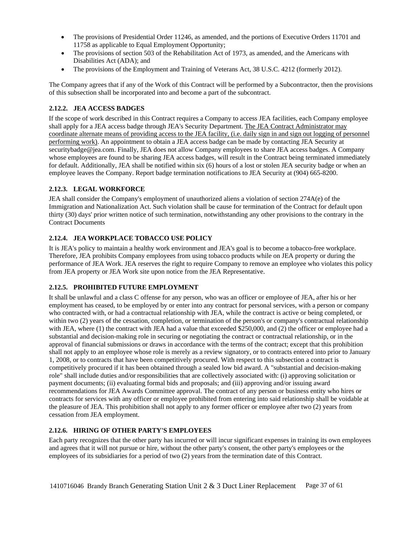- The provisions of Presidential Order 11246, as amended, and the portions of Executive Orders 11701 and 11758 as applicable to Equal Employment Opportunity;
- The provisions of section 503 of the Rehabilitation Act of 1973, as amended, and the Americans with Disabilities Act (ADA); and
- The provisions of the Employment and Training of Veterans Act, 38 U.S.C. 4212 (formerly 2012).

The Company agrees that if any of the Work of this Contract will be performed by a Subcontractor, then the provisions of this subsection shall be incorporated into and become a part of the subcontract.

# <span id="page-36-0"></span>**2.12.2. JEA ACCESS BADGES**

If the scope of work described in this Contract requires a Company to access JEA facilities, each Company employee shall apply for a JEA access badge through JEA's Security Department. The JEA Contract Administrator may coordinate alternate means of providing access to the JEA facility, (i.e. daily sign in and sign out logging of personnel performing work). An appointment to obtain a JEA access badge can be made by contacting JEA Security at securitybadge@jea.com. Finally, JEA does not allow Company employees to share JEA access badges. A Company whose employees are found to be sharing JEA access badges, will result in the Contract being terminated immediately for default. Additionally, JEA shall be notified within six (6) hours of a lost or stolen JEA security badge or when an employee leaves the Company. Report badge termination notifications to JEA Security at (904) 665-8200.

# <span id="page-36-1"></span>**2.12.3. LEGAL WORKFORCE**

JEA shall consider the Company's employment of unauthorized aliens a violation of section 274A(e) of the Immigration and Nationalization Act. Such violation shall be cause for termination of the Contract for default upon thirty (30) days' prior written notice of such termination, notwithstanding any other provisions to the contrary in the Contract Documents

# <span id="page-36-2"></span>**2.12.4. JEA WORKPLACE TOBACCO USE POLICY**

It is JEA's policy to maintain a healthy work environment and JEA's goal is to become a tobacco-free workplace. Therefore, JEA prohibits Company employees from using tobacco products while on JEA property or during the performance of JEA Work. JEA reserves the right to require Company to remove an employee who violates this policy from JEA property or JEA Work site upon notice from the JEA Representative.

# <span id="page-36-3"></span>**2.12.5. PROHIBITED FUTURE EMPLOYMENT**

It shall be unlawful and a class C offense for any person, who was an officer or employee of JEA, after his or her employment has ceased, to be employed by or enter into any contract for personal services, with a person or company who contracted with, or had a contractual relationship with JEA, while the contract is active or being completed, or within two (2) years of the cessation, completion, or termination of the person's or company's contractual relationship with JEA, where (1) the contract with JEA had a value that exceeded \$250,000, and (2) the officer or employee had a substantial and decision-making role in securing or negotiating the contract or contractual relationship, or in the approval of financial submissions or draws in accordance with the terms of the contract; except that this prohibition shall not apply to an employee whose role is merely as a review signatory, or to contracts entered into prior to January 1, 2008, or to contracts that have been competitively procured. With respect to this subsection a contract is competitively procured if it has been obtained through a sealed low bid award. A "substantial and decision-making role" shall include duties and/or responsibilities that are collectively associated with: (i) approving solicitation or payment documents; (ii) evaluating formal bids and proposals; and (iii) approving and/or issuing award recommendations for JEA Awards Committee approval. The contract of any person or business entity who hires or contracts for services with any officer or employee prohibited from entering into said relationship shall be voidable at the pleasure of JEA. This prohibition shall not apply to any former officer or employee after two (2) years from cessation from JEA employment.

# <span id="page-36-4"></span>**2.12.6. HIRING OF OTHER PARTY'S EMPLOYEES**

Each party recognizes that the other party has incurred or will incur significant expenses in training its own employees and agrees that it will not pursue or hire, without the other party's consent, the other party's employees or the employees of its subsidiaries for a period of two (2) years from the termination date of this Contract.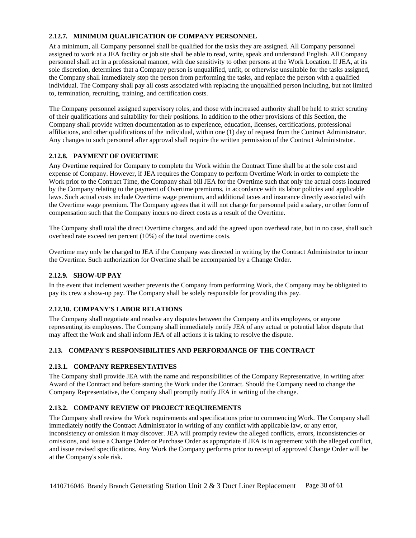# <span id="page-37-0"></span>**2.12.7. MINIMUM QUALIFICATION OF COMPANY PERSONNEL**

At a minimum, all Company personnel shall be qualified for the tasks they are assigned. All Company personnel assigned to work at a JEA facility or job site shall be able to read, write, speak and understand English. All Company personnel shall act in a professional manner, with due sensitivity to other persons at the Work Location. If JEA, at its sole discretion, determines that a Company person is unqualified, unfit, or otherwise unsuitable for the tasks assigned, the Company shall immediately stop the person from performing the tasks, and replace the person with a qualified individual. The Company shall pay all costs associated with replacing the unqualified person including, but not limited to, termination, recruiting, training, and certification costs.

The Company personnel assigned supervisory roles, and those with increased authority shall be held to strict scrutiny of their qualifications and suitability for their positions. In addition to the other provisions of this Section, the Company shall provide written documentation as to experience, education, licenses, certifications, professional affiliations, and other qualifications of the individual, within one (1) day of request from the Contract Administrator. Any changes to such personnel after approval shall require the written permission of the Contract Administrator.

# <span id="page-37-1"></span>**2.12.8. PAYMENT OF OVERTIME**

Any Overtime required for Company to complete the Work within the Contract Time shall be at the sole cost and expense of Company. However, if JEA requires the Company to perform Overtime Work in order to complete the Work prior to the Contract Time, the Company shall bill JEA for the Overtime such that only the actual costs incurred by the Company relating to the payment of Overtime premiums, in accordance with its labor policies and applicable laws. Such actual costs include Overtime wage premium, and additional taxes and insurance directly associated with the Overtime wage premium. The Company agrees that it will not charge for personnel paid a salary, or other form of compensation such that the Company incurs no direct costs as a result of the Overtime.

The Company shall total the direct Overtime charges, and add the agreed upon overhead rate, but in no case, shall such overhead rate exceed ten percent (10%) of the total overtime costs.

Overtime may only be charged to JEA if the Company was directed in writing by the Contract Administrator to incur the Overtime. Such authorization for Overtime shall be accompanied by a Change Order.

## <span id="page-37-2"></span>**2.12.9. SHOW-UP PAY**

In the event that inclement weather prevents the Company from performing Work, the Company may be obligated to pay its crew a show-up pay. The Company shall be solely responsible for providing this pay.

### <span id="page-37-3"></span>**2.12.10. COMPANY'S LABOR RELATIONS**

The Company shall negotiate and resolve any disputes between the Company and its employees, or anyone representing its employees. The Company shall immediately notify JEA of any actual or potential labor dispute that may affect the Work and shall inform JEA of all actions it is taking to resolve the dispute.

# <span id="page-37-4"></span>**2.13. COMPANY'S RESPONSIBILITIES AND PERFORMANCE OF THE CONTRACT**

### <span id="page-37-5"></span>**2.13.1. COMPANY REPRESENTATIVES**

The Company shall provide JEA with the name and responsibilities of the Company Representative, in writing after Award of the Contract and before starting the Work under the Contract. Should the Company need to change the Company Representative, the Company shall promptly notify JEA in writing of the change.

### <span id="page-37-6"></span>**2.13.2. COMPANY REVIEW OF PROJECT REQUIREMENTS**

The Company shall review the Work requirements and specifications prior to commencing Work. The Company shall immediately notify the Contract Administrator in writing of any conflict with applicable law, or any error, inconsistency or omission it may discover. JEA will promptly review the alleged conflicts, errors, inconsistencies or omissions, and issue a Change Order or Purchase Order as appropriate if JEA is in agreement with the alleged conflict, and issue revised specifications. Any Work the Company performs prior to receipt of approved Change Order will be at the Company's sole risk.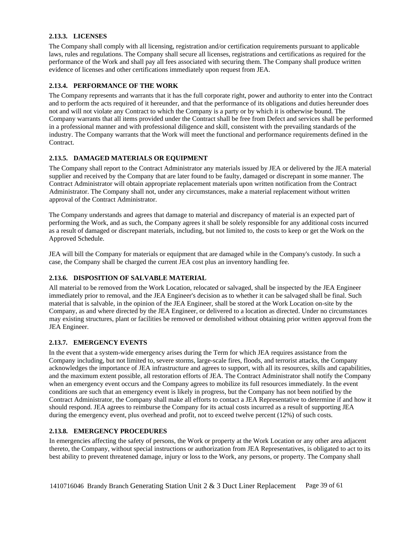## <span id="page-38-0"></span>**2.13.3. LICENSES**

The Company shall comply with all licensing, registration and/or certification requirements pursuant to applicable laws, rules and regulations. The Company shall secure all licenses, registrations and certifications as required for the performance of the Work and shall pay all fees associated with securing them. The Company shall produce written evidence of licenses and other certifications immediately upon request from JEA.

# <span id="page-38-1"></span>**2.13.4. PERFORMANCE OF THE WORK**

The Company represents and warrants that it has the full corporate right, power and authority to enter into the Contract and to perform the acts required of it hereunder, and that the performance of its obligations and duties hereunder does not and will not violate any Contract to which the Company is a party or by which it is otherwise bound. The Company warrants that all items provided under the Contract shall be free from Defect and services shall be performed in a professional manner and with professional diligence and skill, consistent with the prevailing standards of the industry. The Company warrants that the Work will meet the functional and performance requirements defined in the Contract.

# <span id="page-38-2"></span>**2.13.5. DAMAGED MATERIALS OR EQUIPMENT**

The Company shall report to the Contract Administrator any materials issued by JEA or delivered by the JEA material supplier and received by the Company that are later found to be faulty, damaged or discrepant in some manner. The Contract Administrator will obtain appropriate replacement materials upon written notification from the Contract Administrator. The Company shall not, under any circumstances, make a material replacement without written approval of the Contract Administrator.

The Company understands and agrees that damage to material and discrepancy of material is an expected part of performing the Work, and as such, the Company agrees it shall be solely responsible for any additional costs incurred as a result of damaged or discrepant materials, including, but not limited to, the costs to keep or get the Work on the Approved Schedule.

JEA will bill the Company for materials or equipment that are damaged while in the Company's custody. In such a case, the Company shall be charged the current JEA cost plus an inventory handling fee.

# <span id="page-38-3"></span>**2.13.6. DISPOSITION OF SALVABLE MATERIAL**

All material to be removed from the Work Location, relocated or salvaged, shall be inspected by the JEA Engineer immediately prior to removal, and the JEA Engineer's decision as to whether it can be salvaged shall be final. Such material that is salvable, in the opinion of the JEA Engineer, shall be stored at the Work Location on-site by the Company, as and where directed by the JEA Engineer, or delivered to a location as directed. Under no circumstances may existing structures, plant or facilities be removed or demolished without obtaining prior written approval from the JEA Engineer.

### <span id="page-38-4"></span>**2.13.7. EMERGENCY EVENTS**

In the event that a system-wide emergency arises during the Term for which JEA requires assistance from the Company including, but not limited to, severe storms, large-scale fires, floods, and terrorist attacks, the Company acknowledges the importance of JEA infrastructure and agrees to support, with all its resources, skills and capabilities, and the maximum extent possible, all restoration efforts of JEA. The Contract Administrator shall notify the Company when an emergency event occurs and the Company agrees to mobilize its full resources immediately. In the event conditions are such that an emergency event is likely in progress, but the Company has not been notified by the Contract Administrator, the Company shall make all efforts to contact a JEA Representative to determine if and how it should respond. JEA agrees to reimburse the Company for its actual costs incurred as a result of supporting JEA during the emergency event, plus overhead and profit, not to exceed twelve percent (12%) of such costs.

### <span id="page-38-5"></span>**2.13.8. EMERGENCY PROCEDURES**

In emergencies affecting the safety of persons, the Work or property at the Work Location or any other area adjacent thereto, the Company, without special instructions or authorization from JEA Representatives, is obligated to act to its best ability to prevent threatened damage, injury or loss to the Work, any persons, or property. The Company shall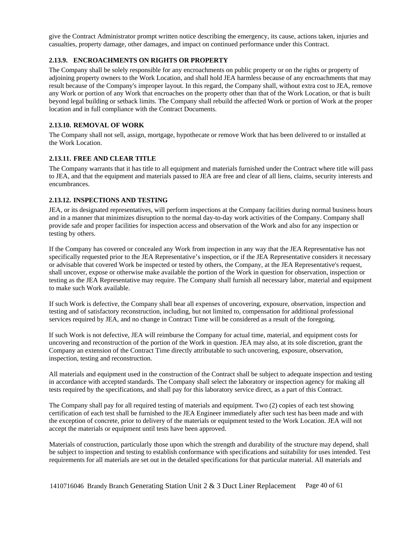give the Contract Administrator prompt written notice describing the emergency, its cause, actions taken, injuries and casualties, property damage, other damages, and impact on continued performance under this Contract.

### <span id="page-39-0"></span>**2.13.9. ENCROACHMENTS ON RIGHTS OR PROPERTY**

The Company shall be solely responsible for any encroachments on public property or on the rights or property of adjoining property owners to the Work Location, and shall hold JEA harmless because of any encroachments that may result because of the Company's improper layout. In this regard, the Company shall, without extra cost to JEA, remove any Work or portion of any Work that encroaches on the property other than that of the Work Location, or that is built beyond legal building or setback limits. The Company shall rebuild the affected Work or portion of Work at the proper location and in full compliance with the Contract Documents.

# <span id="page-39-1"></span>**2.13.10. REMOVAL OF WORK**

The Company shall not sell, assign, mortgage, hypothecate or remove Work that has been delivered to or installed at the Work Location.

# <span id="page-39-2"></span>**2.13.11. FREE AND CLEAR TITLE**

The Company warrants that it has title to all equipment and materials furnished under the Contract where title will pass to JEA, and that the equipment and materials passed to JEA are free and clear of all liens, claims, security interests and encumbrances.

# <span id="page-39-3"></span>**2.13.12. INSPECTIONS AND TESTING**

JEA, or its designated representatives, will perform inspections at the Company facilities during normal business hours and in a manner that minimizes disruption to the normal day-to-day work activities of the Company. Company shall provide safe and proper facilities for inspection access and observation of the Work and also for any inspection or testing by others.

If the Company has covered or concealed any Work from inspection in any way that the JEA Representative has not specifically requested prior to the JEA Representative's inspection, or if the JEA Representative considers it necessary or advisable that covered Work be inspected or tested by others, the Company, at the JEA Representative's request, shall uncover, expose or otherwise make available the portion of the Work in question for observation, inspection or testing as the JEA Representative may require. The Company shall furnish all necessary labor, material and equipment to make such Work available.

If such Work is defective, the Company shall bear all expenses of uncovering, exposure, observation, inspection and testing and of satisfactory reconstruction, including, but not limited to, compensation for additional professional services required by JEA, and no change in Contract Time will be considered as a result of the foregoing.

If such Work is not defective, JEA will reimburse the Company for actual time, material, and equipment costs for uncovering and reconstruction of the portion of the Work in question. JEA may also, at its sole discretion, grant the Company an extension of the Contract Time directly attributable to such uncovering, exposure, observation, inspection, testing and reconstruction.

All materials and equipment used in the construction of the Contract shall be subject to adequate inspection and testing in accordance with accepted standards. The Company shall select the laboratory or inspection agency for making all tests required by the specifications, and shall pay for this laboratory service direct, as a part of this Contract.

The Company shall pay for all required testing of materials and equipment. Two (2) copies of each test showing certification of each test shall be furnished to the JEA Engineer immediately after such test has been made and with the exception of concrete, prior to delivery of the materials or equipment tested to the Work Location. JEA will not accept the materials or equipment until tests have been approved.

Materials of construction, particularly those upon which the strength and durability of the structure may depend, shall be subject to inspection and testing to establish conformance with specifications and suitability for uses intended. Test requirements for all materials are set out in the detailed specifications for that particular material. All materials and

1410716046 Brandy Branch Generating Station Unit 2 & 3 Duct Liner Replacement Page 40 of 61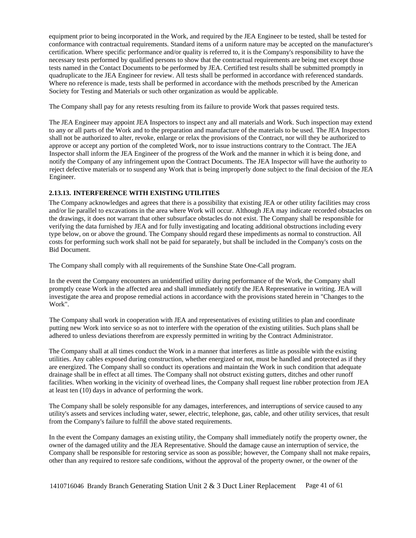equipment prior to being incorporated in the Work, and required by the JEA Engineer to be tested, shall be tested for conformance with contractual requirements. Standard items of a uniform nature may be accepted on the manufacturer's certification. Where specific performance and/or quality is referred to, it is the Company's responsibility to have the necessary tests performed by qualified persons to show that the contractual requirements are being met except those tests named in the Contact Documents to be performed by JEA. Certified test results shall be submitted promptly in quadruplicate to the JEA Engineer for review. All tests shall be performed in accordance with referenced standards. Where no reference is made, tests shall be performed in accordance with the methods prescribed by the American Society for Testing and Materials or such other organization as would be applicable.

The Company shall pay for any retests resulting from its failure to provide Work that passes required tests.

The JEA Engineer may appoint JEA Inspectors to inspect any and all materials and Work. Such inspection may extend to any or all parts of the Work and to the preparation and manufacture of the materials to be used. The JEA Inspectors shall not be authorized to alter, revoke, enlarge or relax the provisions of the Contract, nor will they be authorized to approve or accept any portion of the completed Work, nor to issue instructions contrary to the Contract. The JEA Inspector shall inform the JEA Engineer of the progress of the Work and the manner in which it is being done, and notify the Company of any infringement upon the Contract Documents. The JEA Inspector will have the authority to reject defective materials or to suspend any Work that is being improperly done subject to the final decision of the JEA Engineer.

### <span id="page-40-0"></span>**2.13.13. INTERFERENCE WITH EXISTING UTILITIES**

The Company acknowledges and agrees that there is a possibility that existing JEA or other utility facilities may cross and/or lie parallel to excavations in the area where Work will occur. Although JEA may indicate recorded obstacles on the drawings, it does not warrant that other subsurface obstacles do not exist. The Company shall be responsible for verifying the data furnished by JEA and for fully investigating and locating additional obstructions including every type below, on or above the ground. The Company should regard these impediments as normal to construction. All costs for performing such work shall not be paid for separately, but shall be included in the Company's costs on the Bid Document.

The Company shall comply with all requirements of the Sunshine State One-Call program.

In the event the Company encounters an unidentified utility during performance of the Work, the Company shall promptly cease Work in the affected area and shall immediately notify the JEA Representative in writing. JEA will investigate the area and propose remedial actions in accordance with the provisions stated herein in "Changes to the Work".

The Company shall work in cooperation with JEA and representatives of existing utilities to plan and coordinate putting new Work into service so as not to interfere with the operation of the existing utilities. Such plans shall be adhered to unless deviations therefrom are expressly permitted in writing by the Contract Administrator.

The Company shall at all times conduct the Work in a manner that interferes as little as possible with the existing utilities. Any cables exposed during construction, whether energized or not, must be handled and protected as if they are energized. The Company shall so conduct its operations and maintain the Work in such condition that adequate drainage shall be in effect at all times. The Company shall not obstruct existing gutters, ditches and other runoff facilities. When working in the vicinity of overhead lines, the Company shall request line rubber protection from JEA at least ten (10) days in advance of performing the work.

The Company shall be solely responsible for any damages, interferences, and interruptions of service caused to any utility's assets and services including water, sewer, electric, telephone, gas, cable, and other utility services, that result from the Company's failure to fulfill the above stated requirements.

In the event the Company damages an existing utility, the Company shall immediately notify the property owner, the owner of the damaged utility and the JEA Representative. Should the damage cause an interruption of service, the Company shall be responsible for restoring service as soon as possible; however, the Company shall not make repairs, other than any required to restore safe conditions, without the approval of the property owner, or the owner of the

1410716046 Brandy Branch Generating Station Unit 2 & 3 Duct Liner Replacement Page 41 of 61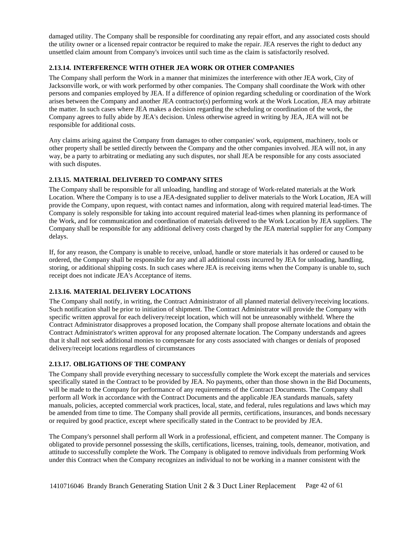damaged utility. The Company shall be responsible for coordinating any repair effort, and any associated costs should the utility owner or a licensed repair contractor be required to make the repair. JEA reserves the right to deduct any unsettled claim amount from Company's invoices until such time as the claim is satisfactorily resolved.

# <span id="page-41-0"></span>**2.13.14. INTERFERENCE WITH OTHER JEA WORK OR OTHER COMPANIES**

The Company shall perform the Work in a manner that minimizes the interference with other JEA work, City of Jacksonville work, or with work performed by other companies. The Company shall coordinate the Work with other persons and companies employed by JEA. If a difference of opinion regarding scheduling or coordination of the Work arises between the Company and another JEA contractor(s) performing work at the Work Location, JEA may arbitrate the matter. In such cases where JEA makes a decision regarding the scheduling or coordination of the work, the Company agrees to fully abide by JEA's decision. Unless otherwise agreed in writing by JEA, JEA will not be responsible for additional costs.

Any claims arising against the Company from damages to other companies' work, equipment, machinery, tools or other property shall be settled directly between the Company and the other companies involved. JEA will not, in any way, be a party to arbitrating or mediating any such disputes, nor shall JEA be responsible for any costs associated with such disputes.

# <span id="page-41-1"></span>**2.13.15. MATERIAL DELIVERED TO COMPANY SITES**

The Company shall be responsible for all unloading, handling and storage of Work-related materials at the Work Location. Where the Company is to use a JEA-designated supplier to deliver materials to the Work Location, JEA will provide the Company, upon request, with contact names and information, along with required material lead-times. The Company is solely responsible for taking into account required material lead-times when planning its performance of the Work, and for communication and coordination of materials delivered to the Work Location by JEA suppliers. The Company shall be responsible for any additional delivery costs charged by the JEA material supplier for any Company delays.

If, for any reason, the Company is unable to receive, unload, handle or store materials it has ordered or caused to be ordered, the Company shall be responsible for any and all additional costs incurred by JEA for unloading, handling, storing, or additional shipping costs. In such cases where JEA is receiving items when the Company is unable to, such receipt does not indicate JEA's Acceptance of items.

# <span id="page-41-2"></span>**2.13.16. MATERIAL DELIVERY LOCATIONS**

The Company shall notify, in writing, the Contract Administrator of all planned material delivery/receiving locations. Such notification shall be prior to initiation of shipment. The Contract Administrator will provide the Company with specific written approval for each delivery/receipt location, which will not be unreasonably withheld. Where the Contract Administrator disapproves a proposed location, the Company shall propose alternate locations and obtain the Contract Administrator's written approval for any proposed alternate location. The Company understands and agrees that it shall not seek additional monies to compensate for any costs associated with changes or denials of proposed delivery/receipt locations regardless of circumstances

### <span id="page-41-3"></span>**2.13.17. OBLIGATIONS OF THE COMPANY**

The Company shall provide everything necessary to successfully complete the Work except the materials and services specifically stated in the Contract to be provided by JEA. No payments, other than those shown in the Bid Documents, will be made to the Company for performance of any requirements of the Contract Documents. The Company shall perform all Work in accordance with the Contract Documents and the applicable JEA standards manuals, safety manuals, policies, accepted commercial work practices, local, state, and federal, rules regulations and laws which may be amended from time to time. The Company shall provide all permits, certifications, insurances, and bonds necessary or required by good practice, except where specifically stated in the Contract to be provided by JEA.

The Company's personnel shall perform all Work in a professional, efficient, and competent manner. The Company is obligated to provide personnel possessing the skills, certifications, licenses, training, tools, demeanor, motivation, and attitude to successfully complete the Work. The Company is obligated to remove individuals from performing Work under this Contract when the Company recognizes an individual to not be working in a manner consistent with the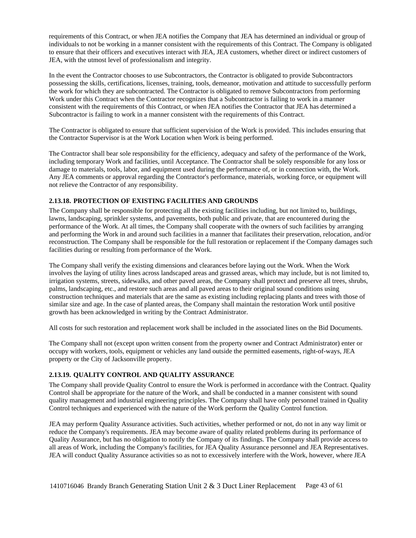requirements of this Contract, or when JEA notifies the Company that JEA has determined an individual or group of individuals to not be working in a manner consistent with the requirements of this Contract. The Company is obligated to ensure that their officers and executives interact with JEA, JEA customers, whether direct or indirect customers of JEA, with the utmost level of professionalism and integrity.

In the event the Contractor chooses to use Subcontractors, the Contractor is obligated to provide Subcontractors possessing the skills, certifications, licenses, training, tools, demeanor, motivation and attitude to successfully perform the work for which they are subcontracted. The Contractor is obligated to remove Subcontractors from performing Work under this Contract when the Contractor recognizes that a Subcontractor is failing to work in a manner consistent with the requirements of this Contract, or when JEA notifies the Contractor that JEA has determined a Subcontractor is failing to work in a manner consistent with the requirements of this Contract.

The Contractor is obligated to ensure that sufficient supervision of the Work is provided. This includes ensuring that the Contractor Supervisor is at the Work Location when Work is being performed.

The Contractor shall bear sole responsibility for the efficiency, adequacy and safety of the performance of the Work, including temporary Work and facilities, until Acceptance. The Contractor shall be solely responsible for any loss or damage to materials, tools, labor, and equipment used during the performance of, or in connection with, the Work. Any JEA comments or approval regarding the Contractor's performance, materials, working force, or equipment will not relieve the Contractor of any responsibility.

# <span id="page-42-0"></span>**2.13.18. PROTECTION OF EXISTING FACILITIES AND GROUNDS**

The Company shall be responsible for protecting all the existing facilities including, but not limited to, buildings, lawns, landscaping, sprinkler systems, and pavements, both public and private, that are encountered during the performance of the Work. At all times, the Company shall cooperate with the owners of such facilities by arranging and performing the Work in and around such facilities in a manner that facilitates their preservation, relocation, and/or reconstruction. The Company shall be responsible for the full restoration or replacement if the Company damages such facilities during or resulting from performance of the Work.

The Company shall verify the existing dimensions and clearances before laying out the Work. When the Work involves the laying of utility lines across landscaped areas and grassed areas, which may include, but is not limited to, irrigation systems, streets, sidewalks, and other paved areas, the Company shall protect and preserve all trees, shrubs, palms, landscaping, etc., and restore such areas and all paved areas to their original sound conditions using construction techniques and materials that are the same as existing including replacing plants and trees with those of similar size and age. In the case of planted areas, the Company shall maintain the restoration Work until positive growth has been acknowledged in writing by the Contract Administrator.

All costs for such restoration and replacement work shall be included in the associated lines on the Bid Documents.

The Company shall not (except upon written consent from the property owner and Contract Administrator) enter or occupy with workers, tools, equipment or vehicles any land outside the permitted easements, right-of-ways, JEA property or the City of Jacksonville property.

### <span id="page-42-1"></span>**2.13.19. QUALITY CONTROL AND QUALITY ASSURANCE**

The Company shall provide Quality Control to ensure the Work is performed in accordance with the Contract. Quality Control shall be appropriate for the nature of the Work, and shall be conducted in a manner consistent with sound quality management and industrial engineering principles. The Company shall have only personnel trained in Quality Control techniques and experienced with the nature of the Work perform the Quality Control function.

JEA may perform Quality Assurance activities. Such activities, whether performed or not, do not in any way limit or reduce the Company's requirements. JEA may become aware of quality related problems during its performance of Quality Assurance, but has no obligation to notify the Company of its findings. The Company shall provide access to all areas of Work, including the Company's facilities, for JEA Quality Assurance personnel and JEA Representatives. JEA will conduct Quality Assurance activities so as not to excessively interfere with the Work, however, where JEA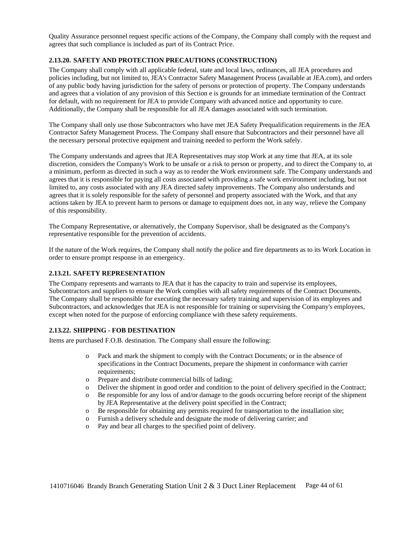Quality Assurance personnel request specific actions of the Company, the Company shall comply with the request and agrees that such compliance is included as part of its Contract Price.

#### <span id="page-43-0"></span>**2.13.20. SAFETY AND PROTECTION PRECAUTIONS (CONSTRUCTION)**

The Company shall comply with all applicable federal, state and local laws, ordinances, all JEA procedures and policies including, but not limited to, JEA's Contractor Safety Management Process (available at JEA.com), and orders of any public body having jurisdiction for the safety of persons or protection of property. The Company understands and agrees that a violation of any provision of this Section e is grounds for an immediate termination of the Contract for default, with no requirement for JEA to provide Company with advanced notice and opportunity to cure. Additionally, the Company shall be responsible for all JEA damages associated with such termination.

The Company shall only use those Subcontractors who have met JEA Safety Prequalification requirements in the JEA Contractor Safety Management Process. The Company shall ensure that Subcontractors and their personnel have all the necessary personal protective equipment and training needed to perform the Work safely.

The Company understands and agrees that JEA Representatives may stop Work at any time that JEA, at its sole discretion, considers the Company's Work to be unsafe or a risk to person or property, and to direct the Company to, at a minimum, perform as directed in such a way as to render the Work environment safe. The Company understands and agrees that it is responsible for paying all costs associated with providing a safe work environment including, but not limited to, any costs associated with any JEA directed safety improvements. The Company also understands and agrees that it is solely responsible for the safety of personnel and property associated with the Work, and that any actions taken by JEA to prevent harm to persons or damage to equipment does not, in any way, relieve the Company of this responsibility.

The Company Representative, or alternatively, the Company Supervisor, shall be designated as the Company's representative responsible for the prevention of accidents.

If the nature of the Work requires, the Company shall notify the police and fire departments as to its Work Location in order to ensure prompt response in an emergency.

### <span id="page-43-1"></span>**2.13.21. SAFETY REPRESENTATION**

The Company represents and warrants to JEA that it has the capacity to train and supervise its employees, Subcontractors and suppliers to ensure the Work complies with all safety requirements of the Contract Documents. The Company shall be responsible for executing the necessary safety training and supervision of its employees and Subcontractors, and acknowledges that JEA is not responsible for training or supervising the Company's employees, except when noted for the purpose of enforcing compliance with these safety requirements.

### <span id="page-43-2"></span>**2.13.22. SHIPPING - FOB DESTINATION**

Items are purchased F.O.B. destination. The Company shall ensure the following:

- o Pack and mark the shipment to comply with the Contract Documents; or in the absence of specifications in the Contract Documents, prepare the shipment in conformance with carrier requirements:
- o Prepare and distribute commercial bills of lading;
- o Deliver the shipment in good order and condition to the point of delivery specified in the Contract;
- o Be responsible for any loss of and/or damage to the goods occurring before receipt of the shipment by JEA Representative at the delivery point specified in the Contract;
- o Be responsible for obtaining any permits required for transportation to the installation site;
- o Furnish a delivery schedule and designate the mode of delivering carrier; and
- o Pay and bear all charges to the specified point of delivery.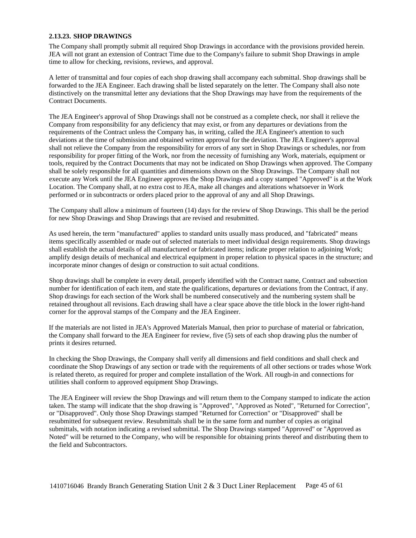#### <span id="page-44-0"></span>**2.13.23. SHOP DRAWINGS**

The Company shall promptly submit all required Shop Drawings in accordance with the provisions provided herein. JEA will not grant an extension of Contract Time due to the Company's failure to submit Shop Drawings in ample time to allow for checking, revisions, reviews, and approval.

A letter of transmittal and four copies of each shop drawing shall accompany each submittal. Shop drawings shall be forwarded to the JEA Engineer. Each drawing shall be listed separately on the letter. The Company shall also note distinctively on the transmittal letter any deviations that the Shop Drawings may have from the requirements of the Contract Documents.

The JEA Engineer's approval of Shop Drawings shall not be construed as a complete check, nor shall it relieve the Company from responsibility for any deficiency that may exist, or from any departures or deviations from the requirements of the Contract unless the Company has, in writing, called the JEA Engineer's attention to such deviations at the time of submission and obtained written approval for the deviation. The JEA Engineer's approval shall not relieve the Company from the responsibility for errors of any sort in Shop Drawings or schedules, nor from responsibility for proper fitting of the Work, nor from the necessity of furnishing any Work, materials, equipment or tools, required by the Contract Documents that may not be indicated on Shop Drawings when approved. The Company shall be solely responsible for all quantities and dimensions shown on the Shop Drawings. The Company shall not execute any Work until the JEA Engineer approves the Shop Drawings and a copy stamped "Approved" is at the Work Location. The Company shall, at no extra cost to JEA, make all changes and alterations whatsoever in Work performed or in subcontracts or orders placed prior to the approval of any and all Shop Drawings.

The Company shall allow a minimum of fourteen (14) days for the review of Shop Drawings. This shall be the period for new Shop Drawings and Shop Drawings that are revised and resubmitted.

As used herein, the term "manufactured" applies to standard units usually mass produced, and "fabricated" means items specifically assembled or made out of selected materials to meet individual design requirements. Shop drawings shall establish the actual details of all manufactured or fabricated items; indicate proper relation to adjoining Work; amplify design details of mechanical and electrical equipment in proper relation to physical spaces in the structure; and incorporate minor changes of design or construction to suit actual conditions.

Shop drawings shall be complete in every detail, properly identified with the Contract name, Contract and subsection number for identification of each item, and state the qualifications, departures or deviations from the Contract, if any. Shop drawings for each section of the Work shall be numbered consecutively and the numbering system shall be retained throughout all revisions. Each drawing shall have a clear space above the title block in the lower right-hand corner for the approval stamps of the Company and the JEA Engineer.

If the materials are not listed in JEA's Approved Materials Manual, then prior to purchase of material or fabrication, the Company shall forward to the JEA Engineer for review, five (5) sets of each shop drawing plus the number of prints it desires returned.

In checking the Shop Drawings, the Company shall verify all dimensions and field conditions and shall check and coordinate the Shop Drawings of any section or trade with the requirements of all other sections or trades whose Work is related thereto, as required for proper and complete installation of the Work. All rough-in and connections for utilities shall conform to approved equipment Shop Drawings.

The JEA Engineer will review the Shop Drawings and will return them to the Company stamped to indicate the action taken. The stamp will indicate that the shop drawing is "Approved", "Approved as Noted", "Returned for Correction", or "Disapproved". Only those Shop Drawings stamped "Returned for Correction" or "Disapproved" shall be resubmitted for subsequent review. Resubmittals shall be in the same form and number of copies as original submittals, with notation indicating a revised submittal. The Shop Drawings stamped "Approved" or "Approved as Noted" will be returned to the Company, who will be responsible for obtaining prints thereof and distributing them to the field and Subcontractors.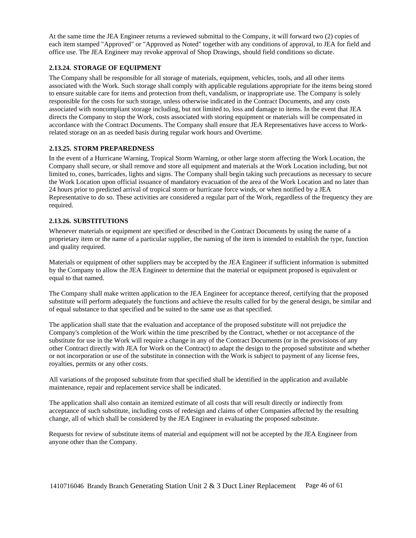At the same time the JEA Engineer returns a reviewed submittal to the Company, it will forward two (2) copies of each item stamped "Approved" or "Approved as Noted" together with any conditions of approval, to JEA for field and office use. The JEA Engineer may revoke approval of Shop Drawings, should field conditions so dictate.

## <span id="page-45-0"></span>**2.13.24. STORAGE OF EQUIPMENT**

The Company shall be responsible for all storage of materials, equipment, vehicles, tools, and all other items associated with the Work. Such storage shall comply with applicable regulations appropriate for the items being stored to ensure suitable care for items and protection from theft, vandalism, or inappropriate use. The Company is solely responsible for the costs for such storage, unless otherwise indicated in the Contract Documents, and any costs associated with noncompliant storage including, but not limited to, loss and damage to items. In the event that JEA directs the Company to stop the Work, costs associated with storing equipment or materials will be compensated in accordance with the Contract Documents. The Company shall ensure that JEA Representatives have access to Workrelated storage on an as needed basis during regular work hours and Overtime.

### <span id="page-45-1"></span>**2.13.25. STORM PREPAREDNESS**

In the event of a Hurricane Warning, Tropical Storm Warning, or other large storm affecting the Work Location, the Company shall secure, or shall remove and store all equipment and materials at the Work Location including, but not limited to, cones, barricades, lights and signs. The Company shall begin taking such precautions as necessary to secure the Work Location upon official issuance of mandatory evacuation of the area of the Work Location and no later than 24 hours prior to predicted arrival of tropical storm or hurricane force winds, or when notified by a JEA Representative to do so. These activities are considered a regular part of the Work, regardless of the frequency they are required.

### <span id="page-45-2"></span>**2.13.26. SUBSTITUTIONS**

Whenever materials or equipment are specified or described in the Contract Documents by using the name of a proprietary item or the name of a particular supplier, the naming of the item is intended to establish the type, function and quality required.

Materials or equipment of other suppliers may be accepted by the JEA Engineer if sufficient information is submitted by the Company to allow the JEA Engineer to determine that the material or equipment proposed is equivalent or equal to that named.

The Company shall make written application to the JEA Engineer for acceptance thereof, certifying that the proposed substitute will perform adequately the functions and achieve the results called for by the general design, be similar and of equal substance to that specified and be suited to the same use as that specified.

The application shall state that the evaluation and acceptance of the proposed substitute will not prejudice the Company's completion of the Work within the time prescribed by the Contract, whether or not acceptance of the substitute for use in the Work will require a change in any of the Contract Documents (or in the provisions of any other Contract directly with JEA for Work on the Contract) to adapt the design to the proposed substitute and whether or not incorporation or use of the substitute in connection with the Work is subject to payment of any license fees, royalties, permits or any other costs.

All variations of the proposed substitute from that specified shall be identified in the application and available maintenance, repair and replacement service shall be indicated.

The application shall also contain an itemized estimate of all costs that will result directly or indirectly from acceptance of such substitute, including costs of redesign and claims of other Companies affected by the resulting change, all of which shall be considered by the JEA Engineer in evaluating the proposed substitute.

Requests for review of substitute items of material and equipment will not be accepted by the JEA Engineer from anyone other than the Company.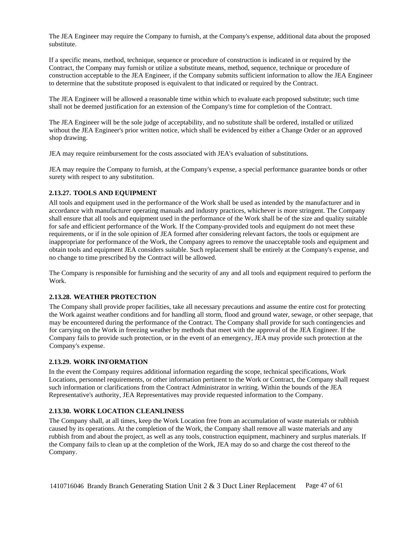The JEA Engineer may require the Company to furnish, at the Company's expense, additional data about the proposed substitute.

If a specific means, method, technique, sequence or procedure of construction is indicated in or required by the Contract, the Company may furnish or utilize a substitute means, method, sequence, technique or procedure of construction acceptable to the JEA Engineer, if the Company submits sufficient information to allow the JEA Engineer to determine that the substitute proposed is equivalent to that indicated or required by the Contract.

The JEA Engineer will be allowed a reasonable time within which to evaluate each proposed substitute; such time shall not be deemed justification for an extension of the Company's time for completion of the Contract.

The JEA Engineer will be the sole judge of acceptability, and no substitute shall be ordered, installed or utilized without the JEA Engineer's prior written notice, which shall be evidenced by either a Change Order or an approved shop drawing.

JEA may require reimbursement for the costs associated with JEA's evaluation of substitutions.

JEA may require the Company to furnish, at the Company's expense, a special performance guarantee bonds or other surety with respect to any substitution.

#### <span id="page-46-0"></span>**2.13.27. TOOLS AND EQUIPMENT**

All tools and equipment used in the performance of the Work shall be used as intended by the manufacturer and in accordance with manufacturer operating manuals and industry practices, whichever is more stringent. The Company shall ensure that all tools and equipment used in the performance of the Work shall be of the size and quality suitable for safe and efficient performance of the Work. If the Company-provided tools and equipment do not meet these requirements, or if in the sole opinion of JEA formed after considering relevant factors, the tools or equipment are inappropriate for performance of the Work, the Company agrees to remove the unacceptable tools and equipment and obtain tools and equipment JEA considers suitable. Such replacement shall be entirely at the Company's expense, and no change to time prescribed by the Contract will be allowed.

The Company is responsible for furnishing and the security of any and all tools and equipment required to perform the Work.

### <span id="page-46-1"></span>**2.13.28. WEATHER PROTECTION**

The Company shall provide proper facilities, take all necessary precautions and assume the entire cost for protecting the Work against weather conditions and for handling all storm, flood and ground water, sewage, or other seepage, that may be encountered during the performance of the Contract. The Company shall provide for such contingencies and for carrying on the Work in freezing weather by methods that meet with the approval of the JEA Engineer. If the Company fails to provide such protection, or in the event of an emergency, JEA may provide such protection at the Company's expense.

#### <span id="page-46-2"></span>**2.13.29. WORK INFORMATION**

In the event the Company requires additional information regarding the scope, technical specifications, Work Locations, personnel requirements, or other information pertinent to the Work or Contract, the Company shall request such information or clarifications from the Contract Administrator in writing. Within the bounds of the JEA Representative's authority, JEA Representatives may provide requested information to the Company.

#### <span id="page-46-3"></span>**2.13.30. WORK LOCATION CLEANLINESS**

The Company shall, at all times, keep the Work Location free from an accumulation of waste materials or rubbish caused by its operations. At the completion of the Work, the Company shall remove all waste materials and any rubbish from and about the project, as well as any tools, construction equipment, machinery and surplus materials. If the Company fails to clean up at the completion of the Work, JEA may do so and charge the cost thereof to the Company.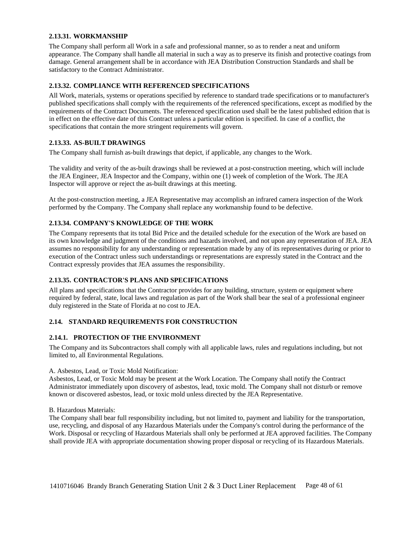#### <span id="page-47-0"></span>**2.13.31. WORKMANSHIP**

The Company shall perform all Work in a safe and professional manner, so as to render a neat and uniform appearance. The Company shall handle all material in such a way as to preserve its finish and protective coatings from damage. General arrangement shall be in accordance with JEA Distribution Construction Standards and shall be satisfactory to the Contract Administrator.

## <span id="page-47-1"></span>**2.13.32. COMPLIANCE WITH REFERENCED SPECIFICATIONS**

All Work, materials, systems or operations specified by reference to standard trade specifications or to manufacturer's published specifications shall comply with the requirements of the referenced specifications, except as modified by the requirements of the Contract Documents. The referenced specification used shall be the latest published edition that is in effect on the effective date of this Contract unless a particular edition is specified. In case of a conflict, the specifications that contain the more stringent requirements will govern.

### <span id="page-47-2"></span>**2.13.33. AS-BUILT DRAWINGS**

The Company shall furnish as-built drawings that depict, if applicable, any changes to the Work.

The validity and verity of the as-built drawings shall be reviewed at a post-construction meeting, which will include the JEA Engineer, JEA Inspector and the Company, within one (1) week of completion of the Work. The JEA Inspector will approve or reject the as-built drawings at this meeting.

At the post-construction meeting, a JEA Representative may accomplish an infrared camera inspection of the Work performed by the Company. The Company shall replace any workmanship found to be defective.

# <span id="page-47-3"></span>**2.13.34. COMPANY'S KNOWLEDGE OF THE WORK**

The Company represents that its total Bid Price and the detailed schedule for the execution of the Work are based on its own knowledge and judgment of the conditions and hazards involved, and not upon any representation of JEA. JEA assumes no responsibility for any understanding or representation made by any of its representatives during or prior to execution of the Contract unless such understandings or representations are expressly stated in the Contract and the Contract expressly provides that JEA assumes the responsibility.

### <span id="page-47-4"></span>**2.13.35. CONTRACTOR'S PLANS AND SPECIFICATIONS**

All plans and specifications that the Contractor provides for any building, structure, system or equipment where required by federal, state, local laws and regulation as part of the Work shall bear the seal of a professional engineer duly registered in the State of Florida at no cost to JEA.

### <span id="page-47-5"></span>**2.14. STANDARD REQUIREMENTS FOR CONSTRUCTION**

### <span id="page-47-6"></span>**2.14.1. PROTECTION OF THE ENVIRONMENT**

The Company and its Subcontractors shall comply with all applicable laws, rules and regulations including, but not limited to, all Environmental Regulations.

### A. Asbestos, Lead, or Toxic Mold Notification:

Asbestos, Lead, or Toxic Mold may be present at the Work Location. The Company shall notify the Contract Administrator immediately upon discovery of asbestos, lead, toxic mold. The Company shall not disturb or remove known or discovered asbestos, lead, or toxic mold unless directed by the JEA Representative.

#### B. Hazardous Materials:

The Company shall bear full responsibility including, but not limited to, payment and liability for the transportation, use, recycling, and disposal of any Hazardous Materials under the Company's control during the performance of the Work. Disposal or recycling of Hazardous Materials shall only be performed at JEA approved facilities. The Company shall provide JEA with appropriate documentation showing proper disposal or recycling of its Hazardous Materials.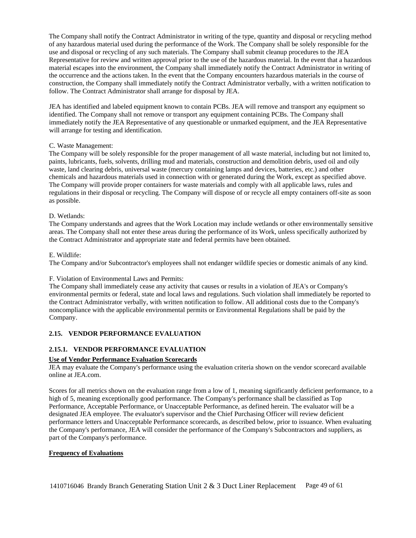The Company shall notify the Contract Administrator in writing of the type, quantity and disposal or recycling method of any hazardous material used during the performance of the Work. The Company shall be solely responsible for the use and disposal or recycling of any such materials. The Company shall submit cleanup procedures to the JEA Representative for review and written approval prior to the use of the hazardous material. In the event that a hazardous material escapes into the environment, the Company shall immediately notify the Contract Administrator in writing of the occurrence and the actions taken. In the event that the Company encounters hazardous materials in the course of construction, the Company shall immediately notify the Contract Administrator verbally, with a written notification to follow. The Contract Administrator shall arrange for disposal by JEA.

JEA has identified and labeled equipment known to contain PCBs. JEA will remove and transport any equipment so identified. The Company shall not remove or transport any equipment containing PCBs. The Company shall immediately notify the JEA Representative of any questionable or unmarked equipment, and the JEA Representative will arrange for testing and identification.

### C. Waste Management:

The Company will be solely responsible for the proper management of all waste material, including but not limited to, paints, lubricants, fuels, solvents, drilling mud and materials, construction and demolition debris, used oil and oily waste, land clearing debris, universal waste (mercury containing lamps and devices, batteries, etc.) and other chemicals and hazardous materials used in connection with or generated during the Work, except as specified above. The Company will provide proper containers for waste materials and comply with all applicable laws, rules and regulations in their disposal or recycling. The Company will dispose of or recycle all empty containers off-site as soon as possible.

#### D. Wetlands:

The Company understands and agrees that the Work Location may include wetlands or other environmentally sensitive areas. The Company shall not enter these areas during the performance of its Work, unless specifically authorized by the Contract Administrator and appropriate state and federal permits have been obtained.

#### E. Wildlife:

The Company and/or Subcontractor's employees shall not endanger wildlife species or domestic animals of any kind.

### F. Violation of Environmental Laws and Permits:

The Company shall immediately cease any activity that causes or results in a violation of JEA's or Company's environmental permits or federal, state and local laws and regulations. Such violation shall immediately be reported to the Contract Administrator verbally, with written notification to follow. All additional costs due to the Company's noncompliance with the applicable environmental permits or Environmental Regulations shall be paid by the Company.

## <span id="page-48-0"></span>**2.15. VENDOR PERFORMANCE EVALUATION**

### <span id="page-48-1"></span>**2.15.1. VENDOR PERFORMANCE EVALUATION**

#### **Use of Vendor Performance Evaluation Scorecards**

JEA may evaluate the Company's performance using the evaluation criteria shown on the vendor scorecard available online at JEA.com.

Scores for all metrics shown on the evaluation range from a low of 1, meaning significantly deficient performance, to a high of 5, meaning exceptionally good performance. The Company's performance shall be classified as Top Performance, Acceptable Performance, or Unacceptable Performance, as defined herein. The evaluator will be a designated JEA employee. The evaluator's supervisor and the Chief Purchasing Officer will review deficient performance letters and Unacceptable Performance scorecards, as described below, prior to issuance. When evaluating the Company's performance, JEA will consider the performance of the Company's Subcontractors and suppliers, as part of the Company's performance.

#### **Frequency of Evaluations**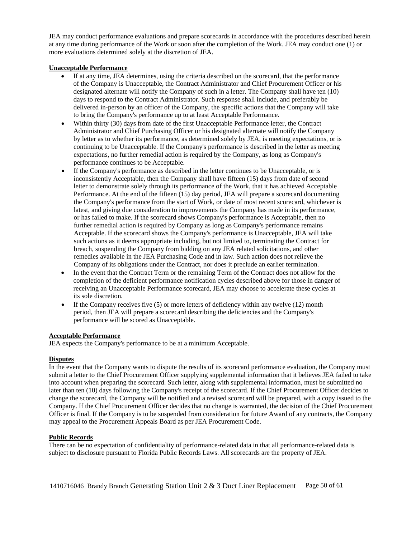JEA may conduct performance evaluations and prepare scorecards in accordance with the procedures described herein at any time during performance of the Work or soon after the completion of the Work. JEA may conduct one (1) or more evaluations determined solely at the discretion of JEA.

#### **Unacceptable Performance**

- If at any time, JEA determines, using the criteria described on the scorecard, that the performance of the Company is Unacceptable, the Contract Administrator and Chief Procurement Officer or his designated alternate will notify the Company of such in a letter. The Company shall have ten (10) days to respond to the Contract Administrator. Such response shall include, and preferably be delivered in-person by an officer of the Company, the specific actions that the Company will take to bring the Company's performance up to at least Acceptable Performance.
- Within thirty (30) days from date of the first Unacceptable Performance letter, the Contract Administrator and Chief Purchasing Officer or his designated alternate will notify the Company by letter as to whether its performance, as determined solely by JEA, is meeting expectations, or is continuing to be Unacceptable. If the Company's performance is described in the letter as meeting expectations, no further remedial action is required by the Company, as long as Company's performance continues to be Acceptable.
- If the Company's performance as described in the letter continues to be Unacceptable, or is inconsistently Acceptable, then the Company shall have fifteen (15) days from date of second letter to demonstrate solely through its performance of the Work, that it has achieved Acceptable Performance. At the end of the fifteen (15) day period, JEA will prepare a scorecard documenting the Company's performance from the start of Work, or date of most recent scorecard, whichever is latest, and giving due consideration to improvements the Company has made in its performance, or has failed to make. If the scorecard shows Company's performance is Acceptable, then no further remedial action is required by Company as long as Company's performance remains Acceptable. If the scorecard shows the Company's performance is Unacceptable, JEA will take such actions as it deems appropriate including, but not limited to, terminating the Contract for breach, suspending the Company from bidding on any JEA related solicitations, and other remedies available in the JEA Purchasing Code and in law. Such action does not relieve the Company of its obligations under the Contract, nor does it preclude an earlier termination.
- In the event that the Contract Term or the remaining Term of the Contract does not allow for the completion of the deficient performance notification cycles described above for those in danger of receiving an Unacceptable Performance scorecard, JEA may choose to accelerate these cycles at its sole discretion.
- If the Company receives five  $(5)$  or more letters of deficiency within any twelve  $(12)$  month period, then JEA will prepare a scorecard describing the deficiencies and the Company's performance will be scored as Unacceptable.

#### **Acceptable Performance**

JEA expects the Company's performance to be at a minimum Acceptable.

#### **Disputes**

In the event that the Company wants to dispute the results of its scorecard performance evaluation, the Company must submit a letter to the Chief Procurement Officer supplying supplemental information that it believes JEA failed to take into account when preparing the scorecard. Such letter, along with supplemental information, must be submitted no later than ten (10) days following the Company's receipt of the scorecard. If the Chief Procurement Officer decides to change the scorecard, the Company will be notified and a revised scorecard will be prepared, with a copy issued to the Company. If the Chief Procurement Officer decides that no change is warranted, the decision of the Chief Procurement Officer is final. If the Company is to be suspended from consideration for future Award of any contracts, the Company may appeal to the Procurement Appeals Board as per JEA Procurement Code.

#### **Public Records**

There can be no expectation of confidentiality of performance-related data in that all performance-related data is subject to disclosure pursuant to Florida Public Records Laws. All scorecards are the property of JEA.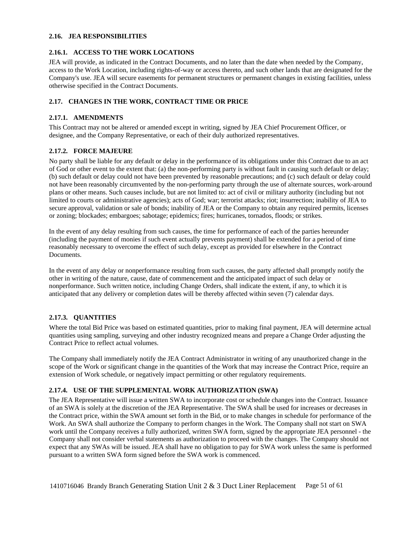#### <span id="page-50-0"></span>**2.16. JEA RESPONSIBILITIES**

#### <span id="page-50-1"></span>**2.16.1. ACCESS TO THE WORK LOCATIONS**

JEA will provide, as indicated in the Contract Documents, and no later than the date when needed by the Company, access to the Work Location, including rights-of-way or access thereto, and such other lands that are designated for the Company's use. JEA will secure easements for permanent structures or permanent changes in existing facilities, unless otherwise specified in the Contract Documents.

# <span id="page-50-2"></span>**2.17. CHANGES IN THE WORK, CONTRACT TIME OR PRICE**

#### <span id="page-50-3"></span>**2.17.1. AMENDMENTS**

This Contract may not be altered or amended except in writing, signed by JEA Chief Procurement Officer, or designee, and the Company Representative, or each of their duly authorized representatives.

#### <span id="page-50-4"></span>**2.17.2. FORCE MAJEURE**

No party shall be liable for any default or delay in the performance of its obligations under this Contract due to an act of God or other event to the extent that: (a) the non-performing party is without fault in causing such default or delay; (b) such default or delay could not have been prevented by reasonable precautions; and (c) such default or delay could not have been reasonably circumvented by the non-performing party through the use of alternate sources, work-around plans or other means. Such causes include, but are not limited to: act of civil or military authority (including but not limited to courts or administrative agencies); acts of God; war; terrorist attacks; riot; insurrection; inability of JEA to secure approval, validation or sale of bonds; inability of JEA or the Company to obtain any required permits, licenses or zoning; blockades; embargoes; sabotage; epidemics; fires; hurricanes, tornados, floods; or strikes.

In the event of any delay resulting from such causes, the time for performance of each of the parties hereunder (including the payment of monies if such event actually prevents payment) shall be extended for a period of time reasonably necessary to overcome the effect of such delay, except as provided for elsewhere in the Contract Documents.

In the event of any delay or nonperformance resulting from such causes, the party affected shall promptly notify the other in writing of the nature, cause, date of commencement and the anticipated impact of such delay or nonperformance. Such written notice, including Change Orders, shall indicate the extent, if any, to which it is anticipated that any delivery or completion dates will be thereby affected within seven (7) calendar days.

### <span id="page-50-5"></span>**2.17.3. QUANTITIES**

Where the total Bid Price was based on estimated quantities, prior to making final payment, JEA will determine actual quantities using sampling, surveying and other industry recognized means and prepare a Change Order adjusting the Contract Price to reflect actual volumes.

The Company shall immediately notify the JEA Contract Administrator in writing of any unauthorized change in the scope of the Work or significant change in the quantities of the Work that may increase the Contract Price, require an extension of Work schedule, or negatively impact permitting or other regulatory requirements.

### <span id="page-50-6"></span>**2.17.4. USE OF THE SUPPLEMENTAL WORK AUTHORIZATION (SWA)**

The JEA Representative will issue a written SWA to incorporate cost or schedule changes into the Contract. Issuance of an SWA is solely at the discretion of the JEA Representative. The SWA shall be used for increases or decreases in the Contract price, within the SWA amount set forth in the Bid, or to make changes in schedule for performance of the Work. An SWA shall authorize the Company to perform changes in the Work. The Company shall not start on SWA work until the Company receives a fully authorized, written SWA form, signed by the appropriate JEA personnel - the Company shall not consider verbal statements as authorization to proceed with the changes. The Company should not expect that any SWAs will be issued. JEA shall have no obligation to pay for SWA work unless the same is performed pursuant to a written SWA form signed before the SWA work is commenced.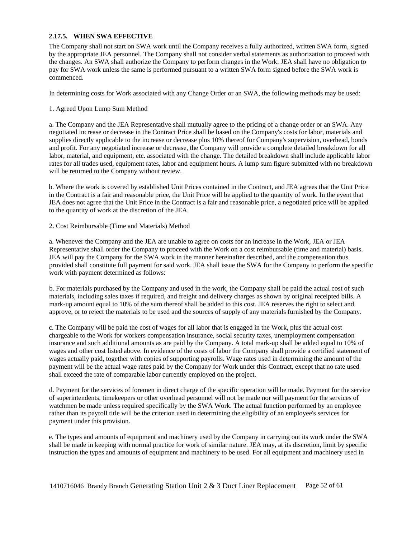#### <span id="page-51-0"></span>**2.17.5. WHEN SWA EFFECTIVE**

The Company shall not start on SWA work until the Company receives a fully authorized, written SWA form, signed by the appropriate JEA personnel. The Company shall not consider verbal statements as authorization to proceed with the changes. An SWA shall authorize the Company to perform changes in the Work. JEA shall have no obligation to pay for SWA work unless the same is performed pursuant to a written SWA form signed before the SWA work is commenced.

In determining costs for Work associated with any Change Order or an SWA, the following methods may be used:

1. Agreed Upon Lump Sum Method

a. The Company and the JEA Representative shall mutually agree to the pricing of a change order or an SWA. Any negotiated increase or decrease in the Contract Price shall be based on the Company's costs for labor, materials and supplies directly applicable to the increase or decrease plus 10% thereof for Company's supervision, overhead, bonds and profit. For any negotiated increase or decrease, the Company will provide a complete detailed breakdown for all labor, material, and equipment, etc. associated with the change. The detailed breakdown shall include applicable labor rates for all trades used, equipment rates, labor and equipment hours. A lump sum figure submitted with no breakdown will be returned to the Company without review.

b. Where the work is covered by established Unit Prices contained in the Contract, and JEA agrees that the Unit Price in the Contract is a fair and reasonable price, the Unit Price will be applied to the quantity of work. In the event that JEA does not agree that the Unit Price in the Contract is a fair and reasonable price, a negotiated price will be applied to the quantity of work at the discretion of the JEA.

#### 2. Cost Reimbursable (Time and Materials) Method

a. Whenever the Company and the JEA are unable to agree on costs for an increase in the Work, JEA or JEA Representative shall order the Company to proceed with the Work on a cost reimbursable (time and material) basis. JEA will pay the Company for the SWA work in the manner hereinafter described, and the compensation thus provided shall constitute full payment for said work. JEA shall issue the SWA for the Company to perform the specific work with payment determined as follows:

b. For materials purchased by the Company and used in the work, the Company shall be paid the actual cost of such materials, including sales taxes if required, and freight and delivery charges as shown by original receipted bills. A mark-up amount equal to 10% of the sum thereof shall be added to this cost. JEA reserves the right to select and approve, or to reject the materials to be used and the sources of supply of any materials furnished by the Company.

c. The Company will be paid the cost of wages for all labor that is engaged in the Work, plus the actual cost chargeable to the Work for workers compensation insurance, social security taxes, unemployment compensation insurance and such additional amounts as are paid by the Company. A total mark-up shall be added equal to 10% of wages and other cost listed above. In evidence of the costs of labor the Company shall provide a certified statement of wages actually paid, together with copies of supporting payrolls. Wage rates used in determining the amount of the payment will be the actual wage rates paid by the Company for Work under this Contract, except that no rate used shall exceed the rate of comparable labor currently employed on the project.

d. Payment for the services of foremen in direct charge of the specific operation will be made. Payment for the service of superintendents, timekeepers or other overhead personnel will not be made nor will payment for the services of watchmen be made unless required specifically by the SWA Work. The actual function performed by an employee rather than its payroll title will be the criterion used in determining the eligibility of an employee's services for payment under this provision.

e. The types and amounts of equipment and machinery used by the Company in carrying out its work under the SWA shall be made in keeping with normal practice for work of similar nature. JEA may, at its discretion, limit by specific instruction the types and amounts of equipment and machinery to be used. For all equipment and machinery used in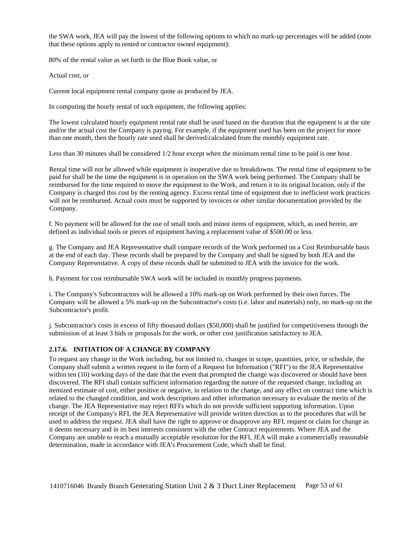the SWA work, JEA will pay the lowest of the following options to which no mark-up percentages will be added (note that these options apply to rented or contractor owned equipment):

80% of the rental value as set forth in the Blue Book value, or

Actual cost, or

Current local equipment rental company quote as produced by JEA.

In computing the hourly rental of such equipment, the following applies:

The lowest calculated hourly equipment rental rate shall be used based on the duration that the equipment is at the site and/or the actual cost the Company is paying. For example, if the equipment used has been on the project for more than one month, then the hourly rate used shall be derived/calculated from the monthly equipment rate.

Less than 30 minutes shall be considered  $1/2$  hour except when the minimum rental time to be paid is one hour.

Rental time will not be allowed while equipment is inoperative due to breakdowns. The rental time of equipment to be paid for shall be the time the equipment is in operation on the SWA work being performed. The Company shall be reimbursed for the time required to move the equipment to the Work, and return it to its original location, only if the Company is charged this cost by the renting agency. Excess rental time of equipment due to inefficient work practices will not be reimbursed. Actual costs must be supported by invoices or other similar documentation provided by the Company.

f. No payment will be allowed for the use of small tools and minor items of equipment, which, as used herein, are defined as individual tools or pieces of equipment having a replacement value of \$500.00 or less.

g. The Company and JEA Representative shall compare records of the Work performed on a Cost Reimbursable basis at the end of each day. These records shall be prepared by the Company and shall be signed by both JEA and the Company Representative. A copy of these records shall be submitted to JEA with the invoice for the work.

h. Payment for cost reimbursable SWA work will be included in monthly progress payments.

i. The Company's Subcontractors will be allowed a 10% mark-up on Work performed by their own forces. The Company will be allowed a 5% mark-up on the Subcontractor's costs (i.e. labor and materials) only, no mark-up on the Subcontractor's profit.

j. Subcontractor's costs in excess of fifty thousand dollars (\$50,000) shall be justified for competitiveness through the submission of at least 3 bids or proposals for the work, or other cost justification satisfactory to JEA.

#### <span id="page-52-0"></span>**2.17.6. INITIATION OF A CHANGE BY COMPANY**

To request any change in the Work including, but not limited to, changes in scope, quantities, price, or schedule, the Company shall submit a written request in the form of a Request for Information ("RFI") to the JEA Representative within ten (10) working days of the date that the event that prompted the change was discovered or should have been discovered. The RFI shall contain sufficient information regarding the nature of the requested change, including an itemized estimate of cost, either positive or negative, in relation to the change, and any effect on contract time which is related to the changed condition, and work descriptions and other information necessary to evaluate the merits of the change. The JEA Representative may reject RFI's which do not provide sufficient supporting information. Upon receipt of the Company's RFI, the JEA Representative will provide written direction as to the procedures that will be used to address the request. JEA shall have the right to approve or disapprove any RFI, request or claim for change as it deems necessary and in its best interests consistent with the other Contract requirements. Where JEA and the Company are unable to reach a mutually acceptable resolution for the RFI, JEA will make a commercially reasonable determination, made in accordance with JEA's Procurement Code, which shall be final.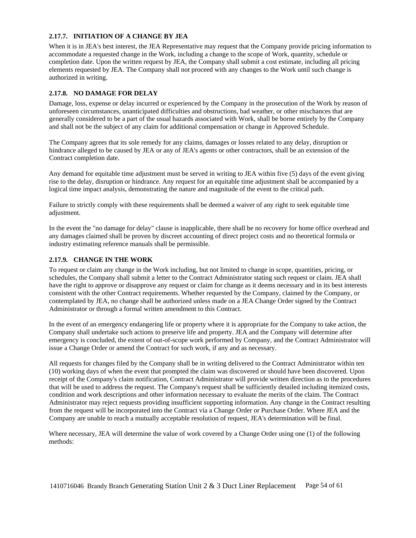## <span id="page-53-0"></span>**2.17.7. INITIATION OF A CHANGE BY JEA**

When it is in JEA's best interest, the JEA Representative may request that the Company provide pricing information to accommodate a requested change in the Work, including a change to the scope of Work, quantity, schedule or completion date. Upon the written request by JEA, the Company shall submit a cost estimate, including all pricing elements requested by JEA. The Company shall not proceed with any changes to the Work until such change is authorized in writing.

# <span id="page-53-1"></span>**2.17.8. NO DAMAGE FOR DELAY**

Damage, loss, expense or delay incurred or experienced by the Company in the prosecution of the Work by reason of unforeseen circumstances, unanticipated difficulties and obstructions, bad weather, or other mischances that are generally considered to be a part of the usual hazards associated with Work, shall be borne entirely by the Company and shall not be the subject of any claim for additional compensation or change in Approved Schedule.

The Company agrees that its sole remedy for any claims, damages or losses related to any delay, disruption or hindrance alleged to be caused by JEA or any of JEA's agents or other contractors, shall be an extension of the Contract completion date.

Any demand for equitable time adjustment must be served in writing to JEA within five (5) days of the event giving rise to the delay, disruption or hindrance. Any request for an equitable time adjustment shall be accompanied by a logical time impact analysis, demonstrating the nature and magnitude of the event to the critical path.

Failure to strictly comply with these requirements shall be deemed a waiver of any right to seek equitable time adjustment.

In the event the "no damage for delay" clause is inapplicable, there shall be no recovery for home office overhead and any damages claimed shall be proven by discreet accounting of direct project costs and no theoretical formula or industry estimating reference manuals shall be permissible.

# <span id="page-53-2"></span>**2.17.9. CHANGE IN THE WORK**

To request or claim any change in the Work including, but not limited to change in scope, quantities, pricing, or schedules, the Company shall submit a letter to the Contract Administrator stating such request or claim. JEA shall have the right to approve or disapprove any request or claim for change as it deems necessary and in its best interests consistent with the other Contract requirements. Whether requested by the Company, claimed by the Company, or contemplated by JEA, no change shall be authorized unless made on a JEA Change Order signed by the Contract Administrator or through a formal written amendment to this Contract.

In the event of an emergency endangering life or property where it is appropriate for the Company to take action, the Company shall undertake such actions to preserve life and property. JEA and the Company will determine after emergency is concluded, the extent of out-of-scope work performed by Company, and the Contract Administrator will issue a Change Order or amend the Contract for such work, if any and as necessary.

All requests for changes filed by the Company shall be in writing delivered to the Contract Administrator within ten (10) working days of when the event that prompted the claim was discovered or should have been discovered. Upon receipt of the Company's claim notification, Contract Administrator will provide written direction as to the procedures that will be used to address the request. The Company's request shall be sufficiently detailed including itemized costs, condition and work descriptions and other information necessary to evaluate the merits of the claim. The Contract Administrator may reject requests providing insufficient supporting information. Any change in the Contract resulting from the request will be incorporated into the Contract via a Change Order or Purchase Order. Where JEA and the Company are unable to reach a mutually acceptable resolution of request, JEA's determination will be final.

Where necessary, JEA will determine the value of work covered by a Change Order using one (1) of the following methods: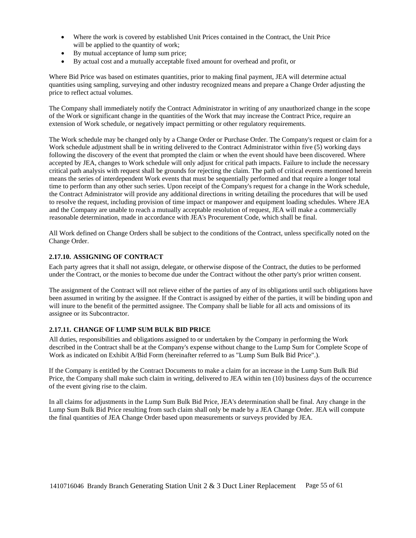- Where the work is covered by established Unit Prices contained in the Contract, the Unit Price will be applied to the quantity of work;
- By mutual acceptance of lump sum price;
- By actual cost and a mutually acceptable fixed amount for overhead and profit, or

Where Bid Price was based on estimates quantities, prior to making final payment, JEA will determine actual quantities using sampling, surveying and other industry recognized means and prepare a Change Order adjusting the price to reflect actual volumes.

The Company shall immediately notify the Contract Administrator in writing of any unauthorized change in the scope of the Work or significant change in the quantities of the Work that may increase the Contract Price, require an extension of Work schedule, or negatively impact permitting or other regulatory requirements.

The Work schedule may be changed only by a Change Order or Purchase Order. The Company's request or claim for a Work schedule adjustment shall be in writing delivered to the Contract Administrator within five (5) working days following the discovery of the event that prompted the claim or when the event should have been discovered. Where accepted by JEA, changes to Work schedule will only adjust for critical path impacts. Failure to include the necessary critical path analysis with request shall be grounds for rejecting the claim. The path of critical events mentioned herein means the series of interdependent Work events that must be sequentially performed and that require a longer total time to perform than any other such series. Upon receipt of the Company's request for a change in the Work schedule, the Contract Administrator will provide any additional directions in writing detailing the procedures that will be used to resolve the request, including provision of time impact or manpower and equipment loading schedules. Where JEA and the Company are unable to reach a mutually acceptable resolution of request, JEA will make a commercially reasonable determination, made in accordance with JEA's Procurement Code, which shall be final.

All Work defined on Change Orders shall be subject to the conditions of the Contract, unless specifically noted on the Change Order.

### <span id="page-54-0"></span>**2.17.10. ASSIGNING OF CONTRACT**

Each party agrees that it shall not assign, delegate, or otherwise dispose of the Contract, the duties to be performed under the Contract, or the monies to become due under the Contract without the other party's prior written consent.

The assignment of the Contract will not relieve either of the parties of any of its obligations until such obligations have been assumed in writing by the assignee. If the Contract is assigned by either of the parties, it will be binding upon and will inure to the benefit of the permitted assignee. The Company shall be liable for all acts and omissions of its assignee or its Subcontractor.

### <span id="page-54-1"></span>**2.17.11. CHANGE OF LUMP SUM BULK BID PRICE**

All duties, responsibilities and obligations assigned to or undertaken by the Company in performing the Work described in the Contract shall be at the Company's expense without change to the Lump Sum for Complete Scope of Work as indicated on Exhibit A/Bid Form (hereinafter referred to as "Lump Sum Bulk Bid Price".).

If the Company is entitled by the Contract Documents to make a claim for an increase in the Lump Sum Bulk Bid Price, the Company shall make such claim in writing, delivered to JEA within ten (10) business days of the occurrence of the event giving rise to the claim.

In all claims for adjustments in the Lump Sum Bulk Bid Price, JEA's determination shall be final. Any change in the Lump Sum Bulk Bid Price resulting from such claim shall only be made by a JEA Change Order. JEA will compute the final quantities of JEA Change Order based upon measurements or surveys provided by JEA.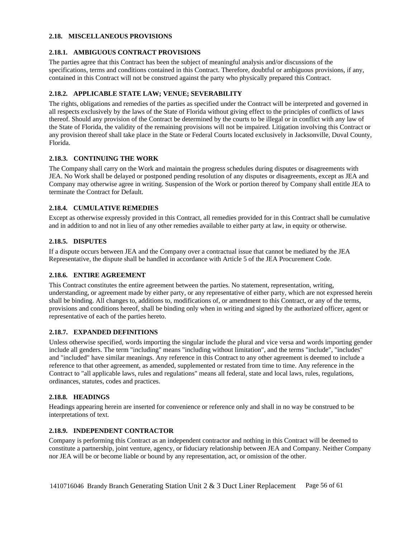#### <span id="page-55-0"></span>**2.18. MISCELLANEOUS PROVISIONS**

### <span id="page-55-1"></span>**2.18.1. AMBIGUOUS CONTRACT PROVISIONS**

The parties agree that this Contract has been the subject of meaningful analysis and/or discussions of the specifications, terms and conditions contained in this Contract. Therefore, doubtful or ambiguous provisions, if any, contained in this Contract will not be construed against the party who physically prepared this Contract.

#### <span id="page-55-2"></span>**2.18.2. APPLICABLE STATE LAW; VENUE; SEVERABILITY**

The rights, obligations and remedies of the parties as specified under the Contract will be interpreted and governed in all respects exclusively by the laws of the State of Florida without giving effect to the principles of conflicts of laws thereof. Should any provision of the Contract be determined by the courts to be illegal or in conflict with any law of the State of Florida, the validity of the remaining provisions will not be impaired. Litigation involving this Contract or any provision thereof shall take place in the State or Federal Courts located exclusively in Jacksonville, Duval County, Florida.

#### <span id="page-55-3"></span>**2.18.3. CONTINUING THE WORK**

The Company shall carry on the Work and maintain the progress schedules during disputes or disagreements with JEA. No Work shall be delayed or postponed pending resolution of any disputes or disagreements, except as JEA and Company may otherwise agree in writing. Suspension of the Work or portion thereof by Company shall entitle JEA to terminate the Contract for Default.

#### <span id="page-55-4"></span>**2.18.4. CUMULATIVE REMEDIES**

Except as otherwise expressly provided in this Contract, all remedies provided for in this Contract shall be cumulative and in addition to and not in lieu of any other remedies available to either party at law, in equity or otherwise.

#### <span id="page-55-5"></span>**2.18.5. DISPUTES**

If a dispute occurs between JEA and the Company over a contractual issue that cannot be mediated by the JEA Representative, the dispute shall be handled in accordance with Article 5 of the JEA Procurement Code.

## <span id="page-55-6"></span>**2.18.6. ENTIRE AGREEMENT**

This Contract constitutes the entire agreement between the parties. No statement, representation, writing, understanding, or agreement made by either party, or any representative of either party, which are not expressed herein shall be binding. All changes to, additions to, modifications of, or amendment to this Contract, or any of the terms, provisions and conditions hereof, shall be binding only when in writing and signed by the authorized officer, agent or representative of each of the parties hereto.

### <span id="page-55-7"></span>**2.18.7. EXPANDED DEFINITIONS**

Unless otherwise specified, words importing the singular include the plural and vice versa and words importing gender include all genders. The term "including" means "including without limitation", and the terms "include", "includes" and "included" have similar meanings. Any reference in this Contract to any other agreement is deemed to include a reference to that other agreement, as amended, supplemented or restated from time to time. Any reference in the Contract to "all applicable laws, rules and regulations" means all federal, state and local laws, rules, regulations, ordinances, statutes, codes and practices.

#### <span id="page-55-8"></span>**2.18.8. HEADINGS**

Headings appearing herein are inserted for convenience or reference only and shall in no way be construed to be interpretations of text.

### <span id="page-55-9"></span>**2.18.9. INDEPENDENT CONTRACTOR**

Company is performing this Contract as an independent contractor and nothing in this Contract will be deemed to constitute a partnership, joint venture, agency, or fiduciary relationship between JEA and Company. Neither Company nor JEA will be or become liable or bound by any representation, act, or omission of the other.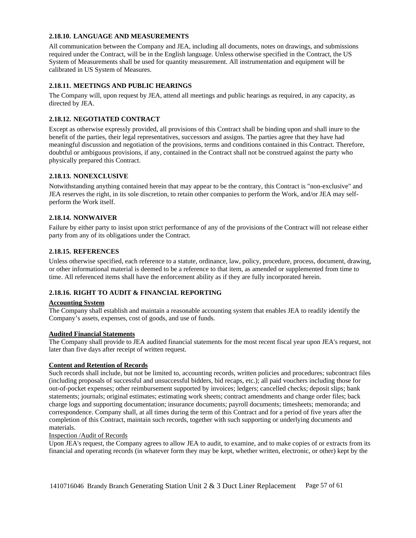#### <span id="page-56-0"></span>**2.18.10. LANGUAGE AND MEASUREMENTS**

All communication between the Company and JEA, including all documents, notes on drawings, and submissions required under the Contract, will be in the English language. Unless otherwise specified in the Contract, the US System of Measurements shall be used for quantity measurement. All instrumentation and equipment will be calibrated in US System of Measures.

# <span id="page-56-1"></span>**2.18.11. MEETINGS AND PUBLIC HEARINGS**

The Company will, upon request by JEA, attend all meetings and public hearings as required, in any capacity, as directed by JEA.

# <span id="page-56-2"></span>**2.18.12. NEGOTIATED CONTRACT**

Except as otherwise expressly provided, all provisions of this Contract shall be binding upon and shall inure to the benefit of the parties, their legal representatives, successors and assigns. The parties agree that they have had meaningful discussion and negotiation of the provisions, terms and conditions contained in this Contract. Therefore, doubtful or ambiguous provisions, if any, contained in the Contract shall not be construed against the party who physically prepared this Contract.

### <span id="page-56-3"></span>**2.18.13. NONEXCLUSIVE**

Notwithstanding anything contained herein that may appear to be the contrary, this Contract is "non-exclusive" and JEA reserves the right, in its sole discretion, to retain other companies to perform the Work, and/or JEA may selfperform the Work itself.

#### <span id="page-56-4"></span>**2.18.14. NONWAIVER**

Failure by either party to insist upon strict performance of any of the provisions of the Contract will not release either party from any of its obligations under the Contract.

#### <span id="page-56-5"></span>**2.18.15. REFERENCES**

Unless otherwise specified, each reference to a statute, ordinance, law, policy, procedure, process, document, drawing, or other informational material is deemed to be a reference to that item, as amended or supplemented from time to time. All referenced items shall have the enforcement ability as if they are fully incorporated herein.

### <span id="page-56-6"></span>**2.18.16. RIGHT TO AUDIT & FINANCIAL REPORTING**

#### **Accounting System**

The Company shall establish and maintain a reasonable accounting system that enables JEA to readily identify the Company's assets, expenses, cost of goods, and use of funds.

# **Audited Financial Statements**

The Company shall provide to JEA audited financial statements for the most recent fiscal year upon JEA's request, not later than five days after receipt of written request.

#### **Content and Retention of Records**

Such records shall include, but not be limited to, accounting records, written policies and procedures; subcontract files (including proposals of successful and unsuccessful bidders, bid recaps, etc.); all paid vouchers including those for out-of-pocket expenses; other reimbursement supported by invoices; ledgers; cancelled checks; deposit slips; bank statements; journals; original estimates; estimating work sheets; contract amendments and change order files; back charge logs and supporting documentation; insurance documents; payroll documents; timesheets; memoranda; and correspondence. Company shall, at all times during the term of this Contract and for a period of five years after the completion of this Contract, maintain such records, together with such supporting or underlying documents and materials.

#### Inspection /Audit of Records

Upon JEA's request, the Company agrees to allow JEA to audit, to examine, and to make copies of or extracts from its financial and operating records (in whatever form they may be kept, whether written, electronic, or other) kept by the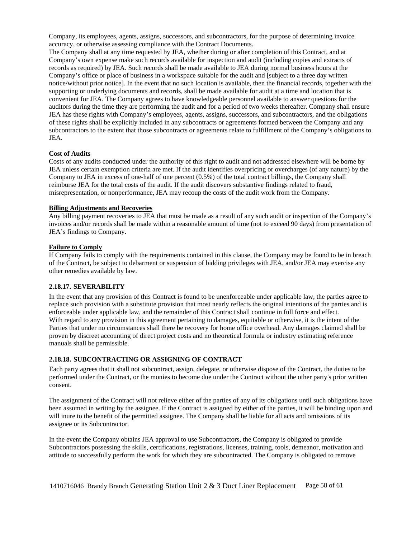Company, its employees, agents, assigns, successors, and subcontractors, for the purpose of determining invoice accuracy, or otherwise assessing compliance with the Contract Documents.

The Company shall at any time requested by JEA, whether during or after completion of this Contract, and at Company's own expense make such records available for inspection and audit (including copies and extracts of records as required) by JEA. Such records shall be made available to JEA during normal business hours at the Company's office or place of business in a workspace suitable for the audit and [subject to a three day written notice/without prior notice]. In the event that no such location is available, then the financial records, together with the supporting or underlying documents and records, shall be made available for audit at a time and location that is convenient for JEA. The Company agrees to have knowledgeable personnel available to answer questions for the auditors during the time they are performing the audit and for a period of two weeks thereafter. Company shall ensure JEA has these rights with Company's employees, agents, assigns, successors, and subcontractors, and the obligations of these rights shall be explicitly included in any subcontracts or agreements formed between the Company and any subcontractors to the extent that those subcontracts or agreements relate to fulfillment of the Company's obligations to JEA.

#### **Cost of Audits**

Costs of any audits conducted under the authority of this right to audit and not addressed elsewhere will be borne by JEA unless certain exemption criteria are met. If the audit identifies overpricing or overcharges (of any nature) by the Company to JEA in excess of one-half of one percent (0.5%) of the total contract billings, the Company shall reimburse JEA for the total costs of the audit. If the audit discovers substantive findings related to fraud, misrepresentation, or nonperformance, JEA may recoup the costs of the audit work from the Company.

#### **Billing Adjustments and Recoveries**

Any billing payment recoveries to JEA that must be made as a result of any such audit or inspection of the Company's invoices and/or records shall be made within a reasonable amount of time (not to exceed 90 days) from presentation of JEA's findings to Company.

#### **Failure to Comply**

If Company fails to comply with the requirements contained in this clause, the Company may be found to be in breach of the Contract, be subject to debarment or suspension of bidding privileges with JEA, and/or JEA may exercise any other remedies available by law.

#### <span id="page-57-0"></span>**2.18.17. SEVERABILITY**

In the event that any provision of this Contract is found to be unenforceable under applicable law, the parties agree to replace such provision with a substitute provision that most nearly reflects the original intentions of the parties and is enforceable under applicable law, and the remainder of this Contract shall continue in full force and effect. With regard to any provision in this agreement pertaining to damages, equitable or otherwise, it is the intent of the Parties that under no circumstances shall there be recovery for home office overhead. Any damages claimed shall be proven by discreet accounting of direct project costs and no theoretical formula or industry estimating reference manuals shall be permissible.

### <span id="page-57-1"></span>**2.18.18. SUBCONTRACTING OR ASSIGNING OF CONTRACT**

Each party agrees that it shall not subcontract, assign, delegate, or otherwise dispose of the Contract, the duties to be performed under the Contract, or the monies to become due under the Contract without the other party's prior written consent.

The assignment of the Contract will not relieve either of the parties of any of its obligations until such obligations have been assumed in writing by the assignee. If the Contract is assigned by either of the parties, it will be binding upon and will inure to the benefit of the permitted assignee. The Company shall be liable for all acts and omissions of its assignee or its Subcontractor.

In the event the Company obtains JEA approval to use Subcontractors, the Company is obligated to provide Subcontractors possessing the skills, certifications, registrations, licenses, training, tools, demeanor, motivation and attitude to successfully perform the work for which they are subcontracted. The Company is obligated to remove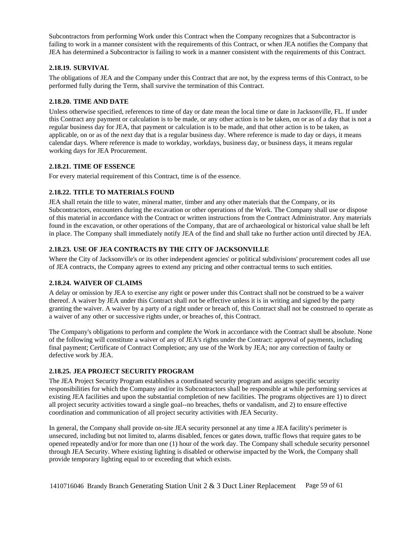Subcontractors from performing Work under this Contract when the Company recognizes that a Subcontractor is failing to work in a manner consistent with the requirements of this Contract, or when JEA notifies the Company that JEA has determined a Subcontractor is failing to work in a manner consistent with the requirements of this Contract.

# <span id="page-58-0"></span>**2.18.19. SURVIVAL**

The obligations of JEA and the Company under this Contract that are not, by the express terms of this Contract, to be performed fully during the Term, shall survive the termination of this Contract.

## <span id="page-58-1"></span>**2.18.20. TIME AND DATE**

Unless otherwise specified, references to time of day or date mean the local time or date in Jacksonville, FL. If under this Contract any payment or calculation is to be made, or any other action is to be taken, on or as of a day that is not a regular business day for JEA, that payment or calculation is to be made, and that other action is to be taken, as applicable, on or as of the next day that is a regular business day. Where reference is made to day or days, it means calendar days. Where reference is made to workday, workdays, business day, or business days, it means regular working days for JEA Procurement.

# <span id="page-58-2"></span>**2.18.21. TIME OF ESSENCE**

<span id="page-58-3"></span>For every material requirement of this Contract, time is of the essence.

# **2.18.22. TITLE TO MATERIALS FOUND**

JEA shall retain the title to water, mineral matter, timber and any other materials that the Company, or its Subcontractors, encounters during the excavation or other operations of the Work. The Company shall use or dispose of this material in accordance with the Contract or written instructions from the Contract Administrator. Any materials found in the excavation, or other operations of the Company, that are of archaeological or historical value shall be left in place. The Company shall immediately notify JEA of the find and shall take no further action until directed by JEA.

# <span id="page-58-4"></span>**2.18.23. USE OF JEA CONTRACTS BY THE CITY OF JACKSONVILLE**

Where the City of Jacksonville's or its other independent agencies' or political subdivisions' procurement codes all use of JEA contracts, the Company agrees to extend any pricing and other contractual terms to such entities.

### <span id="page-58-5"></span>**2.18.24. WAIVER OF CLAIMS**

A delay or omission by JEA to exercise any right or power under this Contract shall not be construed to be a waiver thereof. A waiver by JEA under this Contract shall not be effective unless it is in writing and signed by the party granting the waiver. A waiver by a party of a right under or breach of, this Contract shall not be construed to operate as a waiver of any other or successive rights under, or breaches of, this Contract.

The Company's obligations to perform and complete the Work in accordance with the Contract shall be absolute. None of the following will constitute a waiver of any of JEA's rights under the Contract: approval of payments, including final payment; Certificate of Contract Completion; any use of the Work by JEA; nor any correction of faulty or defective work by JEA.

### <span id="page-58-6"></span>**2.18.25. JEA PROJECT SECURITY PROGRAM**

The JEA Project Security Program establishes a coordinated security program and assigns specific security responsibilities for which the Company and/or its Subcontractors shall be responsible at while performing services at existing JEA facilities and upon the substantial completion of new facilities. The programs objectives are 1) to direct all project security activities toward a single goal--no breaches, thefts or vandalism, and 2) to ensure effective coordination and communication of all project security activities with JEA Security.

In general, the Company shall provide on-site JEA security personnel at any time a JEA facility's perimeter is unsecured, including but not limited to, alarms disabled, fences or gates down, traffic flows that require gates to be opened repeatedly and/or for more than one (1) hour of the work day. The Company shall schedule security personnel through JEA Security. Where existing lighting is disabled or otherwise impacted by the Work, the Company shall provide temporary lighting equal to or exceeding that which exists.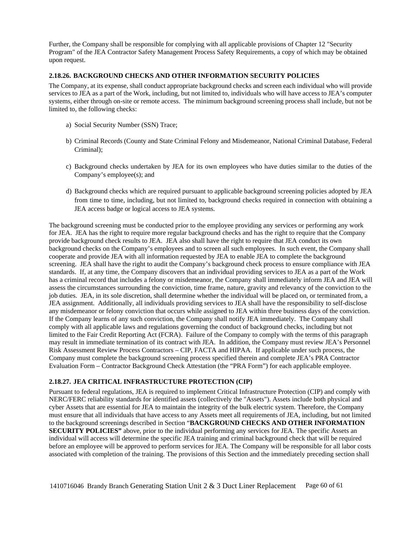Further, the Company shall be responsible for complying with all applicable provisions of Chapter 12 "Security Program" of the JEA Contractor Safety Management Process Safety Requirements, a copy of which may be obtained upon request.

#### <span id="page-59-0"></span>**2.18.26. BACKGROUND CHECKS AND OTHER INFORMATION SECURITY POLICIES**

The Company, at its expense, shall conduct appropriate background checks and screen each individual who will provide services to JEA as a part of the Work, including, but not limited to, individuals who will have access to JEA's computer systems, either through on-site or remote access. The minimum background screening process shall include, but not be limited to, the following checks:

- a) Social Security Number (SSN) Trace;
- b) Criminal Records (County and State Criminal Felony and Misdemeanor, National Criminal Database, Federal Criminal);
- c) Background checks undertaken by JEA for its own employees who have duties similar to the duties of the Company's employee(s); and
- d) Background checks which are required pursuant to applicable background screening policies adopted by JEA from time to time, including, but not limited to, background checks required in connection with obtaining a JEA access badge or logical access to JEA systems.

The background screening must be conducted prior to the employee providing any services or performing any work for JEA. JEA has the right to require more regular background checks and has the right to require that the Company provide background check results to JEA. JEA also shall have the right to require that JEA conduct its own background checks on the Company's employees and to screen all such employees. In such event, the Company shall cooperate and provide JEA with all information requested by JEA to enable JEA to complete the background screening. JEA shall have the right to audit the Company's background check process to ensure compliance with JEA standards. If, at any time, the Company discovers that an individual providing services to JEA as a part of the Work has a criminal record that includes a felony or misdemeanor, the Company shall immediately inform JEA and JEA will assess the circumstances surrounding the conviction, time frame, nature, gravity and relevancy of the conviction to the job duties. JEA, in its sole discretion, shall determine whether the individual will be placed on, or terminated from, a JEA assignment. Additionally, all individuals providing services to JEA shall have the responsibility to self-disclose any misdemeanor or felony conviction that occurs while assigned to JEA within three business days of the conviction. If the Company learns of any such conviction, the Company shall notify JEA immediately. The Company shall comply with all applicable laws and regulations governing the conduct of background checks, including but not limited to the Fair Credit Reporting Act (FCRA). Failure of the Company to comply with the terms of this paragraph may result in immediate termination of its contract with JEA. In addition, the Company must review JEA's Personnel Risk Assessment Review Process Contractors – CIP, FACTA and HIPAA. If applicable under such process, the Company must complete the background screening process specified therein and complete JEA's PRA Contractor Evaluation Form – Contractor Background Check Attestation (the "PRA Form") for each applicable employee.

### <span id="page-59-1"></span>**2.18.27. JEA CRITICAL INFRASTRUCTURE PROTECTION (CIP)**

Pursuant to federal regulations, JEA is required to implement Critical Infrastructure Protection (CIP) and comply with NERC/FERC reliability standards for identified assets (collectively the "Assets"). Assets include both physical and cyber Assets that are essential for JEA to maintain the integrity of the bulk electric system. Therefore, the Company must ensure that all individuals that have access to any Assets meet all requirements of JEA, including, but not limited to the background screenings described in Section "**BACKGROUND CHECKS AND OTHER INFORMATION SECURITY POLICIES"** above, prior to the individual performing any services for JEA. The specific Assets an individual will access will determine the specific JEA training and criminal background check that will be required before an employee will be approved to perform services for JEA. The Company will be responsible for all labor costs associated with completion of the training. The provisions of this Section and the immediately preceding section shall